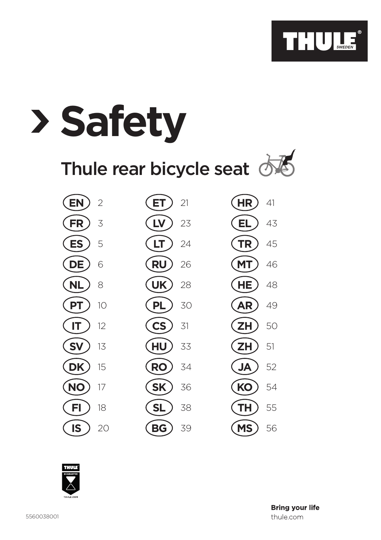

| <b>Safety</b>                     |                          |           |
|-----------------------------------|--------------------------|-----------|
| Thule rear bicycle seat $\oslash$ |                          |           |
| <b>EN</b>                         | 21                       | <b>HR</b> |
| $\overline{2}$                    | ET                       | 41        |
| <b>FR</b>                         | LV                       | 43        |
| 3                                 | 23                       | EL        |
| <b>ES</b>                         | LT                       | <b>TR</b> |
| 5                                 | 24                       | 45        |
| <b>DE</b>                         | <b>RU</b>                | <b>MT</b> |
| 6                                 | 26                       | 46        |
| <b>NL</b>                         | <b>UK</b>                | <b>HE</b> |
| 8                                 | 28                       | 48        |
| <b>PT</b>                         | <b>PL</b>                | <b>AR</b> |
| 10                                | 30                       | 49        |
| IT                                | $\mathsf{CS}\phantom{0}$ | <b>ZH</b> |
| 12                                | 31                       | 50        |
| <b>SV</b>                         | HU                       | <b>ZH</b> |
| 13                                | 33                       | 51        |
| <b>DK</b>                         | <b>RO</b>                | <b>JA</b> |
| 15                                | 34                       | 52        |
| <b>NO</b>                         | <b>SK</b>                | KO        |
| 17                                | 36                       | 54        |
| FI                                | <b>SL</b>                | TН        |
| 18                                | 38                       | 55        |
| <b>IS</b>                         | BG                       | <b>MS</b> |
| 20                                | 39                       | 56        |

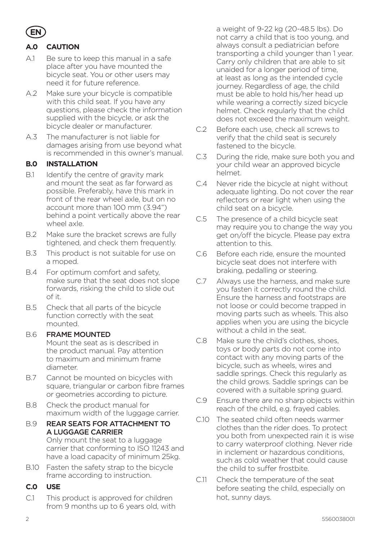

## **A.0 CAUTION**

- A.1 Be sure to keep this manual in a safe place after you have mounted the bicycle seat. You or other users may need it for future reference.
- A.2 Make sure your bicycle is compatible with this child seat. If you have any questions, please check the information supplied with the bicycle, or ask the bicycle dealer or manufacturer.
- A.3 The manufacturer is not liable for damages arising from use beyond what is recommended in this owner's manual.

#### **B.0 INSTALLATION**

- B.1 Identify the centre of gravity mark and mount the seat as far forward as possible. Preferably, have this mark in front of the rear wheel axle, but on no account more than 100 mm (3.94") behind a point vertically above the rear wheel axle.
- B.2 Make sure the bracket screws are fully tightened, and check them frequently.
- B.3 This product is not suitable for use on a moped.
- B.4 For optimum comfort and safety, make sure that the seat does not slope forwards, risking the child to slide out of it.
- B.5 Check that all parts of the bicycle function correctly with the seat mounted.

#### B.6 FRAME MOUNTED

Mount the seat as is described in the product manual. Pay attention to maximum and minimum frame diameter.

- B.7 Cannot be mounted on bicycles with square, triangular or carbon fibre frames or geometries according to picture.
- B.8 Check the product manual for maximum width of the luggage carrier.
- B.9 REAR SEATS FOR ATTACHMENT TO A LUGGAGE CARRIER Only mount the seat to a luggage carrier that conforming to ISO 11243 and have a load capacity of minimum 25kg.
- B.10 Fasten the safety strap to the bicycle frame according to instruction.

#### **C.0 USE**

C.1 This product is approved for children from 9 months up to 6 years old, with

a weight of 9-22 kg (20-48.5 lbs). Do not carry a child that is too young, and always consult a pediatrician before transporting a child younger than 1 year. Carry only children that are able to sit unaided for a longer period of time, at least as long as the intended cycle journey. Regardless of age, the child must be able to hold his/her head up while wearing a correctly sized bicycle helmet. Check regularly that the child does not exceed the maximum weight.

- C.2 Before each use, check all screws to verify that the child seat is securely fastened to the bicycle.
- C.3 During the ride, make sure both you and your child wear an approved bicycle helmet.
- C.4 Never ride the bicycle at night without adequate lighting. Do not cover the rear reflectors or rear light when using the child seat on a bicycle.
- C.5 The presence of a child bicycle seat may require you to change the way you get on/off the bicycle. Please pay extra attention to this.
- C.6 Before each ride, ensure the mounted bicycle seat does not interfere with braking, pedalling or steering.
- C.7 Always use the harness, and make sure you fasten it correctly round the child. Ensure the harness and footstraps are not loose or could become trapped in moving parts such as wheels. This also applies when you are using the bicycle without a child in the seat.
- C.8 Make sure the child's clothes, shoes, toys or body parts do not come into contact with any moving parts of the bicycle, such as wheels, wires and saddle springs. Check this regularly as the child grows. Saddle springs can be covered with a suitable spring guard.
- C.9 Ensure there are no sharp objects within reach of the child, e.g. frayed cables.
- C.10 The seated child often needs warmer clothes than the rider does. To protect you both from unexpected rain it is wise to carry waterproof clothing. Never ride in inclement or hazardous conditions, such as cold weather that could cause the child to suffer frostbite.
- C.11 Check the temperature of the seat before seating the child, especially on hot, sunny days.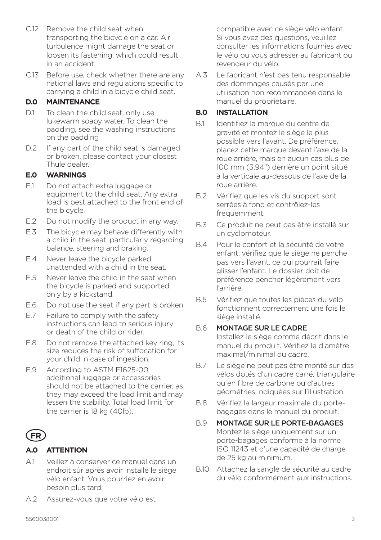- C.12 Remove the child seat when transporting the bicycle on a car. Air turbulence might damage the seat or loosen its fastening, which could result in an accident.
- C.13 Before use, check whether there are any national laws and regulations specific to carrying a child in a bicycle child seat.

## **D.0 MAINTENANCE**

- D.1 To clean the child seat, only use lukewarm soapy water. To clean the padding, see the washing instructions on the padding
- D.2 If any part of the child seat is damaged or broken, please contact your closest Thule dealer.

### **E.0 WARNINGS**

- E.1 Do not attach extra luggage or equipment to the child seat. Any extra load is best attached to the front end of the bicycle.
- E.2 Do not modify the product in any way.
- E.3 The bicycle may behave differently with a child in the seat, particularly regarding balance, steering and braking.
- E.4 Never leave the bicycle parked unattended with a child in the seat.
- E.5 Never leave the child in the seat when the bicycle is parked and supported only by a kickstand.
- E.6 Do not use the seat if any part is broken.
- E.7 Failure to comply with the safety instructions can lead to serious injury or death of the child or rider.
- E.8 Do not remove the attached key ring, its size reduces the risk of suffocation for your child in case of ingestion.
- E.9 According to ASTM F1625-00, additional luggage or accessories should not be attached to the carrier, as they may exceed the load limit and may lessen the stability. Total load limit for the carrier is 18 kg (40lb).

## **FR**

## **A.0 ATTENTION**

- A.1 Veillez à conserver ce manuel dans un endroit sûr après avoir installé le siège vélo enfant. Vous pourriez en avoir besoin plus tard.
- A.2 Assurez-vous que votre vélo est

compatible avec ce siège vélo enfant. Si vous avez des questions, veuillez consulter les informations fournies avec le vélo ou vous adresser au fabricant ou revendeur du vélo.

A.3 Le fabricant n'est pas tenu responsable des dommages causés par une utilisation non recommandée dans le manuel du propriétaire.

### **B.0 INSTALLATION**

- B.1 Identifiez la marque du centre de gravité et montez le siège le plus possible vers l'avant. De préférence, placez cette marque devant l'axe de la roue arrière, mais en aucun cas plus de 100 mm (3,94") derrière un point situé à la verticale au-dessous de l'axe de la roue arrière.
- B.2 Vérifiez que les vis du support sont serrées à fond et contrôlez-les fréquemment.
- B.3 Ce produit ne peut pas être installé sur un cyclomoteur.
- B.4 Pour le confort et la sécurité de votre enfant, vérifiez que le siège ne penche pas vers l'avant, ce qui pourrait faire glisser l'enfant. Le dossier doit de préférence pencher légèrement vers l'arrière.
- B.5 Vérifiez que toutes les pièces du vélo fonctionnent correctement une fois le siège installé.

#### B.6 MONTAGE SUR LE CADRE

Installez le siège comme décrit dans le manuel du produit. Vérifiez le diamètre maximal/minimal du cadre.

- B.7 Le siège ne peut pas être monté sur des vélos dotés d'un cadre carré, triangulaire ou en fibre de carbone ou d'autres géométries indiquées sur l'illustration.
- B.8 Vérifiez la largeur maximale du portebagages dans le manuel du produit.
- B.9 MONTAGE SUR LE PORTE-BAGAGES Montez le siège uniquement sur un porte-bagages conforme à la norme ISO 11243 et d'une capacité de charge de 25 kg au minimum.
- B.10 Attachez la sangle de sécurité au cadre du vélo conformément aux instructions.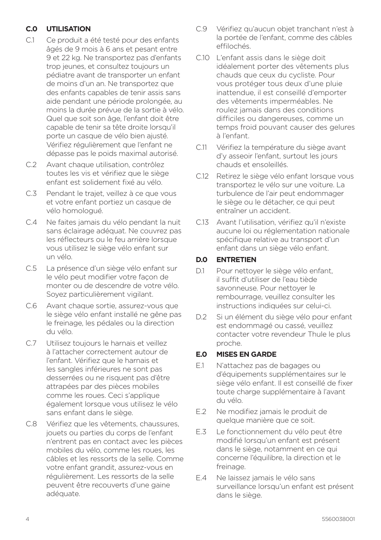## **C.0 UTILISATION**

- C.1 Ce produit a été testé pour des enfants âgés de 9 mois à 6 ans et pesant entre 9 et 22 kg. Ne transportez pas d'enfants trop jeunes, et consultez toujours un pédiatre avant de transporter un enfant de moins d'un an. Ne transportez que des enfants capables de tenir assis sans aide pendant une période prolongée, au moins la durée prévue de la sortie à vélo. Quel que soit son âge, l'enfant doit être capable de tenir sa tête droite lorsqu'il porte un casque de vélo bien ajusté. Vérifiez régulièrement que l'enfant ne dépasse pas le poids maximal autorisé.
- C.2 Avant chaque utilisation, contrôlez toutes les vis et vérifiez que le siège enfant est solidement fixé au vélo.
- C.3 Pendant le trajet, veillez à ce que vous et votre enfant portiez un casque de vélo homologué.
- C.4 Ne faites jamais du vélo pendant la nuit sans éclairage adéquat. Ne couvrez pas les réflecteurs ou le feu arrière lorsque vous utilisez le siège vélo enfant sur un vélo.
- C.5 La présence d'un siège vélo enfant sur le vélo peut modifier votre façon de monter ou de descendre de votre vélo. Soyez particulièrement vigilant.
- C.6 Avant chaque sortie, assurez-vous que le siège vélo enfant installé ne gêne pas le freinage, les pédales ou la direction du vélo.
- C.7 Utilisez toujours le harnais et veillez à l'attacher correctement autour de l'enfant. Vérifiez que le harnais et les sangles inférieures ne sont pas desserrées ou ne risquent pas d'être attrapées par des pièces mobiles comme les roues. Ceci s'applique également lorsque vous utilisez le vélo sans enfant dans le siège.
- C.8 Vérifiez que les vêtements, chaussures, jouets ou parties du corps de l'enfant n'entrent pas en contact avec les pièces mobiles du vélo, comme les roues, les câbles et les ressorts de la selle. Comme votre enfant grandit, assurez-vous en régulièrement. Les ressorts de la selle peuvent être recouverts d'une gaine adéquate.
- C.9 Vérifiez qu'aucun objet tranchant n'est à la portée de l'enfant, comme des câbles effilochés.
- C.10 L'enfant assis dans le siège doit idéalement porter des vêtements plus chauds que ceux du cycliste. Pour vous protéger tous deux d'une pluie inattendue, il est conseillé d'emporter des vêtements imperméables. Ne roulez jamais dans des conditions difficiles ou dangereuses, comme un temps froid pouvant causer des gelures à l'enfant.
- C.11 Vérifiez la température du siège avant d'y asseoir l'enfant, surtout les jours chauds et ensoleillés.
- C.12 Retirez le siège vélo enfant lorsque vous transportez le vélo sur une voiture. La turbulence de l'air peut endommager le siège ou le détacher, ce qui peut entraîner un accident.
- C.13 Avant l'utilisation, vérifiez qu'il n'existe aucune loi ou réglementation nationale spécifique relative au transport d'un enfant dans un siège vélo enfant.

### **D.0 ENTRETIEN**

- D.1 Pour nettover le siège vélo enfant. il suffit d'utiliser de l'eau tiède savonneuse. Pour nettoyer le rembourrage, veuillez consulter les instructions indiquées sur celui-ci.
- D.2 Si un élément du siège vélo pour enfant est endommagé ou cassé, veuillez contacter votre revendeur Thule le plus proche.

#### **E.0 MISES EN GARDE**

- E.1 N'attachez pas de bagages ou d'équipements supplémentaires sur le siège vélo enfant. Il est conseillé de fixer toute charge supplémentaire à l'avant du vélo.
- E.2 Ne modifiez jamais le produit de quelque manière que ce soit.
- E.3 Le fonctionnement du vélo peut être modifié lorsqu'un enfant est présent dans le siège, notamment en ce qui concerne l'équilibre, la direction et le freinage.
- E.4 Ne laissez jamais le vélo sans surveillance lorsqu'un enfant est présent dans le siège.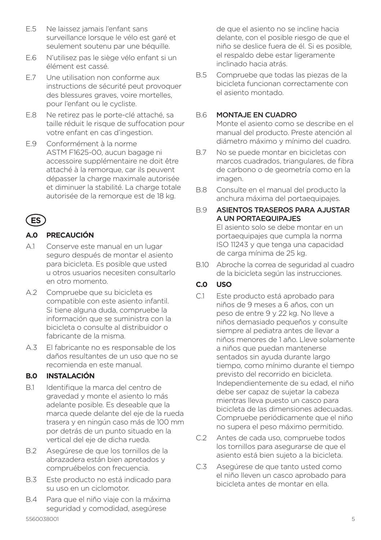- E.5 Ne laissez jamais l'enfant sans surveillance lorsque le vélo est garé et seulement soutenu par une béquille.
- E.6 N'utilisez pas le siège vélo enfant si un élément est cassé.
- E.7 Une utilisation non conforme aux instructions de sécurité peut provoquer des blessures graves, voire mortelles, pour l'enfant ou le cycliste.
- E.8 Ne retirez pas le porte-clé attaché, sa taille réduit le risque de suffocation pour votre enfant en cas d'ingestion.
- E.9 Conformément à la norme ASTM F1625-00, aucun bagage ni accessoire supplémentaire ne doit être attaché à la remorque, car ils peuvent dépasser la charge maximale autorisée et diminuer la stabilité. La charge totale autorisée de la remorque est de 18 kg.

# **ES**

## **A.0 PRECAUCIÓN**

- A.1 Conserve este manual en un lugar seguro después de montar el asiento para bicicleta. Es posible que usted u otros usuarios necesiten consultarlo en otro momento.
- A.2 Compruebe que su bicicleta es compatible con este asiento infantil. Si tiene alguna duda, compruebe la información que se suministra con la bicicleta o consulte al distribuidor o fabricante de la misma.
- A.3 El fabricante no es responsable de los daños resultantes de un uso que no se recomienda en este manual.

## **B.0 INSTALACIÓN**

- B.1 Identifique la marca del centro de gravedad y monte el asiento lo más adelante posible. Es deseable que la marca quede delante del eje de la rueda trasera y en ningún caso más de 100 mm por detrás de un punto situado en la vertical del eje de dicha rueda.
- B.2 Asegúrese de que los tornillos de la abrazadera están bien apretados y compruébelos con frecuencia.
- B.3 Este producto no está indicado para su uso en un ciclomotor.
- B.4 Para que el niño viaje con la máxima seguridad y comodidad, asegúrese

de que el asiento no se incline hacia delante, con el posible riesgo de que el niño se deslice fuera de él. Si es posible, el respaldo debe estar ligeramente inclinado hacia atrás.

B.5 Compruebe que todas las piezas de la bicicleta funcionan correctamente con el asiento montado.

#### B.6 MONTAJE EN CUADRO

Monte el asiento como se describe en el manual del producto. Preste atención al diámetro máximo y mínimo del cuadro.

- B.7 No se puede montar en bicicletas con marcos cuadrados, triangulares, de fibra de carbono o de geometría como en la imagen.
- B.8 Consulte en el manual del producto la anchura máxima del portaequipajes.
- B.9 ASIENTOS TRASEROS PARA AJUSTAR A UN PORTAEQUIPAJES El asiento solo se debe montar en un portaequipajes que cumpla la norma ISO 11243 y que tenga una capacidad de carga mínima de 25 kg.
- B.10 Abroche la correa de seguridad al cuadro de la bicicleta según las instrucciones.

## **C.0 USO**

- C.1 Este producto está aprobado para niños de 9 meses a 6 años, con un peso de entre 9 y 22 kg. No lleve a niños demasiado pequeños y consulte siempre al pediatra antes de llevar a niños menores de 1 año. Lleve solamente a niños que puedan mantenerse sentados sin ayuda durante largo tiempo, como mínimo durante el tiempo previsto del recorrido en bicicleta. Independientemente de su edad, el niño debe ser capaz de sujetar la cabeza mientras lleva puesto un casco para bicicleta de las dimensiones adecuadas. Compruebe periódicamente que el niño no supera el peso máximo permitido.
- C.2 Antes de cada uso, compruebe todos los tornillos para asegurarse de que el asiento está bien sujeto a la bicicleta.
- C.3 Asegúrese de que tanto usted como el niño lleven un casco aprobado para bicicleta antes de montar en ella.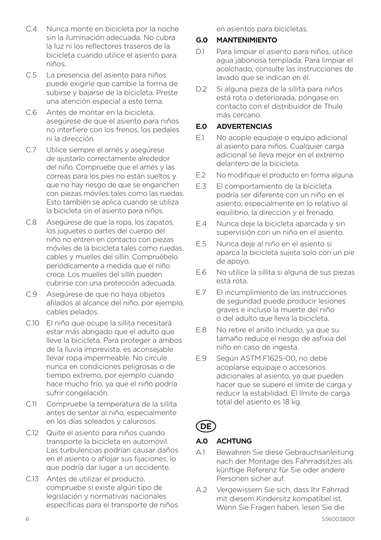- C.4 Nunca monte en bicicleta por la noche sin la iluminación adecuada. No cubra la luz ni los reflectores traseros de la bicicleta cuando utilice el asiento para niños.
- C.5 La presencia del asiento para niños puede exigirle que cambie la forma de subirse y bajarse de la bicicleta. Preste una atención especial a este tema.
- C.6 Antes de montar en la bicicleta, asegúrese de que el asiento para niños no interfiere con los frenos, los pedales ni la dirección.
- C.7 Utilice siempre el arnés y asegúrese de ajustarlo correctamente alrededor del niño. Compruebe que el arnés y las correas para los pies no están sueltos y que no hay riesgo de que se enganchen con piezas móviles tales como las ruedas. Esto también se aplica cuando se utiliza la bicicleta sin el asiento para niños.
- C.8 Asegúrese de que la ropa, los zapatos, los juguetes o partes del cuerpo del niño no entren en contacto con piezas móviles de la bicicleta tales como ruedas, cables y muelles del sillín. Compruébelo periódicamente a medida que el niño crece. Los muelles del sillín pueden cubrirse con una protección adecuada.
- C.9 Asegúrese de que no haya objetos afilados al alcance del niño, por ejemplo, cables pelados.
- C.10 El niño que ocupe la sillita necesitará estar más abrigado que el adulto que lleve la bicicleta. Para proteger a ambos de la lluvia imprevista, es aconsejable llevar ropa impermeable. No circule nunca en condiciones peligrosas o de tiempo extremo, por ejemplo cuando hace mucho frío, ya que el niño podría sufrir congelación.
- C.11 Compruebe la temperatura de la sillita antes de sentar al niño, especialmente en los días soleados y calurosos.
- C.12 Quite el asiento para niños cuando transporte la bicicleta en automóvil. Las turbulencias podrían causar daños en el asiento o aflojar sus fijaciones, lo que podría dar lugar a un accidente.
- C.13 Antes de utilizar el producto, compruebe si existe algún tipo de legislación y normativas nacionales específicas para el transporte de niños

en asientos para bicicletas.

#### **G.0 MANTENIMIENTO**

- D.1 Para limpiar el asiento para niños, utilice agua jabonosa templada. Para limpiar el acolchado, consulte las instrucciones de lavado que se indican en él.
- D.2 Si alguna pieza de la sillita para niños está rota o deteriorada, póngase en contacto con el distribuidor de Thule más cercano.

#### **E.0 ADVERTENCIAS**

- E.1 No acople equipaje o equipo adicional al asiento para niños. Cualquier carga adicional se lleva mejor en el extremo delantero de la bicicleta.
- E.2 No modifique el producto en forma alguna.
- E.3 El comportamiento de la bicicleta podría ser diferente con un niño en el asiento, especialmente en lo relativo al equilibrio, la dirección y el frenado.
- E.4 Nunca deje la bicicleta aparcada y sin supervisión con un niño en el asiento.
- E.5 Nunca deje al niño en el asiento si aparca la bicicleta sujeta solo con un pie de apoyo.
- E.6 No utilice la sillita si alguna de sus piezas está rota.
- E.7 El incumplimiento de las instrucciones de seguridad puede producir lesiones graves e incluso la muerte del niño o del adulto que lleva la bicicleta.
- E.8 No retire el anillo incluido, ya que su tamaño reduce el riesgo de asfixia del niño en caso de ingesta.
- E.9 Según ASTM F1625-00, no debe acoplarse equipaje o accesorios adicionales al asiento, ya que pueden hacer que se supere el límite de carga y reducir la estabilidad. El límite de carga total del asiento es 18 kg.

## **DE**

#### **A.0 ACHTUNG**

- A.1 Bewahren Sie diese Gebrauchsanleitung nach der Montage des Fahrradsitzes als künftige Referenz für Sie oder andere Personen sicher auf.
- A.2 Vergewissern Sie sich, dass Ihr Fahrrad mit diesem Kindersitz kompatibel ist. Wenn Sie Fragen haben, lesen Sie die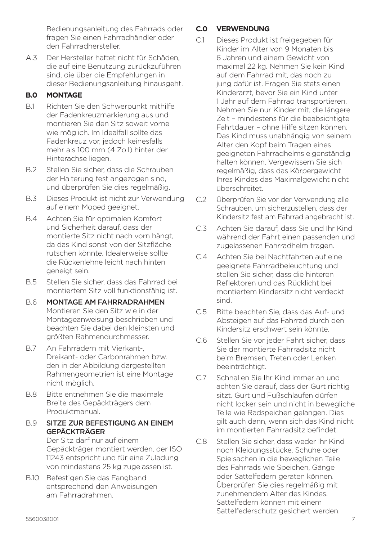Bedienungsanleitung des Fahrrads oder fragen Sie einen Fahrradhändler oder den Fahrradhersteller.

A.3 Der Hersteller haftet nicht für Schäden, die auf eine Benutzung zurückzuführen sind, die über die Empfehlungen in dieser Bedienungsanleitung hinausgeht.

## **B.0 MONTAGE**

- B.1 Richten Sie den Schwerpunkt mithilfe der Fadenkreuzmarkierung aus und montieren Sie den Sitz soweit vorne wie möglich. Im Idealfall sollte das Fadenkreuz vor, jedoch keinesfalls mehr als 100 mm (4 Zoll) hinter der Hinterachse liegen.
- B.2 Stellen Sie sicher, dass die Schrauben der Halterung fest angezogen sind, und überprüfen Sie dies regelmäßig.
- B.3 Dieses Produkt ist nicht zur Verwendung auf einem Moped geeignet.
- B.4 Achten Sie für optimalen Komfort und Sicherheit darauf, dass der montierte Sitz nicht nach vorn hängt, da das Kind sonst von der Sitzfläche rutschen könnte. Idealerweise sollte die Rückenlehne leicht nach hinten geneigt sein.
- B.5 Stellen Sie sicher, dass das Fahrrad bei montiertem Sitz voll funktionsfähig ist.
- B.6 MONTAGE AM FAHRRADRAHMEN Montieren Sie den Sitz wie in der Montageanweisung beschrieben und beachten Sie dabei den kleinsten und größten Rahmendurchmesser.
- B.7 An Fahrrädern mit Vierkant-, Dreikant- oder Carbonrahmen bzw. den in der Abbildung dargestellten Rahmengeometrien ist eine Montage nicht möglich.
- B.8 Bitte entnehmen Sie die maximale Breite des Gepäckträgers dem Produktmanual.

#### B.9 SITZE ZUR BEFESTIGUNG AN EINEM GEPÄCKTRÄGER

Der Sitz darf nur auf einem Gepäckträger montiert werden, der ISO 11243 entspricht und für eine Zuladung von mindestens 25 kg zugelassen ist.

B.10 Befestigen Sie das Fangband entsprechend den Anweisungen am Fahrradrahmen.

## **C.0 VERWENDUNG**

- C.1 Dieses Produkt ist freigegeben für Kinder im Alter von 9 Monaten bis 6 Jahren und einem Gewicht von maximal 22 kg. Nehmen Sie kein Kind auf dem Fahrrad mit, das noch zu jung dafür ist. Fragen Sie stets einen Kinderarzt, bevor Sie ein Kind unter 1 Jahr auf dem Fahrrad transportieren. Nehmen Sie nur Kinder mit, die längere Zeit – mindestens für die beabsichtigte Fahrtdauer – ohne Hilfe sitzen können. Das Kind muss unabhängig von seinem Alter den Kopf beim Tragen eines geeigneten Fahrradhelms eigenständig halten können. Vergewissern Sie sich regelmäßig, dass das Körpergewicht Ihres Kindes das Maximalgewicht nicht überschreitet.
- C.2 Überprüfen Sie vor der Verwendung alle Schrauben, um sicherzustellen, dass der Kindersitz fest am Fahrrad angebracht ist.
- C.3 Achten Sie darauf, dass Sie und Ihr Kind während der Fahrt einen passenden und zugelassenen Fahrradhelm tragen.
- C.4 Achten Sie bei Nachtfahrten auf eine geeignete Fahrradbeleuchtung und stellen Sie sicher, dass die hinteren Reflektoren und das Rücklicht bei montiertem Kindersitz nicht verdeckt sind.
- C.5 Bitte beachten Sie, dass das Auf- und Absteigen auf das Fahrrad durch den Kindersitz erschwert sein könnte.
- C.6 Stellen Sie vor jeder Fahrt sicher, dass Sie der montierte Fahrradsitz nicht beim Bremsen, Treten oder Lenken beeinträchtigt.
- C.7 Schnallen Sie Ihr Kind immer an und achten Sie darauf, dass der Gurt richtig sitzt. Gurt und Fußschlaufen dürfen nicht locker sein und nicht in bewegliche Teile wie Radspeichen gelangen. Dies gilt auch dann, wenn sich das Kind nicht im montierten Fahrradsitz befindet.
- C.8 Stellen Sie sicher, dass weder Ihr Kind noch Kleidungsstücke, Schuhe oder Spielsachen in die beweglichen Teile des Fahrrads wie Speichen, Gänge oder Sattelfedern geraten können. Überprüfen Sie dies regelmäßig mit zunehmendem Alter des Kindes. Sattelfedern können mit einem Sattelfederschutz gesichert werden.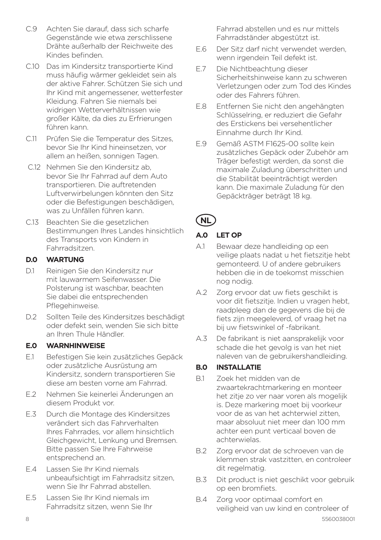- C.9 Achten Sie darauf, dass sich scharfe Gegenstände wie etwa zerschlissene Drähte außerhalb der Reichweite des Kindes befinden.
- C.10 Das im Kindersitz transportierte Kind muss häufig wärmer gekleidet sein als der aktive Fahrer. Schützen Sie sich und Ihr Kind mit angemessener, wetterfester Kleidung. Fahren Sie niemals bei widrigen Wetterverhältnissen wie großer Kälte, da dies zu Erfrierungen führen kann.
- C.11 Prüfen Sie die Temperatur des Sitzes, bevor Sie Ihr Kind hineinsetzen, vor allem an heißen, sonnigen Tagen.
- C.12 Nehmen Sie den Kindersitz ab, bevor Sie Ihr Fahrrad auf dem Auto transportieren. Die auftretenden Luftverwirbelungen könnten den Sitz oder die Befestigungen beschädigen, was zu Unfällen führen kann.
- C.13 Beachten Sie die gesetzlichen Bestimmungen Ihres Landes hinsichtlich des Transports von Kindern in Fahrradsitzen.

## **D.0 WARTUNG**

- D.1 Reinigen Sie den Kindersitz nur mit lauwarmem Seifenwasser. Die Polsterung ist waschbar, beachten Sie dabei die entsprechenden Pflegehinweise.
- D.2 Sollten Teile des Kindersitzes beschädigt oder defekt sein, wenden Sie sich bitte an Ihren Thule Händler.

### **E.0 WARNHINWEISE**

- E.1 Befestigen Sie kein zusätzliches Gepäck oder zusätzliche Ausrüstung am Kindersitz, sondern transportieren Sie diese am besten vorne am Fahrrad.
- E.2 Nehmen Sie keinerlei Änderungen an diesem Produkt vor.
- E.3 Durch die Montage des Kindersitzes verändert sich das Fahrverhalten Ihres Fahrrades, vor allem hinsichtlich Gleichgewicht, Lenkung und Bremsen. Bitte passen Sie Ihre Fahrweise entsprechend an.
- E.4 Lassen Sie Ihr Kind niemals unbeaufsichtigt im Fahrradsitz sitzen, wenn Sie Ihr Fahrrad abstellen.
- E.5 Lassen Sie Ihr Kind niemals im Fahrradsitz sitzen, wenn Sie Ihr

Fahrrad abstellen und es nur mittels Fahrradständer abgestützt ist.

- E.6 Der Sitz darf nicht verwendet werden, wenn irgendein Teil defekt ist.
- E.7 Die Nichtbeachtung dieser Sicherheitshinweise kann zu schweren Verletzungen oder zum Tod des Kindes oder des Fahrers führen.
- E.8 Entfernen Sie nicht den angehängten Schlüsselring, er reduziert die Gefahr des Erstickens bei versehentlicher Einnahme durch Ihr Kind.
- E.9 Gemäß ASTM F1625-00 sollte kein zusätzliches Gepäck oder Zubehör am Träger befestigt werden, da sonst die maximale Zuladung überschritten und die Stabilität beeinträchtigt werden kann. Die maximale Zuladung für den Gepäckträger beträgt 18 kg.

**NL**

## **A.0 LET OP**

- A.1 Bewaar deze handleiding op een veilige plaats nadat u het fietszitje hebt gemonteerd. U of andere gebruikers hebben die in de toekomst misschien nog nodig.
- A.2 Zorg ervoor dat uw fiets geschikt is voor dit fietszitje. Indien u vragen hebt, raadpleeg dan de gegevens die bij de fiets zijn meegeleverd, of vraag het na bij uw fietswinkel of -fabrikant.
- A.3 De fabrikant is niet aansprakelijk voor schade die het gevolg is van het niet naleven van de gebruikershandleiding.

#### **B.0 INSTALLATIE**

- B.1 Zoek het midden van de zwaartekrachtmarkering en monteer het zitje zo ver naar voren als mogelijk is. Deze markering moet bij voorkeur voor de as van het achterwiel zitten, maar absoluut niet meer dan 100 mm achter een punt verticaal boven de achterwielas.
- B.2 Zorg ervoor dat de schroeven van de klemmen strak vastzitten, en controleer dit regelmatig.
- B.3 Dit product is niet geschikt voor gebruik op een bromfiets.
- B.4 Zorg voor optimaal comfort en veiligheid van uw kind en controleer of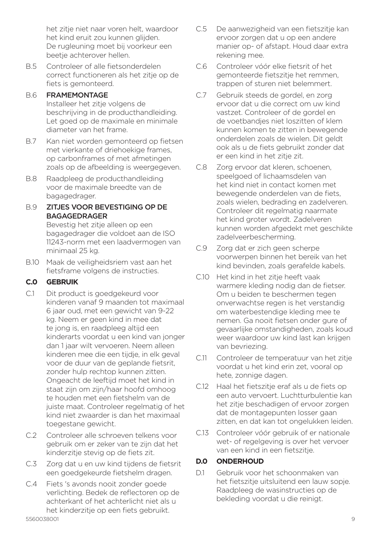het zitje niet naar voren helt, waardoor het kind eruit zou kunnen glijden. De rugleuning moet bij voorkeur een beetje achterover hellen.

B.5 Controleer of alle fietsonderdelen correct functioneren als het zitje op de fiets is gemonteerd.

#### B.6 FRAMEMONTAGE

Installeer het zitje volgens de beschrijving in de producthandleiding. Let goed op de maximale en minimale diameter van het frame.

- B.7 Kan niet worden gemonteerd op fietsen met vierkante of driehoekige frames, op carbonframes of met afmetingen zoals op de afbeelding is weergegeven.
- B.8 Raadpleeg de producthandleiding voor de maximale breedte van de bagagedrager.

#### B.9 ZITJES VOOR BEVESTIGING OP DE BAGAGEDRAGER

Bevestig het zitje alleen op een bagagedrager die voldoet aan de ISO 11243-norm met een laadvermogen van minimaal 25 kg.

B.10 Maak de veiligheidsriem vast aan het fietsframe volgens de instructies.

## **C.0 GEBRUIK**

- C.1 Dit product is goedgekeurd voor kinderen vanaf 9 maanden tot maximaal 6 jaar oud, met een gewicht van 9-22 kg. Neem er geen kind in mee dat te jong is, en raadpleeg altijd een kinderarts voordat u een kind van jonger dan 1 jaar wilt vervoeren. Neem alleen kinderen mee die een tijdje, in elk geval voor de duur van de geplande fietsrit, zonder hulp rechtop kunnen zitten. Ongeacht de leeftijd moet het kind in staat zijn om zijn/haar hoofd omhoog te houden met een fietshelm van de juiste maat. Controleer regelmatig of het kind niet zwaarder is dan het maximaal toegestane gewicht.
- C.2 Controleer alle schroeven telkens voor gebruik om er zeker van te zijn dat het kinderzitje stevig op de fiets zit.
- C.3 Zorg dat u en uw kind tijdens de fietsrit een goedgekeurde fietshelm dragen.
- C.4 Fiets 's avonds nooit zonder goede verlichting. Bedek de reflectoren op de achterkant of het achterlicht niet als u het kinderzitje op een fiets gebruikt.
- C.5 De aanwezigheid van een fietszitje kan ervoor zorgen dat u op een andere manier op- of afstapt. Houd daar extra rekening mee.
- C.6 Controleer vóór elke fietsrit of het gemonteerde fietszitje het remmen, trappen of sturen niet belemmert.
- C.7 Gebruik steeds de gordel, en zorg ervoor dat u die correct om uw kind vastzet. Controleer of de gordel en de voetbandjes niet loszitten of klem kunnen komen te zitten in bewegende onderdelen zoals de wielen. Dit geldt ook als u de fiets gebruikt zonder dat er een kind in het zitje zit.
- C.8 Zorg ervoor dat kleren, schoenen, speelgoed of lichaamsdelen van het kind niet in contact komen met bewegende onderdelen van de fiets, zoals wielen, bedrading en zadelveren. Controleer dit regelmatig naarmate het kind groter wordt. Zadelveren kunnen worden afgedekt met geschikte zadelveerbescherming.
- C.9 Zorg dat er zich geen scherpe voorwerpen binnen het bereik van het kind bevinden, zoals gerafelde kabels.
- C.10 Het kind in het zitje heeft vaak warmere kleding nodig dan de fietser. Om u beiden te beschermen tegen onverwachtse regen is het verstandig om waterbestendige kleding mee te nemen. Ga nooit fietsen onder gure of gevaarlijke omstandigheden, zoals koud weer waardoor uw kind last kan krijgen van bevriezing.
- C.11 Controleer de temperatuur van het zitie voordat u het kind erin zet, vooral op hete, zonnige dagen.
- C.12 Haal het fietszitje eraf als u de fiets op een auto vervoert. Luchtturbulentie kan het zitje beschadigen of ervoor zorgen dat de montagepunten losser gaan zitten, en dat kan tot ongelukken leiden.
- C.13 Controleer vóór gebruik of er nationale wet- of regelgeving is over het vervoer van een kind in een fietszitje.

### **D.0 ONDERHOUD**

D.1 Gebruik voor het schoonmaken van het fietszitje uitsluitend een lauw sopje. Raadpleeg de wasinstructies op de bekleding voordat u die reinigt.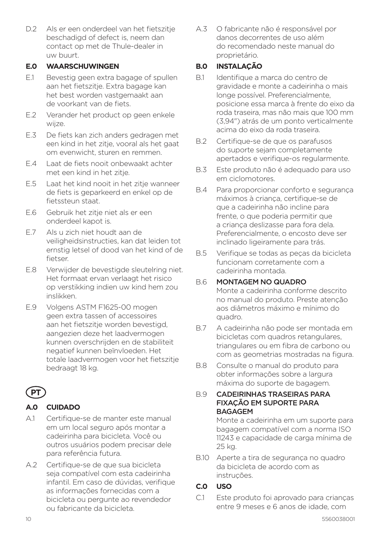D.2 Als er een onderdeel van het fietszitie beschadigd of defect is, neem dan contact op met de Thule-dealer in uw buurt.

### **E.0 WAARSCHUWINGEN**

- E.1 Bevestig geen extra bagage of spullen aan het fietszitje. Extra bagage kan het best worden vastgemaakt aan de voorkant van de fiets.
- E.2 Verander het product op geen enkele wijze.
- E.3 De fiets kan zich anders gedragen met een kind in het zitje, vooral als het gaat om evenwicht, sturen en remmen.
- E.4 Laat de fiets nooit onbewaakt achter met een kind in het zitje.
- E.5 Laat het kind nooit in het zitje wanneer de fiets is geparkeerd en enkel op de fietssteun staat.
- E.6 Gebruik het zitje niet als er een onderdeel kapot is.
- E.7 Als u zich niet houdt aan de veiligheidsinstructies, kan dat leiden tot ernstig letsel of dood van het kind of de fietser.
- E.8 Verwijder de bevestigde sleutelring niet. Het formaat ervan verlaagt het risico op verstikking indien uw kind hem zou inslikken.
- E.9 Volgens ASTM F1625-00 mogen geen extra tassen of accessoires aan het fietszitje worden bevestigd, aangezien deze het laadvermogen kunnen overschrijden en de stabiliteit negatief kunnen beïnvloeden. Het totale laadvermogen voor het fietszitje bedraagt 18 kg.



## **A.0 CUIDADO**

- A.1 Certifique-se de manter este manual em um local seguro após montar a cadeirinha para bicicleta. Você ou outros usuários podem precisar dele para referência futura.
- A.2 Certifique-se de que sua bicicleta seja compatível com esta cadeirinha infantil. Em caso de dúvidas, verifique as informações fornecidas com a bicicleta ou pergunte ao revendedor ou fabricante da bicicleta.

A.3 O fabricante não é responsável por danos decorrentes de uso além do recomendado neste manual do proprietário.

## **B.0 INSTALAÇÃO**

- B.1 Identifique a marca do centro de gravidade e monte a cadeirinha o mais longe possível. Preferencialmente, posicione essa marca à frente do eixo da roda traseira, mas não mais que 100 mm (3,94") atrás de um ponto verticalmente acima do eixo da roda traseira.
- B.2 Certifique-se de que os parafusos do suporte sejam completamente apertados e verifique-os regularmente.
- B.3 Este produto não é adequado para uso em ciclomotores.
- B.4 Para proporcionar conforto e segurança máximos à criança, certifique-se de que a cadeirinha não incline para frente, o que poderia permitir que a criança deslizasse para fora dela. Preferencialmente, o encosto deve ser inclinado ligeiramente para trás.
- B.5 Verifique se todas as peças da bicicleta funcionam corretamente com a cadeirinha montada.

#### B.6 MONTAGEM NO QUADRO

Monte a cadeirinha conforme descrito no manual do produto. Preste atenção aos diâmetros máximo e mínimo do quadro.

- B.7 A cadeirinha não pode ser montada em bicicletas com quadros retangulares, triangulares ou em fibra de carbono ou com as geometrias mostradas na figura.
- B.8 Consulte o manual do produto para obter informações sobre a largura máxima do suporte de bagagem.

#### B.9 CADEIRINHAS TRASEIRAS PARA FIXAÇÃO EM SUPORTE PARA **BAGAGEM**

Monte a cadeirinha em um suporte para bagagem compatível com a norma ISO 11243 e capacidade de carga mínima de 25 kg.

B.10 Aperte a tira de segurança no quadro da bicicleta de acordo com as instruções.

### **C.0 USO**

C.1 Este produto foi aprovado para crianças entre 9 meses e 6 anos de idade, com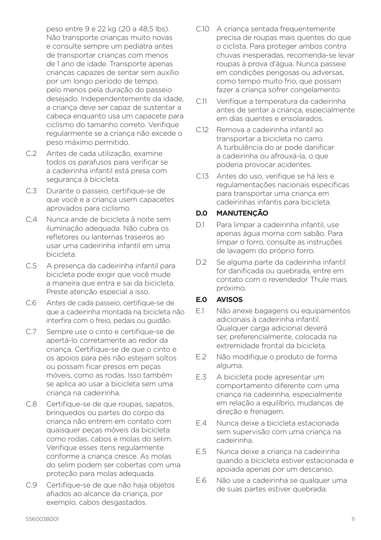peso entre 9 e 22 kg (20 a 48,5 lbs). Não transporte crianças muito novas e consulte sempre um pediatra antes de transportar crianças com menos de 1 ano de idade. Transporte apenas crianças capazes de sentar sem auxílio por um longo período de tempo, pelo menos pela duração do passeio desejado. Independentemente da idade, a criança deve ser capaz de sustentar a cabeça enquanto usa um capacete para ciclismo do tamanho correto. Verifique regularmente se a criança não excede o peso máximo permitido.

- C.2 Antes de cada utilização, examine todos os parafusos para verificar se a cadeirinha infantil está presa com segurança à bicicleta.
- C.3 Durante o passeio, certifique-se de que você e a criança usem capacetes aprovados para ciclismo.
- C;4 Nunca ande de bicicleta à noite sem iluminação adequada. Não cubra os refletores ou lanternas traseiros ao usar uma cadeirinha infantil em uma bicicleta.
- C.5 A presença da cadeirinha infantil para bicicleta pode exigir que você mude a maneira que entra e sai da bicicleta. Preste atenção especial a isso.
- C.6 Antes de cada passeio, certifique-se de que a cadeirinha montada na bicicleta não interfira com o freio, pedais ou guidão.
- C.7 Sempre use o cinto e certifique-se de apertá-lo corretamente ao redor da criança. Certifique-se de que o cinto e os apoios para pés não estejam soltos ou possam ficar presos em peças móveis, como as rodas. Isso também se aplica ao usar a bicicleta sem uma criança na cadeirinha.
- C.8 Certifique-se de que roupas, sapatos, brinquedos ou partes do corpo da criança não entrem em contato com quaisquer peças móveis da bicicleta como rodas, cabos e molas do selim. Verifique esses itens regularmente conforme a criança cresce. As molas do selim podem ser cobertas com uma proteção para molas adequada.
- C.9 Certifique-se de que não haja objetos afiados ao alcance da criança, por exemplo, cabos desgastados.
- C.10 A criança sentada frequentemente precisa de roupas mais quentes do que o ciclista. Para proteger ambos contra chuvas inesperadas, recomenda-se levar roupas à prova d'água. Nunca passeie em condições perigosas ou adversas, como tempo muito frio, que possam fazer a criança sofrer congelamento.
- C.11 Verifique a temperatura da cadeirinha antes de sentar a criança, especialmente em dias quentes e ensolarados.
- C.12 Remova a cadeirinha infantil ao transportar a bicicleta no carro. A turbulência do ar pode danificar a cadeirinha ou afrouxá-la, o que poderia provocar acidentes.
- C.13 Antes do uso, verifique se há leis e regulamentações nacionais específicas para transportar uma criança em cadeirinhas infantis para bicicleta.

### **D.0 MANUTENÇÃO**

- D.1 Para limpar a cadeirinha infantil, use apenas água morna com sabão. Para limpar o forro, consulte as instruções de lavagem do próprio forro.
- D.2 Se alguma parte da cadeirinha infantil for danificada ou quebrada, entre em contato com o revendedor Thule mais próximo.

#### **E.0 AVISOS**

- E.1 Não anexe bagagens ou equipamentos adicionais à cadeirinha infantil. Qualquer carga adicional deverá ser, preferencialmente, colocada na extremidade frontal da bicicleta.
- E.2 Não modifique o produto de forma alguma.
- E.3 A bicicleta pode apresentar um comportamento diferente com uma criança na cadeirinha, especialmente em relação a equilíbrio, mudanças de direção e frenagem.
- E.4 Nunca deixe a bicicleta estacionada sem supervisão com uma criança na cadeirinha.
- E.5 Nunca deixe a criança na cadeirinha quando a bicicleta estiver estacionada e apoiada apenas por um descanso.
- E.6 Não use a cadeirinha se qualquer uma de suas partes estiver quebrada.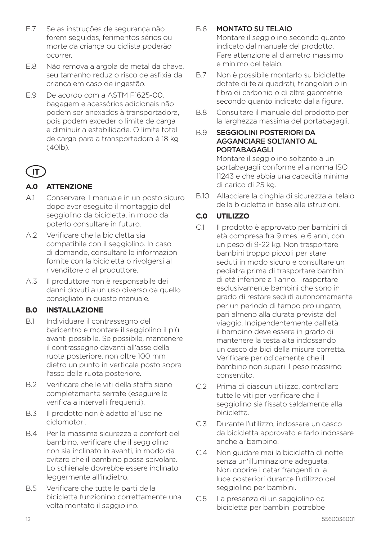- E.7 Se as instruções de segurança não forem seguidas, ferimentos sérios ou morte da criança ou ciclista poderão ocorrer.
- E.8 Não remova a argola de metal da chave, seu tamanho reduz o risco de asfixia da criança em caso de ingestão.
- E.9 De acordo com a ASTM F1625-00, bagagem e acessórios adicionais não podem ser anexados à transportadora, pois podem exceder o limite de carga e diminuir a estabilidade. O limite total de carga para a transportadora é 18 kg  $(40|h)$

# **IT**

## **A.0 ATTENZIONE**

- A.1 Conservare il manuale in un posto sicuro dopo aver eseguito il montaggio del seggiolino da bicicletta, in modo da poterlo consultare in futuro.
- A.2 Verificare che la bicicletta sia compatibile con il seggiolino. In caso di domande, consultare le informazioni fornite con la bicicletta o rivolgersi al rivenditore o al produttore.
- A.3 Il produttore non è responsabile dei danni dovuti a un uso diverso da quello consigliato in questo manuale.

## **B.0 INSTALLAZIONE**

- B.1 Individuare il contrassegno del baricentro e montare il seggiolino il più avanti possibile. Se possibile, mantenere il contrassegno davanti all'asse della ruota posteriore, non oltre 100 mm dietro un punto in verticale posto sopra l'asse della ruota posteriore.
- B.2 Verificare che le viti della staffa siano completamente serrate (eseguire la verifica a intervalli frequenti).
- B.3 Il prodotto non è adatto all'uso nei ciclomotori.
- B.4 Per la massima sicurezza e comfort del bambino, verificare che il seggiolino non sia inclinato in avanti, in modo da evitare che il bambino possa scivolare. Lo schienale dovrebbe essere inclinato leggermente all'indietro.
- B.5 Verificare che tutte le parti della bicicletta funzionino correttamente una volta montato il seggiolino.

## B.6 MONTATO SU TELAIO

Montare il seggiolino secondo quanto indicato dal manuale del prodotto. Fare attenzione al diametro massimo e minimo del telaio.

- B.7 Non è possibile montarlo su biciclette dotate di telai quadrati, triangolari o in fibra di carbonio o di altre geometrie secondo quanto indicato dalla figura.
- B.8 Consultare il manuale del prodotto per la larghezza massima del portabagagli.

#### B.9 SEGGIOLINI POSTERIORI DA AGGANCIARE SOLTANTO AL PORTABAGAGLI

Montare il seggiolino soltanto a un portabagagli conforme alla norma ISO 11243 e che abbia una capacità minima di carico di 25 kg.

B.10 Allacciare la cinghia di sicurezza al telaio della bicicletta in base alle istruzioni.

## **C.0 UTILIZZO**

- C.1 Il prodotto è approvato per bambini di età compresa fra 9 mesi e 6 anni, con un peso di 9-22 kg. Non trasportare bambini troppo piccoli per stare seduti in modo sicuro e consultare un pediatra prima di trasportare bambini di età inferiore a 1 anno. Trasportare esclusivamente bambini che sono in grado di restare seduti autonomamente per un periodo di tempo prolungato, pari almeno alla durata prevista del viaggio. Indipendentemente dall'età, il bambino deve essere in grado di mantenere la testa alta indossando un casco da bici della misura corretta. Verificare periodicamente che il bambino non superi il peso massimo consentito.
- C.2 Prima di ciascun utilizzo, controllare tutte le viti per verificare che il seggiolino sia fissato saldamente alla bicicletta.
- C.3 Durante l'utilizzo, indossare un casco da bicicletta approvato e farlo indossare anche al bambino.
- C.4 Non guidare mai la bicicletta di notte senza un'illuminazione adeguata. Non coprire i catarifrangenti o la luce posteriori durante l'utilizzo del seggiolino per bambini.
- C.5 La presenza di un seggiolino da bicicletta per bambini potrebbe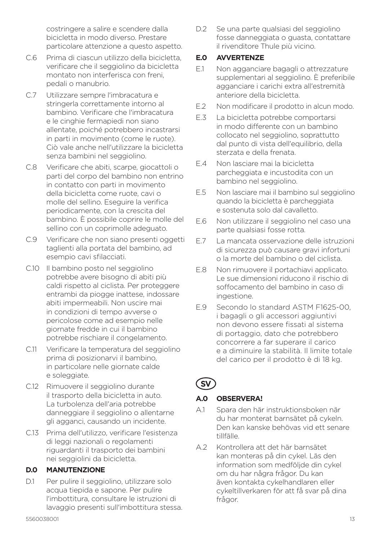costringere a salire e scendere dalla bicicletta in modo diverso. Prestare particolare attenzione a questo aspetto.

- C.6 Prima di ciascun utilizzo della bicicletta, verificare che il seggiolino da bicicletta montato non interferisca con freni, pedali o manubrio.
- C.7 Utilizzare sempre l'imbracatura e stringerla correttamente intorno al bambino. Verificare che l'imbracatura e le cinghie fermapiedi non siano allentate, poiché potrebbero incastrarsi in parti in movimento (come le ruote). Ciò vale anche nell'utilizzare la bicicletta senza bambini nel seggiolino.
- C.8 Verificare che abiti, scarpe, giocattoli o parti del corpo del bambino non entrino in contatto con parti in movimento della bicicletta come ruote, cavi o molle del sellino. Eseguire la verifica periodicamente, con la crescita del bambino. È possibile coprire le molle del sellino con un coprimolle adeguato.
- C.9 Verificare che non siano presenti oggetti taglienti alla portata del bambino, ad esempio cavi sfilacciati.
- C.10 Il bambino posto nel seggiolino potrebbe avere bisogno di abiti più caldi rispetto al ciclista. Per proteggere entrambi da piogge inattese, indossare abiti impermeabili. Non uscire mai in condizioni di tempo avverse o pericolose come ad esempio nelle giornate fredde in cui il bambino potrebbe rischiare il congelamento.
- C.11 Verificare la temperatura del seggiolino prima di posizionarvi il bambino, in particolare nelle giornate calde e soleggiate.
- C.12 Rimuovere il seggiolino durante il trasporto della bicicletta in auto. La turbolenza dell'aria potrebbe danneggiare il seggiolino o allentarne gli agganci, causando un incidente.
- C.13 Prima dell'utilizzo, verificare l'esistenza di leggi nazionali o regolamenti riguardanti il trasporto dei bambini nei seggiolini da bicicletta.

#### **D.0 MANUTENZIONE**

D.1 Per pulire il seggiolino, utilizzare solo acqua tiepida e sapone. Per pulire l'imbottitura, consultare le istruzioni di lavaggio presenti sull'imbottitura stessa. D.2 Se una parte qualsiasi del seggiolino fosse danneggiata o guasta, contattare il rivenditore Thule più vicino.

### **E.0 AVVERTENZE**

- E.1 Non agganciare bagagli o attrezzature supplementari al seggiolino. È preferibile agganciare i carichi extra all'estremità anteriore della bicicletta.
- E.2 Non modificare il prodotto in alcun modo.
- E.3 La bicicletta potrebbe comportarsi in modo differente con un bambino collocato nel seggiolino, soprattutto dal punto di vista dell'equilibrio, della sterzata e della frenata.
- E.4 Non lasciare mai la bicicletta parcheggiata e incustodita con un bambino nel seggiolino.
- E.5 Non lasciare mai il bambino sul seggiolino quando la bicicletta è parcheggiata e sostenuta solo dal cavalletto.
- E.6 Non utilizzare il seggiolino nel caso una parte qualsiasi fosse rotta.
- E.7 La mancata osservazione delle istruzioni di sicurezza può causare gravi infortuni o la morte del bambino o del ciclista.
- E.8 Non rimuovere il portachiavi applicato. Le sue dimensioni riducono il rischio di soffocamento del bambino in caso di ingestione.
- E.9 Secondo lo standard ASTM F1625-00, i bagagli o gli accessori aggiuntivi non devono essere fissati al sistema di portaggio, dato che potrebbero concorrere a far superare il carico e a diminuire la stabilità. Il limite totale del carico per il prodotto è di 18 kg.

# **SV**

### **A.0 OBSERVERA!**

- A.1 Spara den här instruktionsboken när du har monterat barnsätet på cykeln. Den kan kanske behövas vid ett senare tillfälle.
- A.2 Kontrollera att det här barnsätet kan monteras på din cykel. Läs den information som medföljde din cykel om du har några frågor. Du kan även kontakta cykelhandlaren eller cykeltillverkaren för att få svar på dina frågor.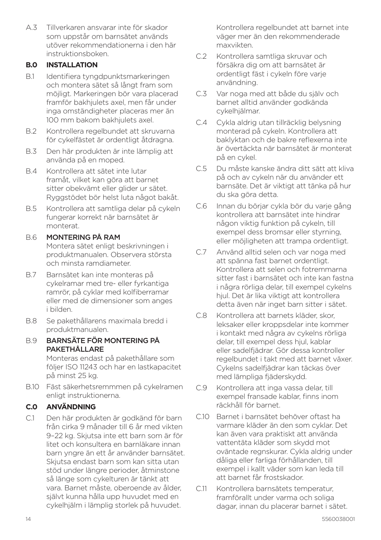A.3 Tillverkaren ansvarar inte för skador som uppstår om barnsätet används utöver rekommendationerna i den här instruktionsboken.

### **B.0 INSTALLATION**

- B.1 Identifiera tyngdpunktsmarkeringen och montera sätet så långt fram som möjligt. Markeringen bör vara placerad framför bakhjulets axel, men får under inga omständigheter placeras mer än 100 mm bakom bakhjulets axel.
- B.2 Kontrollera regelbundet att skruvarna för cykelfästet är ordentligt åtdragna.
- B.3 Den här produkten är inte lämplig att använda på en moped.
- B.4 Kontrollera att sätet inte lutar framåt, vilket kan göra att barnet sitter obekvämt eller glider ur sätet. Ryggstödet bör helst luta något bakåt.
- B.5 Kontrollera att samtliga delar på cykeln fungerar korrekt när barnsätet är monterat.

## B.6 MONTERING PÅ RAM

Montera sätet enligt beskrivningen i produktmanualen. Observera största och minsta ramdiameter.

- B.7 Barnsätet kan inte monteras på cykelramar med tre- eller fyrkantiga ramrör, på cyklar med kolfiberramar eller med de dimensioner som anges i bilden.
- B.8 Se pakethållarens maximala bredd i produktmanualen.
- B.9 BARNSÄTE FÖR MONTERING PÅ PAKETHÅLLARE

Monteras endast på pakethållare som följer ISO 11243 och har en lastkapacitet på minst 25 kg.

B.10 Fäst säkerhetsremmmen på cykelramen enligt instruktionerna.

## **C.0 ANVÄNDNING**

C.1 Den här produkten är godkänd för barn från cirka 9 månader till 6 år med vikten 9–22 kg. Skjutsa inte ett barn som är för litet och konsultera en barnläkare innan barn yngre än ett år använder barnsätet. Skjutsa endast barn som kan sitta utan stöd under längre perioder, åtminstone så länge som cykelturen är tänkt att vara. Barnet måste, oberoende av ålder, självt kunna hålla upp huvudet med en cykelhjälm i lämplig storlek på huvudet.

Kontrollera regelbundet att barnet inte väger mer än den rekommenderade maxvikten.

- C.2 Kontrollera samtliga skruvar och försäkra dig om att barnsätet är ordentligt fäst i cykeln före varje användning.
- C.3 Var noga med att både du själv och barnet alltid använder godkända cykelhjälmar.
- C.4 Cykla aldrig utan tillräcklig belysning monterad på cykeln. Kontrollera att baklyktan och de bakre reflexerna inte är övertäckta när barnsätet är monterat på en cykel.
- C.5 Du måste kanske ändra ditt sätt att kliva på och av cykeln när du använder ett barnsäte. Det är viktigt att tänka på hur du ska göra detta.
- C.6 Innan du börjar cykla bör du varje gång kontrollera att barnsätet inte hindrar någon viktig funktion på cykeln, till exempel dess bromsar eller styrning, eller möjligheten att trampa ordentligt.
- C.7 Använd alltid selen och var noga med att spänna fast barnet ordentligt. Kontrollera att selen och fotremmarna sitter fast i barnsätet och inte kan fastna i några rörliga delar, till exempel cykelns hiul. Det är lika viktigt att kontrollera detta även när inget barn sitter i sätet.
- C.8 Kontrollera att barnets kläder, skor leksaker eller kroppsdelar inte kommer i kontakt med några av cykelns rörliga delar, till exempel dess hjul, kablar eller sadelfjädrar. Gör dessa kontroller regelbundet i takt med att barnet växer. Cykelns sadelfjädrar kan täckas över med lämpliga fjäderskydd.
- C.9 Kontrollera att inga vassa delar, till exempel fransade kablar, finns inom räckhåll för barnet.
- C.10 Barnet i barnsätet behöver oftast ha varmare kläder än den som cyklar. Det kan även vara praktiskt att använda vattentäta kläder som skydd mot oväntade regnskurar. Cykla aldrig under dåliga eller farliga förhållanden, till exempel i kallt väder som kan leda till att barnet får frostskador.
- C.11 Kontrollera barnsätets temperatur, framförallt under varma och soliga dagar, innan du placerar barnet i sätet.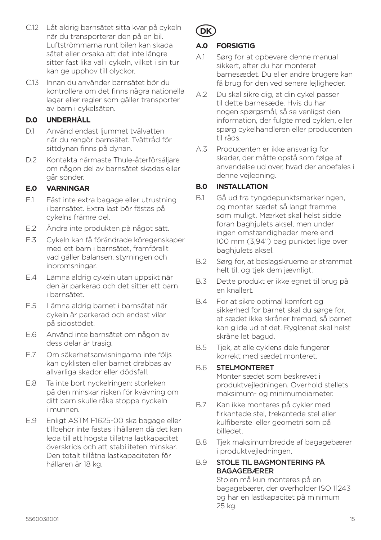- C.12 Låt aldrig barnsätet sitta kvar på cykeln när du transporterar den på en bil. Luftströmmarna runt bilen kan skada sätet eller orsaka att det inte längre sitter fast lika väl i cykeln, vilket i sin tur kan ge upphov till olyckor.
- C.13 Innan du använder barnsätet bör du kontrollera om det finns några nationella lagar eller regler som gäller transporter av barn i cykelsäten.

## **D.0 UNDERHÅLL**

- D.1 Använd endast ljummet tvålvatten när du rengör barnsätet. Tvättråd för sittdynan finns på dynan.
- D.2 Kontakta närmaste Thule-återförsäljare om någon del av barnsätet skadas eller går sönder.

## **E.0 VARNINGAR**

- E.1 Fäst inte extra bagage eller utrustning i barnsätet. Extra last bör fästas på cykelns främre del.
- E.2 Ändra inte produkten på något sätt.
- E.3 Cykeln kan få förändrade köregenskaper med ett barn i barnsätet, framförallt vad gäller balansen, styrningen och inbromsningar.
- E.4 Lämna aldrig cykeln utan uppsikt när den är parkerad och det sitter ett barn i barnsätet.
- E.5 Lämna aldrig barnet i barnsätet när cykeln är parkerad och endast vilar på sidostödet.
- E.6 Använd inte barnsätet om någon av dess delar är trasig.
- E.7 Om säkerhetsanvisningarna inte följs kan cyklisten eller barnet drabbas av allvarliga skador eller dödsfall.
- E.8 Ta inte bort nyckelringen: storleken på den minskar risken för kvävning om ditt barn skulle råka stoppa nyckeln i munnen.
- E.9 Enligt ASTM F1625-00 ska bagage eller tillbehör inte fästas i hållaren då det kan leda till att högsta tillåtna lastkapacitet överskrids och att stabiliteten minskar. Den totalt tillåtna lastkapaciteten för hållaren är 18 kg.



## **A.0 FORSIGTIG**

- A.1 Sørg for at opbevare denne manual sikkert, efter du har monteret barnesædet. Du eller andre brugere kan få brug for den ved senere lejligheder.
- A.2 Du skal sikre dig, at din cykel passer til dette barnesæde. Hvis du har nogen spørgsmål, så se venligst den information, der fulgte med cyklen, eller spørg cykelhandleren eller producenten til råds.
- A.3 Producenten er ikke ansvarlig for skader, der måtte opstå som følge af anvendelse ud over, hvad der anbefales i denne vejledning.

## **B.0 INSTALLATION**

- B.1 Gå ud fra tyngdepunktsmarkeringen, og monter sædet så langt fremme som muligt. Mærket skal helst sidde foran baghjulets aksel, men under ingen omstændigheder mere end 100 mm (3,94") bag punktet lige over baghjulets aksel.
- B.2 Sørg for, at beslagskruerne er strammet helt til, og tjek dem jævnligt.
- B.3 Dette produkt er ikke egnet til brug på en knallert.
- B.4 For at sikre optimal komfort og sikkerhed for barnet skal du sørge for, at sædet ikke skråner fremad, så barnet kan glide ud af det. Ryglænet skal helst skråne let bagud.
- B.5 Tjek, at alle cyklens dele fungerer korrekt med sædet monteret.

## B.6 STELMONTERET

Monter sædet som beskrevet i produktvejledningen. Overhold stellets maksimum- og minimumdiameter.

- B.7 Kan ikke monteres på cykler med firkantede stel, trekantede stel eller kulfiberstel eller geometri som på billedet.
- B.8 Tjek maksimumbredde af bagagebærer i produktvejledningen.

#### B.9 STOLE TIL BAGMONTERING PÅ BAGAGEBÆRER

Stolen må kun monteres på en bagagebærer, der overholder ISO 11243 og har en lastkapacitet på minimum 25 kg.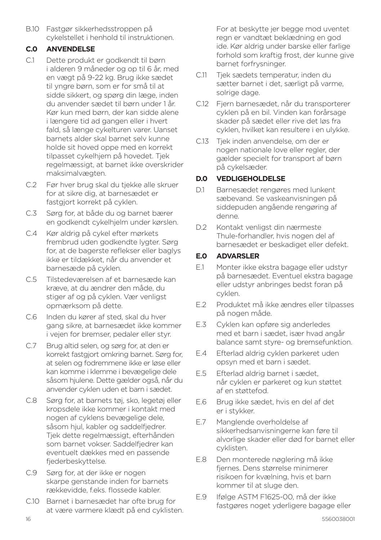B.10 Fastgør sikkerhedsstroppen på cykelstellet i henhold til instruktionen.

### **C.0 ANVENDELSE**

- C.1 Dette produkt er godkendt til børn i alderen 9 måneder og op til 6 år, med en vægt på 9-22 kg. Brug ikke sædet til yngre børn, som er for små til at sidde sikkert, og spørg din læge, inden du anvender sædet til børn under 1 år. Kør kun med børn, der kan sidde alene i længere tid ad gangen eller i hvert fald, så længe cykelturen varer. Uanset barnets alder skal barnet selv kunne holde sit hoved oppe med en korrekt tilpasset cykelhjem på hovedet. Tjek regelmæssigt, at barnet ikke overskrider maksimalvægten.
- C.2 Før hver brug skal du tjekke alle skruer for at sikre dig, at barnesædet er fastgjort korrekt på cyklen.
- C.3 Sørg for, at både du og barnet bærer en godkendt cykelhjelm under kørslen.
- C.4 Kør aldrig på cykel efter mørkets frembrud uden godkendte lygter. Sørg for, at de bagerste reflekser eller baglys ikke er tildækket, når du anvender et barnesæde på cyklen.
- C.5 Tilstedeværelsen af et barnesæde kan kræve, at du ændrer den måde, du stiger af og på cyklen. Vær venligst opmærksom på dette.
- C.6 Inden du kører af sted, skal du hver gang sikre, at barnesædet ikke kommer i vejen for bremser, pedaler eller styr.
- C.7 Brug altid selen, og sørg for, at den er korrekt fastgjort omkring barnet. Sørg for, at selen og fodremmene ikke er løse eller kan komme i klemme i bevægelige dele såsom hjulene. Dette gælder også, når du anvender cyklen uden et barn i sædet.
- C.8 Sørg for, at barnets tøj, sko, legetøj eller kropsdele ikke kommer i kontakt med nogen af cyklens bevægelige dele, såsom hjul, kabler og saddelfjedrer. Tjek dette regelmæssigt, efterhånden som barnet vokser. Saddelfjedrer kan eventuelt dækkes med en passende fiederbeskyttelse.
- C.9 Sørg for, at der ikke er nogen skarpe genstande inden for barnets rækkevidde, f.eks. flossede kabler.
- C.10 Barnet i barnesædet har ofte brug for at være varmere klædt på end cyklisten.

For at beskytte jer begge mod uventet regn er vandtæt beklædning en god ide. Kør aldrig under barske eller farlige forhold som kraftig frost, der kunne give barnet forfrysninger.

- C.11 Tjek sædets temperatur, inden du sætter barnet i det, særligt på varme, solrige dage.
- C.12 Fiern barnesædet, når du transporterer cyklen på en bil. Vinden kan forårsage skader på sædet eller rive det løs fra cyklen, hvilket kan resultere i en ulykke.
- C.13 Tjek inden anvendelse, om der er nogen nationale love eller regler, der gælder specielt for transport af børn på cykelsæder.

### **D.0 VEDLIGEHOLDELSE**

- D.1 Barnesædet rengøres med lunkent sæbevand. Se vaskeanvisningen på siddepuden angående rengøring af denne.
- D.2 Kontakt venligst din nærmeste Thule-forhandler, hvis nogen del af barnesædet er beskadiget eller defekt.

#### **E.0 ADVARSLER**

- E.1 Monter ikke ekstra bagage eller udstyr på barnesædet. Eventuel ekstra bagage eller udstyr anbringes bedst foran på cyklen.
- E.2 Produktet må ikke ændres eller tilpasses på nogen måde.
- E.3 Cyklen kan opføre sig anderledes med et barn i sædet, især hvad angår balance samt styre- og bremsefunktion.
- E.4 Efterlad aldrig cyklen parkeret uden opsyn med et barn i sædet.
- E.5 Efterlad aldrig barnet i sædet, når cyklen er parkeret og kun støttet af en støttefod.
- E.6 Brug ikke sædet, hvis en del af det er i stykker.
- E.7 Manglende overholdelse af sikkerhedsanvisningerne kan føre til alvorlige skader eller død for barnet eller cyklisten.
- E.8 Den monterede nøglering må ikke fiernes. Dens størrelse minimerer risikoen for kvælning, hvis et barn kommer til at sluge den.
- E.9 Ifølge ASTM F1625-00, må der ikke fastgøres noget yderligere bagage eller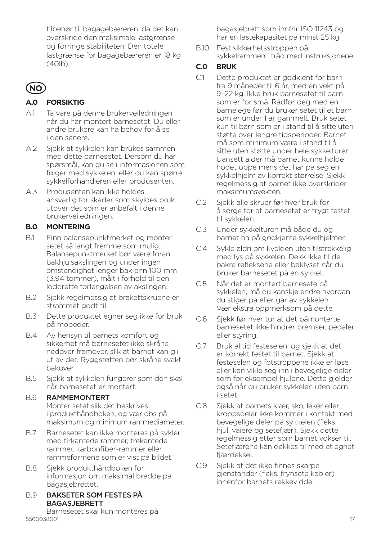tilbehør til bagagebæreren, da det kan overskride den maksimale lastgrænse og forringe stabiliteten. Den totale lastgrænse for bagagebæreren er 18 kg (40lb).

# **NO**

## **A.0 FORSIKTIG**

- A.1 Ta vare på denne brukerveiledningen når du har montert barnesetet. Du eller andre brukere kan ha behov for å se i den senere.
- A.2 Sjekk at sykkelen kan brukes sammen med dette barnesetet. Dersom du har spørsmål, kan du se i informasjonen som følger med sykkelen, eller du kan spørre sykkelforhandleren eller produsenten.
- A.3 Produsenten kan ikke holdes ansvarlig for skader som skyldes bruk utover det som er anbefalt i denne brukerveiledningen.

### **B.0 MONTERING**

- B.1 Finn balansepunktmerket og monter setet så langt fremme som mulig. Balansepunktmerket bør være foran bakhjulsakslingen og under ingen omstendighet lenger bak enn 100 mm (3,94 tommer), målt i forhold til den loddrette forlengelsen av akslingen.
- B.2 Sjekk regelmessig at brakettskruene er strammet godt til.
- B.3 Dette produktet egner seg ikke for bruk på mopeder.
- B.4 Av hensyn til barnets komfort og sikkerhet må barnesetet ikke skråne nedover framover, slik at barnet kan gli ut av det. Ryggstøtten bør skråne svakt bakover.
- B.5 Sjekk at sykkelen fungerer som den skal når barnesetet er montert.

#### B.6 RAMMEMONTERT

Monter setet slik det beskrives i produkthåndboken, og vær obs på maksimum og minimum rammediameter.

- B.7 Barnesetet kan ikke monteres på sykler med firkantede rammer, trekantede rammer, karbonfiber-rammer eller rammeformene som er vist på bildet.
- B.8 Sjekk produkthåndboken for informasjon om maksimal bredde på bagasjebrettet.

#### B.9 BAKSETER SOM FESTES PÅ BAGASJEBRETT

5560038001 17 Barnesetet skal kun monteres på

bagasjebrett som innfrir ISO 11243 og har en lastekapasitet på minst 25 kg.

B.10 Fest sikkerhetsstroppen på sykkelrammen i tråd med instruksjonene.

## **C.0 BRUK**

- C.1 Dette produktet er godkjent for barn fra 9 måneder til 6 år, med en vekt på 9–22 kg. Ikke bruk barnesetet til barn som er for små. Rådfør deg med en barnelege før du bruker setet til et barn som er under 1 år gammelt. Bruk setet kun til barn som er i stand til å sitte uten støtte over lengre tidsperioder. Barnet må som minimum være i stand til å sitte uten støtte under hele sykkelturen. Uansett alder må barnet kunne holde hodet oppe mens det har på seg en sykkelhjelm av korrekt størrelse. Sjekk regelmessig at barnet ikke overskrider maksimumsvekten.
- C.2 Sjekk alle skruer før hver bruk for å sørge for at barnesetet er trygt festet til sykkelen.
- C.3 Under sykkelturen må både du og barnet ha på godkjente sykkelhjelmer.
- C.4 Sykle aldri om kvelden uten tilstrekkelig med lys på sykkelen. Dekk ikke til de bakre refleksene eller baklyset når du bruker barnesetet på en sykkel.
- C.5 Når det er montert barnesete på sykkelen, må du kanskje endre hvordan du stiger på eller går av sykkelen. Vær ekstra oppmerksom på dette.
- C.6 Sjekk før hver tur at det påmonterte barnesetet ikke hindrer bremser, pedaler eller styring.
- C.7 Bruk alltid festeselen, og sjekk at det er korrekt festet til barnet. Sjekk at festeselen og fotstroppene ikke er løse eller kan vikle seg inn i bevegelige deler som for eksempel hjulene. Dette gjelder også når du bruker sykkelen uten barn i setet.
- C.8 Sjekk at barnets klær, sko, leker eller kroppsdeler ikke kommer i kontakt med bevegelige deler på sykkelen (f.eks. hjul, vaiere og setefjær). Sjekk dette regelmessig etter som barnet vokser til. Setefjærene kan dekkes til med et egnet fjærdeksel.
- C.9 Sjekk at det ikke finnes skarpe gjenstander (f.eks. frynsete kabler) innenfor barnets rekkevidde.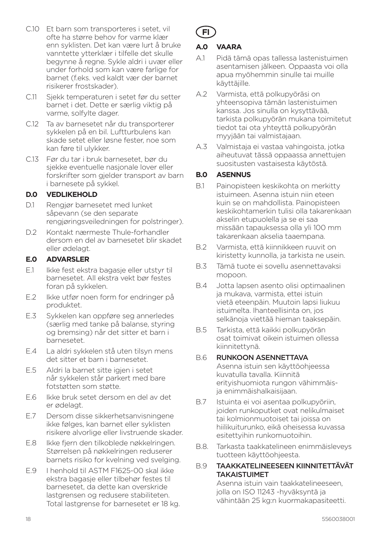- C.10 Et barn som transporteres i setet, vil ofte ha større behov for varme klær enn syklisten. Det kan være lurt å bruke vanntette ytterklær i tilfelle det skulle begynne å regne. Sykle aldri i uvær eller under forhold som kan være farlige for barnet (f.eks. ved kaldt vær der barnet risikerer frostskader).
- C.11 Sjekk temperaturen i setet før du setter barnet i det. Dette er særlig viktig på varme, solfylte dager.
- C.12 Ta av barnesetet når du transporterer sykkelen på en bil. Luftturbulens kan skade setet eller løsne fester, noe som kan føre til ulykker.
- C.13 Før du tar i bruk barnesetet, bør du sjekke eventuelle nasjonale lover eller forskrifter som gjelder transport av barn i barnesete på sykkel.

### **D.0 VEDLIKEHOLD**

- D.1 Rengjør barnesetet med lunket såpevann (se den separate rengjøringsveiledningen for polstringer).
- D.2 Kontakt nærmeste Thule-forhandler dersom en del av barnesetet blir skadet eller ødelagt.

#### **E.0 ADVARSLER**

- E.1 Ikke fest ekstra bagasje eller utstyr til barnesetet. All ekstra vekt bør festes foran på sykkelen.
- E.2 Ikke utfør noen form for endringer på produktet.
- E.3 Sykkelen kan oppføre seg annerledes (særlig med tanke på balanse, styring og bremsing) når det sitter et barn i barnesetet.
- E.4 La aldri sykkelen stå uten tilsyn mens det sitter et barn i barnesetet.
- E.5 Aldri la barnet sitte igjen i setet når sykkelen står parkert med bare fotstøtten som støtte.
- E.6 Ikke bruk setet dersom en del av det er ødelagt.
- E.7 Dersom disse sikkerhetsanvisningene ikke følges, kan barnet eller syklisten risikere alvorlige eller livstruende skader.
- E.8 Ikke fjern den tilkoblede nøkkelringen. Størrelsen på nøkkelringen reduserer barnets risiko for kvelning ved svelging.
- E.9 I henhold til ASTM F1625-00 skal ikke ekstra bagasje eller tilbehør festes til barnesetet, da dette kan overskride lastgrensen og redusere stabiliteten. Total lastgrense for barnesetet er 18 kg.

# **FI**

#### **A.0 VAARA**

- A.1 Pidä tämä opas tallessa lastenistuimen asentamisen jälkeen. Oppaasta voi olla apua myöhemmin sinulle tai muille käyttäjille.
- A.2 Varmista, että polkupyöräsi on yhteensopiva tämän lastenistuimen kanssa. Jos sinulla on kysyttävää, tarkista polkupyörän mukana toimitetut tiedot tai ota yhteyttä polkupyörän myyjään tai valmistajaan.
- A.3 Valmistaja ei vastaa vahingoista, jotka aiheutuvat tässä oppaassa annettujen suositusten vastaisesta käytöstä.

#### **B.0 ASENNUS**

- B.1 Painopisteen keskikohta on merkitty istuimeen. Asenna istuin niin eteen kuin se on mahdollista. Painopisteen keskikohtamerkin tulisi olla takarenkaan akselin etupuolella ja se ei saa missään tapauksessa olla yli 100 mm takarenkaan akselia taaempana.
- B.2 Varmista, että kiinnikkeen ruuvit on kiristetty kunnolla, ja tarkista ne usein.
- B.3 Tämä tuote ei sovellu asennettavaksi mopoon.
- B.4 Jotta lapsen asento olisi optimaalinen ja mukava, varmista, ettei istuin vietä eteenpäin. Muutoin lapsi liukuu istuimelta. Ihanteellisinta on, jos selkänoja viettää hieman taaksepäin.
- B.5 Tarkista, että kaikki polkupyörän osat toimivat oikein istuimen ollessa kiinnitettynä.

#### B.6 RUNKOON ASENNETTAVA

Asenna istuin sen käyttöohjeessa kuvatulla tavalla. Kiinnitä erityishuomiota rungon vähimmäisja enimmäishalkaisijaan.

- B.7 Istuinta ei voi asentaa polkupyöriin, joiden runkoputket ovat nelikulmaiset tai kolmionmuotoiset tai joissa on hiilikuiturunko, eikä oheisessa kuvassa esitettyihin runkomuotoihin.
- B.8. Tarkasta taakkatelineen enimmäisleveys tuotteen käyttöohjeesta.

#### B.9 TAAKKATELINEESEEN KIINNITETTÄVÄT TAKAISTUIMET

Asenna istuin vain taakkatelineeseen, jolla on ISO 11243 -hyväksyntä ja vähintään 25 kg:n kuormakapasiteetti.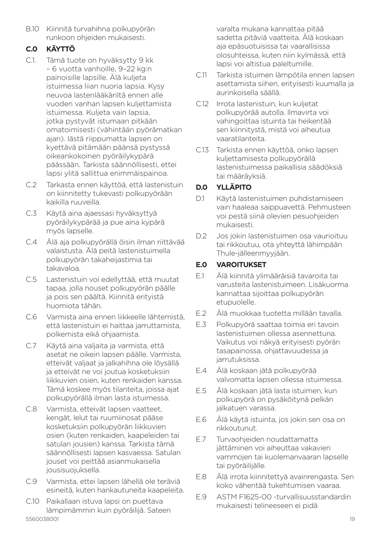B.10 Kiinnitä turvahihna polkupyörän runkoon ohjeiden mukaisesti.

## **C.0 KÄYTTÖ**

- C.1. Tämä tuote on hyväksytty 9 kk – 6 vuotta vanhoille, 9–22 kg:n painoisille lapsille. Älä kuljeta istuimessa liian nuoria lapsia. Kysy neuvoa lastenlääkäriltä ennen alle vuoden vanhan lapsen kuljettamista istuimessa. Kuljeta vain lapsia, jotka pystyvät istumaan pitkään omatoimisesti (vähintään pyörämatkan ajan). Iästä riippumatta lapsen on kyettävä pitämään päänsä pystyssä oikeankokoinen pyöräilykypärä päässään. Tarkista säännöllisesti, ettei lapsi ylitä sallittua enimmäispainoa.
- C.2 Tarkasta ennen käyttöä, että lastenistuin on kiinnitetty tukevasti polkupyörään kaikilla ruuveilla.
- C.3 Käytä aina ajaessasi hyväksyttyä pyöräilykypärää ja pue aina kypärä myös lapselle.
- C.4 Älä aja polkupyörällä öisin ilman riittävää valaistusta. Älä peitä lastenistuimella polkupyörän takaheijastimia tai takavaloa.
- C.5 Lastenistuin voi edellyttää, että muutat tapaa, jolla nouset polkupyörän päälle ja pois sen päältä. Kiinnitä erityistä huomiota tähän.
- C.6 Varmista aina ennen liikkeelle lähtemistä, että lastenistuin ei haittaa jarruttamista, polkemista eikä ohjaamista.
- C.7 Käytä aina valjaita ja varmista, että asetat ne oikein lapsen päälle. Varmista, etteivät valjaat ja jalkahihna ole löysällä ja etteivät ne voi joutua kosketuksiin liikkuvien osien, kuten renkaiden kanssa. Tämä koskee myös tilanteita, joissa ajat polkupyörällä ilman lasta istuimessa.
- C.8 Varmista, etteivät lapsen vaatteet, kengät, lelut tai ruumiinosat pääse kosketuksiin polkupyörän liikkuvien osien (kuten renkaiden, kaapeleiden tai satulan jousien) kanssa. Tarkista tämä säännöllisesti lapsen kasvaessa. Satulan jouset voi peittää asianmukaisella jousisuojuksella.
- C.9 Varmista, ettei lapsen lähellä ole teräviä esineitä, kuten hankautuneita kaapeleita.
- 5560038001 19 C.10 Paikallaan istuva lapsi on puettava lämpimämmin kuin pyöräilijä. Sateen

varalta mukana kannattaa pitää sadetta pitäviä vaatteita. Älä koskaan aja epäsuotuisissa tai vaarallisissa olosuhteissa, kuten niin kylmässä, että lapsi voi altistua paleltumille.

- C.11 Tarkista istuimen lämpötila ennen lapsen asettamista siihen, erityisesti kuumalla ja aurinkoisella säällä.
- C.12 Irrota lastenistuin, kun kuljetat polkupyörää autolla. Ilmavirta voi vahingoittaa istuinta tai heikentää sen kiinnitystä, mistä voi aiheutua vaaratilanteita.
- C.13 Tarkista ennen käyttöä, onko lapsen kuljettamisesta polkupyörällä lastenistuimessa paikallisia säädöksiä tai määräyksiä.

## **D.0 YLLÄPITO**

- D.1 Käytä lastenistuimen puhdistamiseen vain haaleaa saippuavettä. Pehmusteen voi pestä siinä olevien pesuohjeiden mukaisesti.
- D.2 Jos jokin lastenistuimen osa vaurioituu tai rikkoutuu, ota yhteyttä lähimpään Thule-jälleenmyyjään.

## **E.0 VAROITUKSET**

- E.1 Älä kiinnitä ylimääräisiä tavaroita tai varusteita lastenistuimeen. Lisäkuorma kannattaa sijoittaa polkupyörän etupuolelle.
- E.2 Älä muokkaa tuotetta millään tavalla.
- E.3 Polkupyörä saattaa toimia eri tavoin lastenistuimen ollessa asennettuna. Vaikutus voi näkyä erityisesti pyörän tasapainossa, ohjattavuudessa ja jarrutuksissa.
- E.4 Älä koskaan jätä polkupyörää valvomatta lapsen ollessa istuimessa.
- E.5 Älä koskaan jätä lasta istuimen, kun polkupyörä on pysäköitynä pelkän jalkatuen varassa.
- E.6 Älä käytä istuinta, jos jokin sen osa on rikkoutunut.
- E.7 Turvaohjeiden noudattamatta jättäminen voi aiheuttaa vakavien vammojen tai kuolemanvaaran lapselle tai pyöräilijälle.
- E.8 Älä irrota kiinnitettyä avainrengasta. Sen koko vähentää tukehtumisen vaaraa.
- E.9 ASTM F1625-00 -turvallisuusstandardin mukaisesti telineeseen ei pidä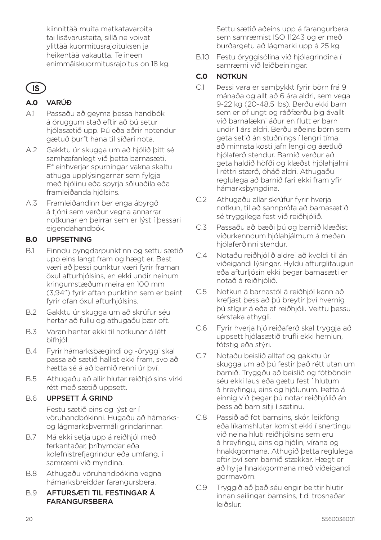kiinnittää muita matkatavaroita tai lisävarusteita, sillä ne voivat ylittää kuormitusrajoituksen ja heikentää vakautta. Telineen enimmäiskuormitusrajoitus on 18 kg.

# **IS**

## **A.0** VARÚÐ

- A.1 Passaðu að geyma þessa handbók á öruggum stað eftir að þú setur hjólasætið upp. Þú eða aðrir notendur gætuð þurft hana til síðari nota.
- A.2 Gakktu úr skugga um að hjólið þitt sé samhæfanlegt við þetta barnasæti. Ef einhverjar spurningar vakna skaltu athuga upplýsingarnar sem fylgja með hjólinu eða spyrja söluaðila eða framleiðanda hjólsins.
- A.3 Framleiðandinn ber enga ábyrgð á tjóni sem verður vegna annarrar notkunar en þeirrar sem er lýst í þessari eigendahandbók.

## **B.0** UPPSETNING

- B.1 Finndu þyngdarpunktinn og settu sætið upp eins langt fram og hægt er. Best væri að þessi punktur væri fyrir framan öxul afturhjólsins, en ekki undir neinum kringumstæðum meira en 100 mm (3,94") fyrir aftan punktinn sem er beint fyrir ofan öxul afturhjólsins.
- B.2 Gakktu úr skugga um að skrúfur séu hertar að fullu og athugaðu þær oft.
- B.3 Varan hentar ekki til notkunar á létt bifhjól.
- B.4 Fyrir hámarksþægindi og -öryggi skal passa að sætið hallist ekki fram, svo að hætta sé á að barnið renni úr því.
- B.5 Athugaðu að allir hlutar reiðhjólsins virki rétt með sætið uppsett.

### B.6 UPPSETT Á GRIND

Festu sætið eins og lýst er í vöruhandbókinni. Hugaðu að hámarksog lágmarksþvermáli grindarinnar.

- B.7 Má ekki setja upp á reiðhjól með ferkantaðar, þríhyrndar eða kolefnistrefjagrindur eða umfang, í samræmi við myndina.
- B.8 Athugaðu vöruhandbókina vegna hámarksbreiddar farangursbera.

#### B.9 AFTURSÆTI TIL FESTINGAR Á FARANGURSBERA

Settu sætið aðeins upp á farangurbera sem samræmist ISO 11243 og er með burðargetu að lágmarki upp á 25 kg.

B.10 Festu öryggisólina við hjólagrindina í samræmi við leiðbeiningar.

## **C.0** NOTKUN

- C.1 Þessi vara er samþykkt fyrir börn frá 9 mánaða og allt að 6 ára aldri, sem vega 9-22 kg (20-48,5 lbs). Berðu ekki barn sem er of ungt og ráðfærðu þig ávallt við barnalækni áður en flutt er barn undir 1 árs aldri. Berðu aðeins börn sem geta setið án stuðnings í lengri tíma, að minnsta kosti jafn lengi og áætluð hjólaferð stendur. Barnið verður að geta haldið höfði og klæðst hjólahjálmi í réttri stærð, óháð aldri. Athugaðu reglulega að barnið fari ekki fram yfir hámarksþyngdina.
- C.2 Athugaðu allar skrúfur fyrir hverja notkun, til að sannprófa að barnasætið sé tryggilega fest við reiðhjólið.
- C.3 Passaðu að bæði þú og barnið klæðist viðurkenndum hjólahjálmum á meðan hjólaferðinni stendur.
- C.4 Notaðu reiðhjólið aldrei að kvöldi til án viðeigandi lýsingar. Hyldu afturglitaugun eða afturljósin ekki þegar barnasæti er notað á reiðhjólið.
- C.5 Notkun á barnastól á reiðhjól kann að krefjast þess að þú breytir því hvernig þú stígur á eða af reiðhjóli. Veittu þessu sérstaka athygli.
- C.6 Fyrir hverja hjólreiðaferð skal tryggja að uppsett hjólasætið trufli ekki hemlun, fótstig eða stýri.
- C.7 Notaðu beislið alltaf og gakktu úr skugga um að þú festir það rétt utan um barnið. Tryggðu að beislið og fótböndin séu ekki laus eða gætu fest í hlutum á hreyfingu, eins og hjólunum. Þetta á einnig við þegar þú notar reiðhjólið án þess að barn sitji í sætinu.
- C.8 Passið að föt barnsins, skór, leikföng eða líkamshlutar komist ekki í snertingu við neina hluti reiðhjólsins sem eru á hreyfingu, eins og hjólin, vírana og hnakkgormana. Athugið þetta reglulega eftir því sem barnið stækkar. Hægt er að hylja hnakkgormana með viðeigandi gormavörn.
- C.9 Tryggið að það séu engir beittir hlutir innan seilingar barnsins, t.d. trosnaðar leiðslur.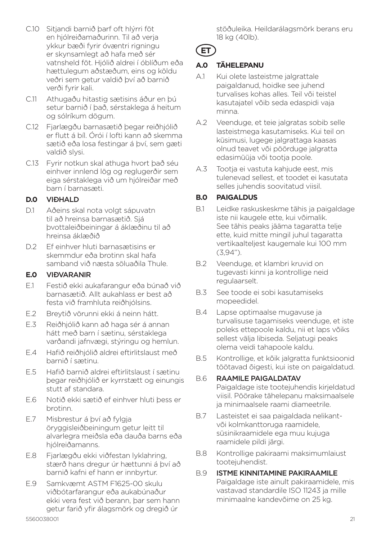- C.10 Sitjandi barnið þarf oft hlýrri föt en hjólreiðamaðurinn. Til að verja ykkur bæði fyrir óvæntri rigningu er skynsamlegt að hafa með sér vatnsheld föt. Hjólið aldrei í óblíðum eða hættulegum aðstæðum, eins og köldu veðri sem getur valdið því að barnið verði fyrir kali.
- C.11 Athugaðu hitastig sætisins áður en þú setur barnið í það, sérstaklega á heitum og sólríkum dögum.
- C.12 Fjarlægðu barnasætið begar reiðhjólið er flutt á bíl. Órói í lofti kann að skemma sætið eða losa festingar á því, sem gæti valdið slysi.
- C.13 Fyrir notkun skal athuga hvort það séu einhver innlend lög og reglugerðir sem eiga sérstaklega við um hjólreiðar með barn í barnasæti.

#### **D.0** VIÐHALD

- D.1 Aðeins skal nota volgt sápuvatn til að hreinsa barnasætið. Sjá þvottaleiðbeiningar á áklæðinu til að hreinsa áklæðið
- D.2 Ef einhver hluti barnasætisins er skemmdur eða brotinn skal hafa samband við næsta söluaðila Thule.

### **E.0** VIÐVARANIR

- E.1 Festið ekki aukafarangur eða búnað við barnasætið. Allt aukahlass er best að festa við framhluta reiðhjólsins.
- E.2 Breytið vörunni ekki á neinn hátt.
- E.3 Reiðhjólið kann að haga sér á annan hátt með barn í sætinu, sérstaklega varðandi jafnvægi, stýringu og hemlun.
- E.4 Hafið reiðhjólið aldrei eftirlitslaust með barnið í sætinu.
- E.5 Hafið barnið aldrei eftirlitslaust í sætinu þegar reiðhjólið er kyrrstætt og einungis stutt af standara.
- E.6 Notið ekki sætið ef einhver hluti þess er brotinn.
- E.7 Misbrestur á því að fylgja öryggisleiðbeiningum getur leitt til alvarlegra meiðsla eða dauða barns eða hjólreiðamanns.
- E.8 Fjarlægðu ekki viðfestan lyklahring, stærð hans dregur úr hættunni á því að barnið kafni ef hann er innbyrtur.
- E.9 Samkvæmt ASTM F1625-00 skulu viðbótarfarangur eða aukabúnaður ekki vera fest við berann, þar sem hann getur farið yfir álagsmörk og dregið úr

stöðuleika. Heildarálagsmörk berans eru 18 kg (40lb).

**ET**

## **A.0 TÄHELEPANU**

- A.1 Kui olete lasteistme jalgrattale paigaldanud, hoidke see juhend turvalises kohas alles. Teil või teistel kasutajatel võib seda edaspidi vaja minna.
- A.2 Veenduge, et teie jalgratas sobib selle lasteistmega kasutamiseks. Kui teil on küsimusi, lugege jalgrattaga kaasas olnud teavet või pöörduge jalgratta edasimüüja või tootja poole.
- A.3 Tootja ei vastuta kahjude eest, mis tulenevad sellest, et toodet ei kasutata selles juhendis soovitatud viisil.

## **B.0 PAIGALDUS**

- B.1 Leidke raskuskeskme tähis ja paigaldage iste nii kaugele ette, kui võimalik. See tähis peaks jääma tagaratta telje ette, kuid mitte mingil juhul tagaratta vertikaalteljest kaugemale kui 100 mm (3,94").
- B.2 Veenduge, et klambri kruvid on tugevasti kinni ja kontrollige neid regulaarselt.
- B.3 See toode ei sobi kasutamiseks mopeedidel.
- B.4 Lapse optimaalse mugavuse ja turvalisuse tagamiseks veenduge, et iste poleks ettepoole kaldu, nii et laps võiks sellest välja libiseda. Seljatugi peaks olema veidi tahapoole kaldu.
- B.5 Kontrollige, et kõik jalgratta funktsioonid töötavad õigesti, kui iste on paigaldatud.

#### B.6 RAAMILE PAIGALDATAV

Paigaldage iste tootejuhendis kirjeldatud viisil. Pöörake tähelepanu maksimaalsele ja minimaalsele raami diameetrile.

- B.7 Lasteistet ei saa paigaldada nelikantvõi kolmkanttoruga raamidele, süsinikraamidele ega muu kujuga raamidele pildi järgi.
- B.8 Kontrollige pakiraami maksimumlaiust tootejuhendist.

#### B.9 ISTME KINNITAMINE PAKIRAAMILE Paigaldage iste ainult pakiraamidele, mis vastavad standardile ISO 11243 ja mille minimaalne kandevõime on 25 kg.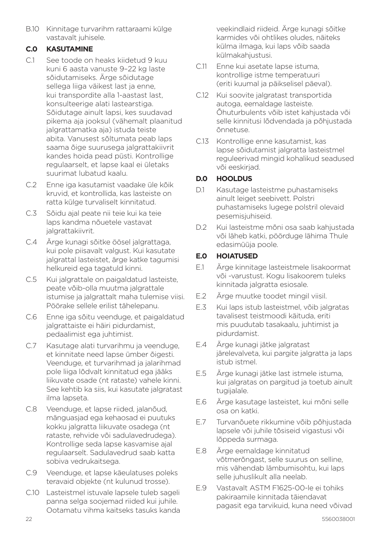B.10 Kinnitage turvarihm rattaraami külge vastavalt juhisele.

## **C.0 KASUTAMINE**

- C.1 See toode on heaks kiidetud 9 kuu kuni 6 aasta vanuste 9–22 kg laste sõidutamiseks. Ärge sõidutage sellega liiga väikest last ja enne, kui transpordite alla 1-aastast last, konsulteerige alati lastearstiga. Sõidutage ainult lapsi, kes suudavad pikema aja jooksul (vähemalt plaanitud jalgrattamatka aja) istuda teiste abita. Vanusest sõltumata peab laps saama õige suurusega jalgrattakiivrit kandes hoida pead püsti. Kontrollige regulaarselt, et lapse kaal ei ületaks suurimat lubatud kaalu.
- C.2 Enne iga kasutamist vaadake üle kõik kruvid, et kontrollida, kas lasteiste on ratta külge turvaliselt kinnitatud.
- C.3 Sõidu ajal peate nii teie kui ka teie laps kandma nõuetele vastavat jalgrattakiivrit.
- C.4 Ärge kunagi sõitke öösel jalgrattaga, kui pole piisavalt valgust. Kui kasutate jalgrattal lasteistet, ärge katke tagumisi helkureid ega tagatuld kinni.
- C.5 Kui jalgrattale on paigaldatud lasteiste, peate võib-olla muutma jalgrattale istumise ja jalgrattalt maha tulemise viisi. Pöörake sellele erilist tähelepanu.
- C.6 Enne iga sõitu veenduge, et paigaldatud jalgrattaiste ei häiri pidurdamist, pedaalimist ega juhtimist.
- C.7 Kasutage alati turvarihmu ja veenduge, et kinnitate need lapse ümber õigesti. Veenduge, et turvarihmad ja jalarihmad pole liiga lõdvalt kinnitatud ega jääks liikuvate osade (nt rataste) vahele kinni. See kehtib ka siis, kui kasutate jalgratast ilma lapseta.
- C.8 Veenduge, et lapse riided, jalanõud, mänguasjad ega kehaosad ei puutuks kokku jalgratta liikuvate osadega (nt rataste, rehvide või sadulavedrudega). Kontrollige seda lapse kasvamise ajal regulaarselt. Sadulavedrud saab katta sobiva vedrukaitsega.
- C.9 Veenduge, et lapse käeulatuses poleks teravaid objekte (nt kulunud trosse).
- C.10 Lasteistmel istuvale lapsele tuleb sageli panna selga soojemad riided kui juhile. Ootamatu vihma kaitseks tasuks kanda

veekindlaid riideid. Ärge kunagi sõitke karmides või ohtlikes oludes, näiteks külma ilmaga, kui laps võib saada külmakahjustusi.

- C.11 Enne kui asetate lapse istuma kontrollige istme temperatuuri (eriti kuumal ja päikselisel päeval).
- C.12 Kui soovite jalgratast transportida autoga, eemaldage lasteiste. Õhuturbulents võib istet kahjustada või selle kinnitusi lõdvendada ja põhjustada õnnetuse.
- C.13 Kontrollige enne kasutamist, kas lapse sõidutamist jalgratta lasteistmel reguleerivad mingid kohalikud seadused või eeskirjad.

## **D.0 HOOLDUS**

- D.1 Kasutage lasteistme puhastamiseks ainult leiget seebivett. Polstri puhastamiseks lugege polstril olevaid pesemisjuhiseid.
- D.2 Kui lasteistme mõni osa saab kahjustada või läheb katki, pöörduge lähima Thule edasimüüja poole.

### **E.0 HOIATUSED**

- E.1 Ärge kinnitage lasteistmele lisakoormat või -varustust. Kogu lisakoorem tuleks kinnitada jalgratta esiosale.
- E.2 Ärge muutke toodet mingil viisil.
- E.3 Kui laps istub lasteistmel, võib jalgratas tavalisest teistmoodi käituda, eriti mis puudutab tasakaalu, juhtimist ja pidurdamist.
- E.4 Ärge kunagi jätke jalgratast järelevalveta, kui pargite jalgratta ja laps istub istmel.
- E.5 Ärge kunagi jätke last istmele istuma, kui jalgratas on pargitud ja toetub ainult tugijalale.
- E.6 Ärge kasutage lasteistet, kui mõni selle osa on katki.
- E.7 Turvanõuete rikkumine võib põhjustada lapsele või juhile tõsiseid vigastusi või lõppeda surmaga.
- E.8 Ärge eemaldage kinnitatud võtmerõngast, selle suurus on selline, mis vähendab lämbumisohtu, kui laps selle juhuslikult alla neelab.
- E.9 Vastavalt ASTM F1625-00-le ei tohiks pakiraamile kinnitada täiendavat pagasit ega tarvikuid, kuna need võivad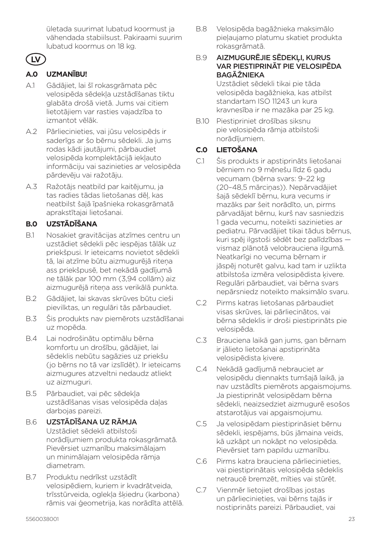ületada suurimat lubatud koormust ja vähendada stabiilsust. Pakiraami suurim lubatud koormus on 18 kg.

## **LV**

## **A.0 UZMANĪBU!**

- A.1 Gādājiet, lai šī rokasgrāmata pēc velosipēda sēdekļa uzstādīšanas tiktu glabāta drošā vietā. Jums vai citiem lietotājiem var rasties vajadzība to izmantot vēlāk.
- A.2 Pārliecinieties, vai jūsu velosipēds ir saderīgs ar šo bērnu sēdekli. Ja jums rodas kādi jautājumi, pārbaudiet velosipēda komplektācijā iekļauto informāciju vai sazinieties ar velosipēda pārdevēju vai ražotāju.
- A.3 Ražotājs neatbild par kaitējumu, ja tas radies tādas lietošanas dēļ, kas neatbilst šajā īpašnieka rokasgrāmatā aprakstītajai lietošanai.

## **B.0 UZSTĀDĪŠANA**

- B.1 Nosakiet gravitācijas atzīmes centru un uzstādiet sēdekli pēc iespējas tālāk uz priekšpusi. Ir ieteicams novietot sēdekli tā, lai atzīme būtu aizmugurējā riteņa ass priekšpusē, bet nekādā gadījumā ne tālāk par 100 mm (3,94 collām) aiz aizmugurējā riteņa ass verikālā punkta.
- B.2 Gādājiet, lai skavas skrūves būtu cieši pievilktas, un regulāri tās pārbaudiet.
- B.3 Šis produkts nav piemērots uzstādīšanai uz mopēda.
- B.4 Lai nodrošinātu optimālu bērna komfortu un drošību, gādājiet, lai sēdeklis nebūtu sagāzies uz priekšu (jo bērns no tā var izslīdēt). Ir ieteicams aizmugures atzveltni nedaudz atliekt uz aizmuguri.
- B.5 Pārbaudiet, vai pēc sēdekļa uzstādīšanas visas velosipēda daļas darbojas pareizi.
- B.6 UZSTĀDĪŠANA UZ RĀMJA Uzstādiet sēdekli atbilstoši norādījumiem produkta rokasgrāmatā. Pievērsiet uzmanību maksimālajam un minimālajam velosipēda rāmja diametram.
- B.7 Produktu nedrīkst uzstādīt velosipēdiem, kuriem ir kvadrātveida, trīsstūrveida, oglekļa šķiedru (karbona) rāmis vai ģeometrija, kas norādīta attēlā.

B.8 Velosipēda bagāžnieka maksimālo pieļaujamo platumu skatiet produkta rokasgrāmatā.

#### B.9 AIZMUGURĒJIE SĒDEKLI, KURUS VAR PIESTIPRINĀT PIE VELOSIPĒDA BAGĀŽNIEKA

Uzstādiet sēdekli tikai pie tāda velosipēda bagāžnieka, kas atbilst standartam ISO 11243 un kura kravnesība ir ne mazāka par 25 kg.

B.10 Piestipriniet drošības siksnu pie velosipēda rāmja atbilstoši norādījumiem.

## **C.0 LIETOŠANA**

- C.1 Šis produkts ir apstiprināts lietošanai bērniem no 9 mēnešu līdz 6 gadu vecumam (bērna svars: 9–22 kg (20–48,5 mārciņas)). Nepārvadājiet šajā sēdeklī bērnu, kura vecums ir mazāks par šeit norādīto, un, pirms pārvadājat bērnu, kurš nav sasniedzis 1 gada vecumu, noteikti sazinieties ar pediatru. Pārvadājiet tikai tādus bērnus, kuri spēj ilgstoši sēdēt bez palīdzības vismaz plānotā velobrauciena ilgumā. Neatkarīgi no vecuma bērnam ir jāspēj noturēt galvu, kad tam ir uzlikta atbilstoša izmēra velosipēdista ķivere. Regulāri pārbaudiet, vai bērna svars nepārsniedz noteikto maksimālo svaru.
- C.2 Pirms katras lietošanas pārbaudiet visas skrūves, lai pārliecinātos, vai bērna sēdeklis ir droši piestiprināts pie velosipēda.
- C.3 Brauciena laikā gan jums, gan bērnam ir jālieto lietošanai apstiprināta velosipēdista ķivere.
- C.4 Nekādā gadījumā nebrauciet ar velosipēdu diennakts tumšajā laikā, ja nav uzstādīts piemērots apgaismojums. Ja piestiprināt velosipēdam bērna sēdekli, neaizsedziet aizmugurē esošos atstarotājus vai apgaismojumu.
- C.5 Ja velosipēdam piestiprināsiet bērnu sēdekli, iespējams, būs jāmaina veids, kā uzkāpt un nokāpt no velosipēda. Pievērsiet tam papildu uzmanību.
- C.6 Pirms katra brauciena pārliecinieties, vai piestiprinātais velosipēda sēdeklis netraucē bremzēt, mīties vai stūrēt.
- C.7 Vienmēr lietojiet drošības jostas un pārliecinieties, vai bērns tajās ir nostiprināts pareizi. Pārbaudiet, vai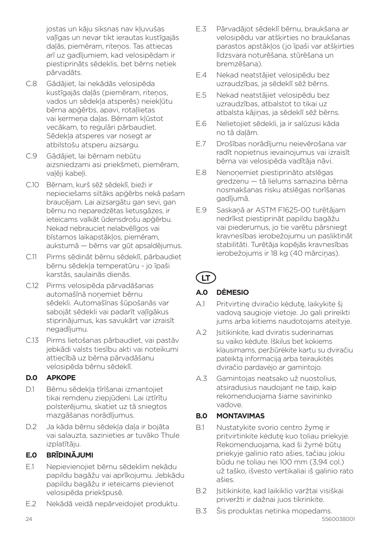jostas un kāju siksnas nav kļuvušas vaļīgas un nevar tikt ierautas kustīgajās daļās, piemēram, riteņos. Tas attiecas arī uz gadījumiem, kad velosipēdam ir piestiprināts sēdeklis, bet bērns netiek pārvadāts.

- C.8 Gādājiet, lai nekādās velosipēda kustīgajās daļās (piemēram, ritenos, vados un sēdekļa atsperēs) neiekļūtu bērna apģērbs, apavi, rotaļlietas vai kermena daļas. Bērnam kļūstot vecākam, to regulāri pārbaudiet. Sēdekļa atsperes var nosegt ar atbilstošu atsperu aizsargu.
- C.9 Gādājiet, lai bērnam nebūtu aizsniedzami asi priekšmeti, piemēram, valēji kabeli.
- C.10 Bērnam, kurš sēž sēdeklī, bieži ir nepieciešams siltāks apģērbs nekā pašam braucējam. Lai aizsargātu gan sevi, gan bērnu no neparedzētas lietusgāzes, ir ieteicams valkāt ūdensdrošu apģērbu. Nekad nebrauciet nelabvēlīgos vai bīstamos laikapstākļos, piemēram, aukstumā — bērns var gūt apsaldējumus.
- C.11 Pirms sēdināt bērnu sēdeklī, pārbaudiet bērnu sēdekļa temperatūru - jo īpaši karstās, saulainās dienās.
- C.12 Pirms velosipēda pārvadāšanas automašīnā noņemiet bērnu sēdekli. Automašīnas šūpošanās var sabojāt sēdekli vai padarīt vaļīgākus stiprinājumus, kas savukārt var izraisīt negadījumu.
- C.13 Pirms lietošanas pārbaudiet, vai pastāv jebkādi valsts tiesību akti vai noteikumi attiecībā uz bērna pārvadāšanu velosipēda bērnu sēdeklī.

### **D.0 APKOPE**

- D.1 Bērnu sēdekļa tīrīšanai izmantojiet tikai remdenu ziepjūdeni. Lai iztīrītu polsterējumu, skatiet uz tā sniegtos mazgāšanas norādījumus.
- D.2 Ja kāda bērnu sēdekļa daļa ir bojāta vai salauzta, sazinieties ar tuvāko Thule izplatītāju.

## **E.0 BRĪDINĀJUMI**

- E.1 Nepievienojiet bērnu sēdeklim nekādu papildu bagāžu vai aprīkojumu. Jebkādu papildu bagāžu ir ieteicams pievienot velosipēda priekšpusē.
- E.2 Nekādā veidā nepārveidojiet produktu.
- E.3 Pārvadājot sēdeklī bērnu, braukšana ar velosipēdu var atšķirties no braukšanas parastos apstākļos (jo īpaši var atšķirties līdzsvara noturēšana, stūrēšana un bremzēšana).
- E.4 Nekad neatstājiet velosipēdu bez uzraudzības, ja sēdeklī sēž bērns.
- E.5 Nekad neatstājiet velosipēdu bez uzraudzības, atbalstot to tikai uz atbalsta kājiņas, ja sēdeklī sēž bērns.
- E.6 Nelietojiet sēdekli, ja ir salūzusi kāda no tā daļām.
- E.7 Drošības norādījumu neievērošana var radīt nopietnus ievainojumus vai izraisīt bērna vai velosipēda vadītāja nāvi.
- E.8 Nenoņemiet piestiprināto atslēgas gredzenu — tā lielums samazina bērna nosmakšanas risku atslēgas norīšanas gadījumā.
- E.9 Saskaņā ar ASTM F1625-00 turētājam nedrīkst piestiprināt papildu bagāžu vai piederumus, jo tie varētu pārsniegt kravnesības ierobežojumu un pasliktināt stabilitāti. Turētāja kopējās kravnesības ierobežojums ir 18 kg (40 mārcinas).

# **LT**

## **A.0 DĖMESIO**

- A.1 Pritvirtinę dviračio kėdutę, laikykite šį vadovą saugioje vietoje. Jo gali prireikti jums arba kitiems naudotojams ateityje.
- A.2 Isitikinkite, kad dviratis suderinamas su vaiko kėdute. Iškilus bet kokiems klausimams, peržiūrėkite kartu su dviračiu pateiktą informaciją arba teiraukitės dviračio pardavėjo ar gamintojo.
- A.3 Gamintojas neatsako už nuostolius, atsiradusius naudojant ne taip, kaip rekomenduojama šiame savininko vadove.

## **B.0 MONTAVIMAS**

- B.1 Nustatykite svorio centro žymę ir pritvirtinkite kėdutę kuo toliau priekyje. Rekomenduojama, kad ši žymė būtų priekyje galinio rato ašies, tačiau jokiu būdu ne toliau nei 100 mm (3,94 col.) už taško, išvesto vertikaliai iš galinio rato ašies.
- B.2 Isitikinkite, kad laikiklio varžtai visiškai priveržti ir dažnai juos tikrinkite.
- B.3 Šis produktas netinka mopedams.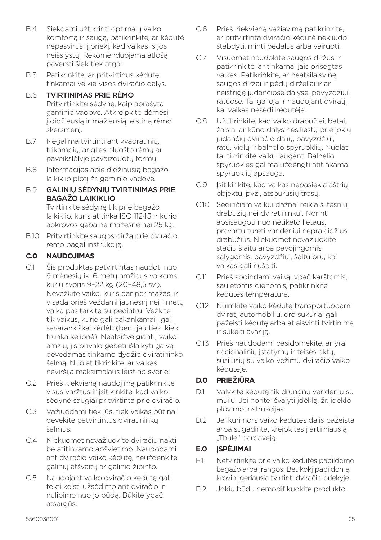- B.4 Siekdami užtikrinti optimalų vaiko komfortą ir saugą, patikrinkite, ar kėdutė nepasvirusi į priekį, kad vaikas iš jos neišslystų. Rekomenduojama atlošą paversti šiek tiek atgal.
- B.5 Patikrinkite, ar pritvirtinus kėdutę tinkamai veikia visos dviračio dalys.

#### B.6 TVIRTINIMAS PRIE RĖMO Pritvirtinkite sėdynę, kaip aprašyta gaminio vadove. Atkreipkite dėmesį į didžiausią ir mažiausią leistiną rėmo skersmenį.

- B.7 Negalima tvirtinti ant kvadratinių, trikampių, anglies pluošto rėmų ar paveikslėlyje pavaizduotų formų.
- B.8 Informacijos apie didžiausią bagažo laikiklio plotį žr. gaminio vadove.

### B.9 GALINIŲ SĖDYNIŲ TVIRTINIMAS PRIE BAGAŽO LAIKIKLIO

Tvirtinkite sėdynę tik prie bagažo laikiklio, kuris atitinka ISO 11243 ir kurio apkrovos geba ne mažesnė nei 25 kg.

B.10 Pritvirtinkite saugos diržą prie dviračio rėmo pagal instrukciją.

### **C.0 NAUDOJIMAS**

- C.1 Šis produktas patvirtintas naudoti nuo 9 mėnesių iki 6 metų amžiaus vaikams, kurių svoris 9–22 kg (20–48,5 sv.). Nevežkite vaiko, kuris dar per mažas, ir visada prieš veždami jaunesnį nei 1 metų vaiką pasitarkite su pediatru. Vežkite tik vaikus, kurie gali pakankamai ilgai savarankiškai sėdėti (bent jau tiek, kiek trunka kelionė). Neatsižvelgiant į vaiko amžių, jis privalo gebėti išlaikyti galvą dėvėdamas tinkamo dydžio dviratininko šalmą. Nuolat tikrinkite, ar vaikas neviršija maksimalaus leistino svorio.
- C.2 Prieš kiekvieną naudojimą patikrinkite visus varžtus ir įsitikinkite, kad vaiko sėdynė saugiai pritvirtinta prie dviračio.
- C.3 Važiuodami tiek jūs, tiek vaikas būtinai dėvėkite patvirtintus dviratininkų šalmus.
- C.4 Niekuomet nevažiuokite dviračiu naktį be atitinkamo apšvietimo. Naudodami ant dviračio vaiko kėdutę, neuždenkite galinių atšvaitų ar galinio žibinto.
- C.5 Naudojant vaiko dviračio kėdutę gali tekti keisti užsėdimo ant dviračio ir nulipimo nuo jo būdą. Būkite ypač atsargūs.
- C.6 Prieš kiekvieną važiavimą patikrinkite, ar pritvirtinta dviračio kėdutė nekliudo stabdyti, minti pedalus arba vairuoti.
- C.7 Visuomet naudokite saugos diržus ir patikrinkite, ar tinkamai jais prisegtas vaikas. Patikrinkite, ar neatsilaisvinę saugos diržai ir pėdų dirželiai ir ar neįstrigę judančiose dalyse, pavyzdžiui, ratuose. Tai galioja ir naudojant dviratį, kai vaikas nesėdi kėdutėje.
- C.8 Užtikrinkite, kad vaiko drabužiai, batai, žaislai ar kūno dalys nesiliestų prie jokių judančių dviračio dalių, pavyzdžiui, ratų, vielų ir balnelio spyruoklių. Nuolat tai tikrinkite vaikui augant. Balnelio spyruokles galima uždengti atitinkama spyruoklių apsauga.
- C.9 Įsitikinkite, kad vaikas nepasiekia aštrių objektų, pvz., atspurusių trosų.
- C.10 Sėdinčiam vaikui dažnai reikia šiltesnių drabužių nei dviratininkui. Norint apsisaugoti nuo netikėto lietaus, pravartu turėti vandeniui nepralaidžius drabužius. Niekuomet nevažiuokite stačiu šlaitu arba pavojingomis sąlygomis, pavyzdžiui, šaltu oru, kai vaikas gali nušalti.
- C.11 Prieš sodindami vaiką, ypač karštomis, saulėtomis dienomis, patikrinkite kėdutės temperatūrą.
- C.12 Nuimkite vaiko kėdutę transportuodami dviratį automobiliu. oro sūkuriai gali pažeisti kėdutę arba atlaisvinti tvirtinimą ir sukelti avariją.
- C.13 Prieš naudodami pasidomėkite, ar yra nacionalinių įstatymų ir teisės aktų, susijusių su vaiko vežimu dviračio vaiko kėdutėje.

## **D.0 PRIEŽIŪRA**

- D.1 Valykite kėdutę tik drungnu vandeniu su muilu. Jei norite išvalyti įdėklą, žr. įdėklo plovimo instrukcijas.
- D.2 Jei kuri nors vaiko kėdutės dalis pažeista arba sugadinta, kreipkitės į artimiausią "Thule" pardavėją.

## **E.0 ĮSPĖJIMAI**

- E.1 Netvirtinkite prie vaiko kėdutės papildomo bagažo arba įrangos. Bet kokį papildomą krovinį geriausia tvirtinti dviračio priekyje.
- E.2 Jokiu būdu nemodifikuokite produkto.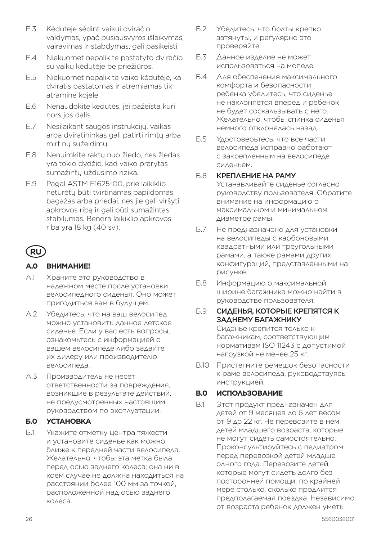- E.3 Kėdutėje sėdint vaikui dviračio valdymas, ypač pusiausvyros išlaikymas, vairavimas ir stabdymas, gali pasikeisti.
- E.4 Niekuomet nepalikite pastatyto dviračio su vaiku kėdutėje be priežiūros.
- E.5 Niekuomet nepalikite vaiko kėdutėje, kai dviratis pastatomas ir atremiamas tik atramine kojele.
- E.6 Nenaudokite kėdutės, jei pažeista kuri nors jos dalis.
- E.7 Nesilaikant saugos instrukcijų, vaikas arba dviratininkas gali patirti rimtų arba mirtinų sužeidimų.
- E.8 Nenuimkite raktų nuo žiedo, nes žiedas yra tokio dydžio, kad vaiko prarytas sumažintų uždusimo riziką.
- E.9 Pagal ASTM F1625-00, prie laikiklio neturėtų būti tvirtinamas papildomas bagažas arba priedai, nes jie gali viršyti apkrovos ribą ir gali būti sumažintas stabilumas. Bendra laikiklio apkrovos riba yra 18 kg (40 sv).

## **RU**

#### **А.0 ВНИМАНИЕ!**

- А.1 Храните это руководство в надежном месте после установки велосипедного сиденья. Оно может пригодиться вам в будущем.
- А.2 Убедитесь, что на ваш велосипед можно установить данное детское сиденье. Если у вас есть вопросы, ознакомьтесь с информацией о вашем велосипеде либо задайте их дилеру или производителю велосипеда.
- А.3 Производитель не несет ответственности за повреждения, возникшие в результате действий, не предусмотренных настоящим руководством по эксплуатации.

#### **Б.0 УСТАНОВКА**

Б.1 Укажите отметку центра тяжести и установите сиденье как можно ближе к передней части велосипеда. Желательно, чтобы эта метка была перед осью заднего колеса; она ни в коем случае не должна находиться на расстоянии более 100 мм за точкой, расположенной над осью заднего колеса.

- Б.2 Убедитесь, что болты крепко затянуты, и регулярно это проверяйте.
- Б.3 Данное изделие не может использоваться на мопеде.
- Б.4 Для обеспечения максимального комфорта и безопасности ребенка убедитесь, что сиденье не наклоняется вперед и ребенок не будет соскальзывать с него. Желательно, чтобы спинка сиденья немного отклонялась назад.
- Б.5 Удостоверьтесь, что все части велосипеда исправно работают с закрепленным на велосипеде сиденьем.

#### Б.6 КРЕПЛЕНИЕ НА РАМУ

Устанавливайте сиденье согласно руководству пользователя. Обратите внимание на информацию о максимальном и минимальном диаметре рамы.

- Б.7 Не предназначено для установки на велосипеды с карбоновыми, квадратными или треугольными рамами, а также рамами других конфигураций, представленными на рисунке.
- Б.8 Информацию о максимальной ширине багажника можно найти в руководстве пользователя.

#### Б.9 СИДЕНЬЯ, КОТОРЫЕ КРЕПЯТСЯ К ЗАДНЕМУ БАГАЖНИКУ Сиденье крепится только к багажникам, соответствующим нормативам ISO 11243 с допустимой нагрузкой не менее 25 кг.

B.10 Пристегните ремешок безопасности к раме велосипеда, руководствуясь инструкцией.

#### **В.0 ИСПОЛЬЗОВАНИЕ**

В.1 Этот продукт предназначен для детей от 9 месяцев до 6 лет весом от 9 до 22 кг. Не перевозите в нем детей младшего возраста, которые не могут сидеть самостоятельно. Проконсультируйтесь с педиатром перед перевозкой детей младше одного года. Перевозите детей, которые могут сидеть долго без посторонней помощи, по крайней мере столько, сколько продлится предполагаемая поездка. Независимо от возраста ребенок должен уметь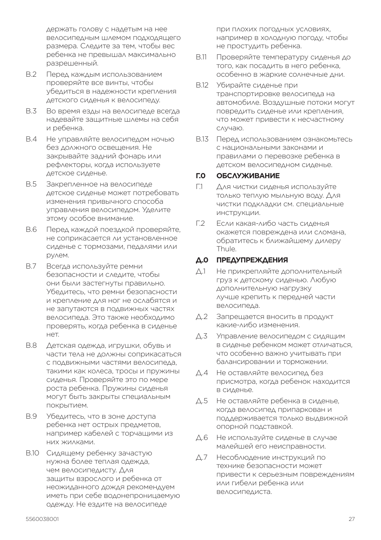держать голову с надетым на нее велосипедным шлемом подходящего размера. Следите за тем, чтобы вес ребенка не превышал максимально разрешенный.

- В.2 Перед каждым использованием проверяйте все винты, чтобы убедиться в надежности крепления детского сиденья к велосипеду.
- В.3 Во время езды на велосипеде всегда надевайте защитные шлемы на себя и ребенка.
- В.4 Не управляйте велосипедом ночью без должного освещения. Не закрывайте задний фонарь или рефлекторы, когда используете детское сиденье.
- В.5 Закрепленное на велосипеде детское сиденье может потребовать изменения привычного способа управления велосипедом. Уделите этому особое внимание.
- В.6 Перед каждой поездкой проверяйте, не соприкасается ли установленное сиденье с тормозами, педалями или рулем.
- В.7 Всегда используйте ремни безопасности и следите, чтобы они были застегнуты правильно. Убедитесь, что ремни безопасности и крепление для ног не ослабятся и не запутаются в подвижных частях велосипеда. Это также необходимо проверять, когда ребенка в сиденье нет.
- В.8 Детская одежда, игрушки, обувь и части тела не должны соприкасаться с подвижными частями велосипеда, такими как колеса, тросы и пружины сиденья. Проверяйте это по мере роста ребенка. Пружины сиденья могут быть закрыты специальным покрытием.
- В.9 Убедитесь, что в зоне доступа ребенка нет острых предметов, например кабелей с торчащими из них жилками.
- В.10 Сидящему ребенку зачастую нужна более теплая одежда, чем велосипедисту. Для защиты взрослого и ребенка от неожиданного дождя рекомендуем иметь при себе водонепроницаемую одежду. Не ездите на велосипеде

при плохих погодных условиях, например в холодную погоду, чтобы не простудить ребенка.

- В.11 Проверяйте температуру сиденья до того, как посадить в него ребенка, особенно в жаркие солнечные дни.
- В.12 Убирайте сиденье при транспортировке велосипеда на автомобиле. Воздушные потоки могут повредить сиденье или крепления, что может привести к несчастному случаю.
- В.13 Перед использованием ознакомьтесь с национальными законами и правилами о перевозке ребенка в детском велосипедном сиденье.

#### **Г.0 ОБСЛУЖИВАНИЕ**

- Г.1 Для чистки сиденья используйте только теплую мыльную воду. Для чистки подкладки см. специальные инструкции.
- Г.2 Если какая-либо часть сиденья окажется повреждена или сломана, обратитесь к ближайшему дилеру Thule.

### **Д.0 ПРЕДУПРЕЖДЕНИЯ**

- Д.1 Не прикрепляйте дополнительный груз к детскому сиденью. Любую дополнительную нагрузку лучше крепить к передней части велосипеда.
- Д.2 Запрещается вносить в продукт какие-либо изменения.
- Д.3 Управление велосипедом с сидящим в сиденье ребенком может отличаться, что особенно важно учитывать при балансировании и торможении.
- Д.4 Не оставляйте велосипед без присмотра, когда ребенок находится в сиденье.
- Д.5 Не оставляйте ребенка в сиденье, когда велосипед припаркован и поддерживается только выдвижной опорной подставкой.
- Д.6 Не используйте сиденье в случае малейшей его неисправности.
- Д.7 Несоблюдение инструкций по технике безопасности может привести к серьезным повреждениям или гибели ребенка или велосипедиста.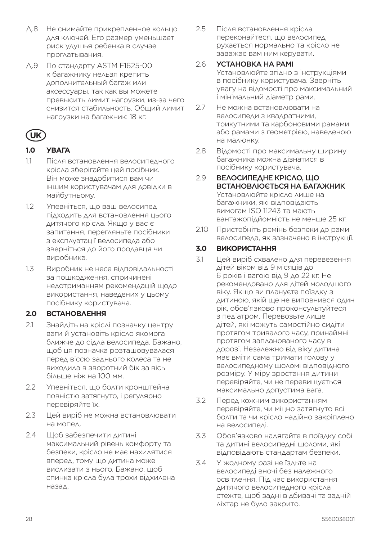- Д.8 Не снимайте прикрепленное кольцо для ключей. Его размер уменьшает риск удушья ребенка в случае проглатывания.
- Д.9 По стандарту ASTM F1625-00 к багажнику нельзя крепить дополнительный багаж или аксессуары, так как вы можете превысить лимит нагрузки, из-за чего снизится стабильность. Общий лимит нагрузки на багажник: 18 кг.

# **UK**

## **1.0 УВАГА**

- 1.1 Після встановлення велосипедного крісла зберігайте цей посібник. Він може знадобитися вам чи іншим користувачам для довідки в майбутньому.
- 1.2 Упевніться, що ваш велосипед підходить для встановлення цього дитячого крісла. Якщо у вас є запитання, перегляньте посібники з експлуатації велосипеда або зверніться до його продавця чи виробника.
- 1.3 Виробник не несе відповідальності за пошкодження, спричинені недотриманням рекомендацій щодо використання, наведених у цьому посібнику користувача.

## **2.0 ВСТАНОВЛЕННЯ**

- 2.1 Знайдіть на кріслі позначку центру ваги й установіть крісло якомога ближче до сідла велосипеда. Бажано, щоб ця позначка розташовувалася перед віссю заднього колеса та не виходила в зворотний бік за вісь більше ніж на 100 мм.
- 2.2 Упевніться, що болти кронштейна повністю затягнуто, і регулярно перевіряйте їх.
- 2.3 Цей виріб не можна встановлювати на мопед.
- 2.4 Щоб забезпечити дитині максимальний рівень комфорту та безпеки, крісло не має нахилятися вперед, тому що дитина може вислизати з нього. Бажано, щоб спинка крісла була трохи відхилена назад.

2.5 Після встановлення крісла переконайтеся, що велосипед рухається нормально та крісло не заважає вам ним керувати.

### 2.6 УСТАНОВКА НА РАМІ

Установлюйте згідно з інструкціями в посібнику користувача. Зверніть увагу на відомості про максимальний і мінімальний діаметр рами.

- 2.7 Не можна встановлювати на велосипеди з квадратними, трикутними та карбоновими рамами або рамами з геометрією, наведеною на малюнку.
- 2.8 Відомості про максимальну ширину багажника можна дізнатися в посібнику користувача.

#### 2.9 ВЕЛОСИПЕДНЕ КРІСЛО, ЩО ВСТАНОВЛЮЄТЬСЯ НА БАГАЖНИК Установлюйте крісло лише на багажники, які відповідають вимогам ISO 11243 та мають вантажопідйомність не менше 25 кг.

2.10 Пристебніть ремінь безпеки до рами велосипеда, як зазначено в інструкції.

## **3.0 ВИКОРИСТАННЯ**

- 3.1 Цей виріб схвалено для перевезення дітей віком від 9 місяців до 6 років і вагою від 9 до 22 кг. Не рекомендовано для дітей молодшого віку. Якщо ви плануєте поїздку з дитиною, якій ще не виповнився один рік, обов'язково проконсультуйтеся з педіатром. Перевозьте лише дітей, які можуть самостійно сидіти протягом тривалого часу, принаймні протягом запланованого часу в дорозі. Незалежно від віку дитина має вміти сама тримати голову у велосипедному шоломі відповідного розміру. У міру зростання дитини перевіряйте, чи не перевищується максимально допустима вага.
- 3.2 Перед кожним використанням перевіряйте, чи міцно затягнуто всі болти та чи крісло надійно закріплено на велосипеді.
- 3.3 Обов'язково надягайте в поїздку собі та дитині велосипедні шоломи, які відповідають стандартам безпеки.
- 3.4 У жодному разі не їздьте на велосипеді вночі без належного освітлення. Під час використання дитячого велосипедного крісла стежте, щоб задні відбивачі та задній ліхтар не було закрито.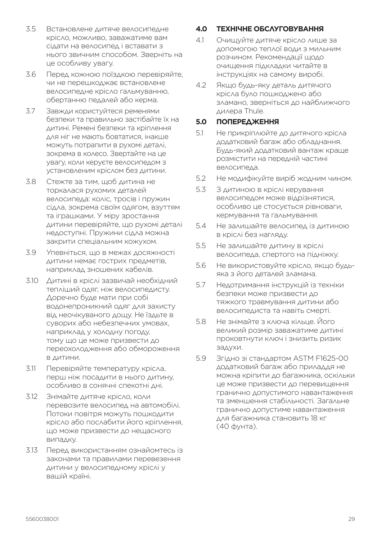- 3.5 Встановлене дитяче велосипедне крісло, можливо, заважатиме вам сідати на велосипед і вставати з нього звичним способом. Зверніть на це особливу увагу.
- 3.6 Перед кожною поїздкою перевіряйте, чи не перешкоджає встановлене велосипедне крісло гальмуванню, обертанню педалей або керма.
- 3.7 Завжди користуйтеся ременями безпеки та правильно застібайте їх на дитині. Ремені безпеки та кріплення для ніг не мають бовтатися, інакше можуть потрапити в рухомі деталі, зокрема в колесо. Звертайте на це увагу, коли керуєте велосипедом з установленим кріслом без дитини.
- 3.8 Стежте за тим, щоб дитина не торкалася рухомих деталей велосипеда: коліс, тросів і пружин сідла, зокрема своїм одягом, взуттям та іграшками. У міру зростання дитини перевіряйте, що рухомі деталі недоступні. Пружини сідла можна закрити спеціальним кожухом.
- 3.9 Упевніться, що в межах досяжності дитини немає гострих предметів, наприклад зношених кабелів.
- 3.10 Дитині в кріслі зазвичай необхідний тепліший одяг, ніж велосипедисту. Доречно буде мати при собі водонепроникний одяг для захисту від неочікуваного дощу. Не їздьте в суворих або небезпечних умовах, наприклад у холодну погоду, тому що це може призвести до переохолодження або обмороження в дитини.
- 3.11 Перевіряйте температуру крісла, перш ніж посадити в нього дитину, особливо в сонячні спекотні дні.
- 3.12 Знімайте дитяче крісло, коли перевозите велосипед на автомобілі. Потоки повітря можуть пошкодити крісло або послабити його кріплення, що може призвести до нещасного випадку.
- 3.13 Перед використанням ознайомтесь із законами та правилами перевезення дитини у велосипедному кріслі у вашій країні.

## **4.0 ТЕХНІЧНЕ ОБСЛУГОВУВАННЯ**

- 4.1 Очищуйте дитяче крісло лише за допомогою теплої води з мильним розчином. Рекомендації щодо очищення підкладки читайте в інструкціях на самому виробі.
- 4.2 Якщо будь-яку деталь дитячого крісла було пошкоджено або зламано, зверніться до найближчого дилера Thule.

#### **5.0 ПОПЕРЕДЖЕННЯ**

- 5.1 Не прикріплюйте до дитячого крісла додатковий багаж або обладнання. Будь-який додатковий вантаж краще розмістити на передній частині велосипеда.
- 5.2 Не модифікуйте виріб жодним чином.
- 5.3 З дитиною в кріслі керування велосипедом може відрізнятися, особливо це стосується рівноваги, кермування та гальмування.
- 5.4 Не залишайте велосипед із дитиною в кріслі без нагляду.
- 5.5 Не залишайте дитину в кріслі велосипеда, спертого на підніжку.
- 5.6 Не використовуйте крісло, якщо будьяка з його деталей зламана.
- 5.7 Недотримання інструкцій із техніки безпеки може призвести до тяжкого травмування дитини або велосипедиста та навіть смерті.
- 5.8 Не знімайте з ключа кільце. Його великий розмір заважатиме дитині проковтнути ключ і знизить ризик задухи.
- 5.9 Згідно зі стандартом ASTM F1625-00 додатковий багаж або приладдя не можна кріпити до багажника, оскільки це може призвести до перевищення гранично допустимого навантаження та зменшення стабільності. Загальне гранично допустиме навантаження для багажника становить 18 кг (40 фунта).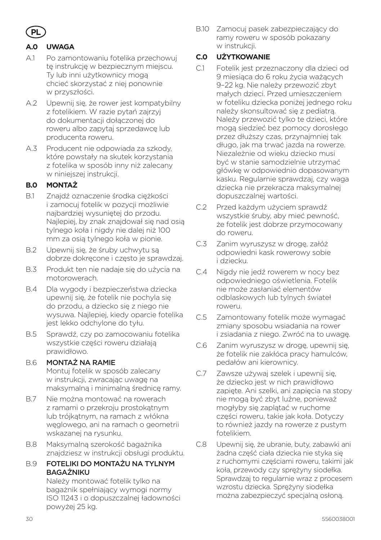

## **A.0 UWAGA**

- A.1 Po zamontowaniu fotelika przechowuj tę instrukcję w bezpiecznym miejscu. Ty lub inni użytkownicy mogą chcieć skorzystać z niej ponownie w przyszłości.
- A.2 Upewnij się, że rower jest kompatybilny z fotelikiem. W razie pytań zajrzyj do dokumentacji dołączonej do roweru albo zapytaj sprzedawcę lub producenta roweru.
- A.3 Producent nie odpowiada za szkody, które powstały na skutek korzystania z fotelika w sposób inny niż zalecany w niniejszej instrukcji.

### **B.0 MONTAŻ**

- B.1 Znajdź oznaczenie środka ciężkości i zamocuj fotelik w pozycji możliwie najbardziej wysuniętej do przodu. Najlepiej, by znak znajdował się nad osią tylnego koła i nigdy nie dalej niż 100 mm za osią tylnego koła w pionie.
- B.2 Upewnij się, że śruby uchwytu są dobrze dokręcone i często je sprawdzaj.
- B.3 Produkt ten nie nadaje się do użycia na motorowerach.
- B.4 Dla wygody i bezpieczeństwa dziecka upewnij się, że fotelik nie pochyla się do przodu, a dziecko się z niego nie wysuwa. Najlepiej, kiedy oparcie fotelika jest lekko odchylone do tyłu.
- B.5 Sprawdź, czy po zamocowaniu fotelika wszystkie części roweru działają prawidłowo.

#### B.6 MONTAŻ NA RAMIE

Montuj fotelik w sposób zalecany w instrukcji, zwracając uwagę na maksymalną i minimalną średnicę ramy.

- B.7 Nie można montować na rowerach z ramami o przekroju prostokątnym lub trójkątnym, na ramach z włókna węglowego, ani na ramach o geometrii wskazanej na rysunku.
- B.8 Maksymalną szerokość bagażnika znajdziesz w instrukcji obsługi produktu.

#### B.9 FOTELIKI DO MONTAŻU NA TYLNYM BAGAŻNIKU

Należy montować fotelik tylko na bagażnik spełniający wymogi normy ISO 11243 i o dopuszczalnej ładowności powyżej 25 kg.

B.10 Zamocuj pasek zabezpieczający do ramy roweru w sposób pokazany w instrukcji.

#### **C.0 UŻYTKOWANIE**

- C.1 Fotelik jest przeznaczony dla dzieci od 9 miesiąca do 6 roku życia ważących 9–22 kg. Nie należy przewozić zbyt małych dzieci. Przed umieszczeniem w foteliku dziecka poniżej jednego roku należy skonsultować się z pediatrą. Należy przewozić tylko te dzieci, które mogą siedzieć bez pomocy dorosłego przez dłuższy czas, przynajmniej tak długo, jak ma trwać jazda na rowerze. Niezależnie od wieku dziecko musi być w stanie samodzielnie utrzymać główkę w odpowiednio dopasowanym kasku. Regularnie sprawdzaj, czy waga dziecka nie przekracza maksymalnej dopuszczalnej wartości.
- C.2 Przed każdym użyciem sprawdź wszystkie śruby, aby mieć pewność, że fotelik jest dobrze przymocowany do roweru.
- C.3 Zanim wyruszysz w drogę, załóż odpowiedni kask rowerowy sobie i dziecku.
- C.4 Nigdy nie jedź rowerem w nocy bez odpowiedniego oświetlenia. Fotelik nie może zasłaniać elementów odblaskowych lub tylnych świateł roweru.
- C.5 Zamontowany fotelik może wymagać zmiany sposobu wsiadania na rower i zsiadania z niego. Zwróć na to uwagę.
- C.6 Zanim wyruszysz w drogę, upewnij się, że fotelik nie zakłóca pracy hamulców, pedałów ani kierownicy.
- C.7 Zawsze używaj szelek i upewnij się, że dziecko jest w nich prawidłowo zapięte. Ani szelki, ani zapięcia na stopy nie mogą być zbyt luźne, ponieważ mogłyby się zaplątać w ruchome części roweru, takie jak koła. Dotyczy to również jazdy na rowerze z pustym fotelikiem.
- C.8 Upewnij się, że ubranie, buty, zabawki ani żadna część ciała dziecka nie styka się z ruchomymi częściami roweru, takimi jak koła, przewody czy sprężyny siodełka. Sprawdzaj to regularnie wraz z procesem wzrostu dziecka. Sprężyny siodełka można zabezpieczyć specjalną osłoną.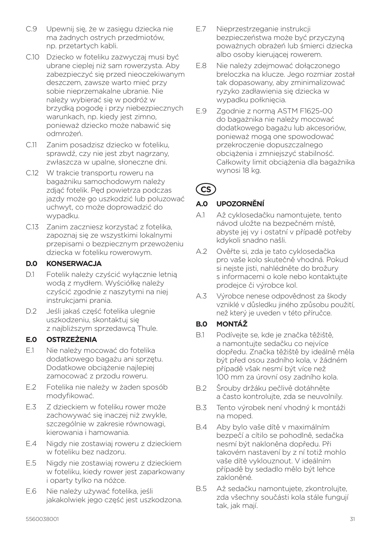- C.9 Upewnij się, że w zasięgu dziecka nie ma żadnych ostrych przedmiotów, np. przetartych kabli.
- C.10 Dziecko w foteliku zazwyczaj musi być ubrane cieplej niż sam rowerzysta. Aby zabezpieczyć się przed nieoczekiwanym deszczem, zawsze warto mieć przy sobie nieprzemakalne ubranie. Nie należy wybierać się w podróż w brzydką pogodę i przy niebezpiecznych warunkach, np. kiedy jest zimno, ponieważ dziecko może nabawić się odmrożeń.
- C.11 Zanim posadzisz dziecko w foteliku, sprawdź, czy nie jest zbyt nagrzany, zwłaszcza w upalne, słoneczne dni.
- C.12 W trakcie transportu roweru na bagażniku samochodowym należy zdiąć fotelik. Ped powietrza podczas jazdy może go uszkodzić lub poluzować uchwyt, co może doprowadzić do wypadku.
- C.13 Zanim zaczniesz korzystać z fotelika, zapoznaj się ze wszystkimi lokalnymi przepisami o bezpiecznym przewożeniu dziecka w foteliku rowerowym.

### **D.0 KONSERWACJA**

- D.1 Fotelik należy czyścić wyłącznie letnią wodą z mydłem. Wyściółkę należy czyścić zgodnie z naszytymi na niej instrukcjami prania.
- D.2 Jeśli jakaś część fotelika ulegnie uszkodzeniu, skontaktuj się z najbliższym sprzedawcą Thule.

#### **E.0 OSTRZEŻENIA**

- E.1 Nie należy mocować do fotelika dodatkowego bagażu ani sprzętu. Dodatkowe obciążenie najlepiej zamocować z przodu roweru.
- E.2 Fotelika nie należy w żaden sposób modyfikować.
- E.3 Z dzieckiem w foteliku rower może zachowywać się inaczej niż zwykle, szczególnie w zakresie równowagi, kierowania i hamowania.
- E.4 Nigdy nie zostawiaj roweru z dzieckiem w foteliku bez nadzoru.
- E.5 Nigdy nie zostawiaj roweru z dzieckiem w foteliku, kiedy rower jest zaparkowany i oparty tylko na nóżce.
- E.6 Nie należy używać fotelika, jeśli jakakolwiek jego część jest uszkodzona.
- E.7 Nieprzestrzeganie instrukcji bezpieczeństwa może być przyczyną poważnych obrażeń lub śmierci dziecka albo osoby kierującej rowerem.
- E.8 Nie należy zdejmować dołączonego breloczka na klucze. Jego rozmiar został tak dopasowany, aby zminimalizować ryzyko zadławienia się dziecka w wypadku połknięcia.
- E.9 Zgodnie z normą ASTM F1625-00 do bagażnika nie należy mocować dodatkowego bagażu lub akcesoriów, ponieważ mogą one spowodować przekroczenie dopuszczalnego obciążenia i zmniejszyć stabilność. Całkowity limit obciążenia dla bagażnika wynosi 18 kg.

# **CS**

## **A.0 UPOZORNĚNÍ**

- A.1 Až cyklosedačku namontujete, tento návod uložte na bezpečném místě, abyste jej vy i ostatní v případě potřeby kdykoli snadno našli.
- A.2 Ověřte si, zda je tato cyklosedačka pro vaše kolo skutečně vhodná. Pokud si nejste jisti, nahlédněte do brožury s informacemi o kole nebo kontaktujte prodejce či výrobce kol.
- A.3 Výrobce nenese odpovědnost za škody vzniklé v důsledku jiného způsobu použití, než který je uveden v této příručce.

## **B.0 MONTÁŽ**

- B.1 Podívejte se, kde je značka těžiště, a namontujte sedačku co nejvíce dopředu. Značka těžiště by ideálně měla být před osou zadního kola, v žádném případě však nesmí být více než 100 mm za úrovní osy zadního kola.
- B.2 Šrouby držáku pečlivě dotáhněte a často kontrolujte, zda se neuvolnily.
- B.3 Tento výrobek není vhodný k montáži na moped.
- B.4 Aby bylo vaše dítě v maximálním bezpečí a cítilo se pohodlně, sedačka nesmí být nakloněna dopředu. Při takovém nastavení by z ní totiž mohlo vaše dítě vyklouznout. V ideálním případě by sedadlo mělo být lehce zakloněné.
- B.5 Až sedačku namontujete, zkontrolujte, zda všechny součásti kola stále fungují tak, jak mají.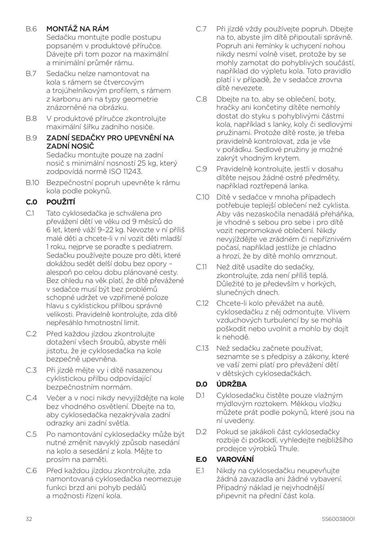## B.6 MONTÁŽ NA RÁM

Sedačku montujte podle postupu popsaném v produktové příručce. Dávejte při tom pozor na maximální a minimální průměr rámu.

- B.7 Sedačku nelze namontovat na kola s rámem se čtvercovým a trojúhelníkovým profilem, s rámem z karbonu ani na typy geometrie znázorněné na obrázku.
- B.8 V produktové příručce zkontrolujte maximální šířku zadního nosiče.

#### B.9 ZADNÍ SEDAČKY PRO UPEVNĚNÍ NA ZADNÍ NOSIČ

Sedačku montujte pouze na zadní nosič s minimální nosností 25 kg, který zodpovídá normě ISO 11243.

B.10 Bezpečnostní popruh upevněte k rámu kola podle pokynů.

## **C.0 POUŽITÍ**

- C.1 Tato cyklosedačka je schválena pro převážení dětí ve věku od 9 měsíců do 6 let, které váží 9–22 kg. Nevozte v ní příliš malé děti a chcete-li v ní vozit děti mladší 1 roku, nejprve se poraďte s pediatrem. Sedačku používejte pouze pro děti, které dokážou sedět delší dobu bez opory – alespoň po celou dobu plánované cesty. Bez ohledu na věk platí, že dítě převážené v sedačce musí být bez problémů schopné udržet ve vzpřímené poloze hlavu s cyklistickou přilbou správné velikosti. Pravidelně kontrolujte, zda dítě nepřesáhlo hmotnostní limit.
- C.2 Před každou jízdou zkontrolujte dotažení všech šroubů, abyste měli jistotu, že je cyklosedačka na kole bezpečně upevněna.
- C.3 Při jízdě mějte vy i dítě nasazenou cyklistickou přilbu odpovídající bezpečnostním normám.
- C.4 Večer a v noci nikdy nevyjíždějte na kole bez vhodného osvětlení. Dbejte na to, aby cyklosedačka nezakrývala zadní odrazky ani zadní světla.
- C.5 Po namontování cyklosedačky může být nutné změnit navyklý způsob nasedání na kolo a sesedání z kola. Mějte to prosím na paměti.
- C.6 Před každou jízdou zkontrolujte, zda namontovaná cyklosedačka neomezuje funkci brzd ani pohyb pedálů a možnosti řízení kola.
- C.7 Při jízdě vždy používejte popruh. Dbejte na to, abyste jím dítě připoutali správně. Popruh ani řemínky k uchycení nohou nikdy nesmí volně viset, protože by se mohly zamotat do pohyblivých součástí, například do výpletu kola. Toto pravidlo platí i v případě, že v sedačce zrovna dítě nevezete.
- C.8 Dbejte na to, aby se oblečení, boty, hračky ani končetiny dítěte nemohly dostat do styku s pohyblivými částmi kola, například s lanky, koly či sedlovými pružinami. Protože dítě roste, je třeba pravidelně kontrolovat, zda je vše v pořádku. Sedlové pružiny je možné zakrýt vhodným krytem.
- C.9 Pravidelně kontrolujte, jestli v dosahu dítěte nejsou žádné ostré předměty, například roztřepená lanka.
- C.10 Dítě v sedačce v mnoha případech potřebuje teplejší oblečení než cyklista. Aby vás nezaskočila nenadálá přeháňka, je vhodné s sebou pro sebe i pro dítě vozit nepromokavé oblečení. Nikdy nevyjíždějte ve zrádném či nepříznivém počasí, například jestliže je chladno a hrozí, že by dítě mohlo omrznout.
- C.11 Než dítě usadíte do sedačky, zkontrolujte, zda není příliš teplá. Důležité to je především v horkých, slunečných dnech.
- C.12 Chcete-li kolo převážet na autě, cyklosedačku z něj odmontujte. Vlivem vzduchových turbulencí by se mohla poškodit nebo uvolnit a mohlo by dojít k nehodě.
- C.13 Než sedačku začnete používat, seznamte se s předpisy a zákony, které ve vaší zemi platí pro převážení dětí v dětských cyklosedačkách.

## **D.0 ÚDRŽBA**

- D.1 Cyklosedačku čistěte pouze vlažným mýdlovým roztokem. Měkkou vložku můžete prát podle pokynů, které jsou na ní uvedeny.
- D.2 Pokud se jakákoli část cyklosedačky rozbije či poškodí, vyhledejte nejbližšího prodejce výrobků Thule.

## **E.0 VAROVÁNÍ**

E.1 Nikdy na cyklosedačku neupevňujte žádná zavazadla ani žádné vybavení. Případný náklad je nejvhodnější připevnit na přední část kola.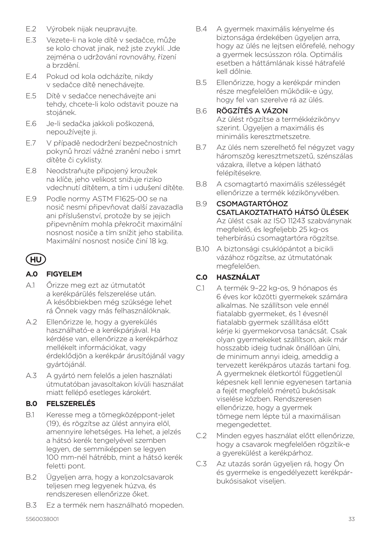- E.2 Výrobek nijak neupravujte.
- E.3 Vezete-li na kole dítě v sedačce, může se kolo chovat jinak, než jste zvyklí. Jde zejména o udržování rovnováhy, řízení a brzdění.
- E.4 Pokud od kola odcházíte, nikdy v sedačce dítě nenechávejte.
- E.5 Dítě v sedačce nenechávejte ani tehdy, chcete-li kolo odstavit pouze na stojánek.
- E.6 Je-li sedačka jakkoli poškozená, nepoužívejte ji.
- E.7 V případě nedodržení bezpečnostních pokynů hrozí vážné zranění nebo i smrt dítěte či cyklisty.
- E.8 Neodstraňujte připojený kroužek na klíče, jeho velikost snižuje riziko vdechnutí dítětem, a tím i udušení dítěte.
- E.9 Podle normy ASTM F1625-00 se na nosič nesmí připevňovat další zavazadla ani příslušenství, protože by se jejich připevněním mohla překročit maximální nosnost nosiče a tím snížit jeho stabilita. Maximální nosnost nosiče činí 18 kg.

## **HU**

## **A.0 FIGYELEM**

- A.1 Őrizze meg ezt az útmutatót a kerékpárülés felszerelése után. A későbbiekben még szüksége lehet rá Önnek vagy más felhasználóknak.
- A.2 Ellenőrizze le, hogy a gyerekülés használható-e a kerékpárjával. Ha kérdése van, ellenőrizze a kerékpárhoz mellékelt információkat, vagy érdeklődjön a kerékpár árusítójánál vagy gyártójánál.
- A.3 A gyártó nem felelős a jelen használati útmutatóban javasoltakon kívüli használat miatt fellépő esetleges károkért.

## **B.0 FELSZERELÉS**

- B.1 Keresse meg a tömegközéppont-jelet (19), és rögzítse az ülést annyira elöl, amennyire lehetséges. Ha lehet, a jelzés a hátsó kerék tengelyével szemben legyen, de semmiképpen se legyen 100 mm-nél hátrébb, mint a hátsó kerék feletti pont.
- B.2 Ügyeljen arra, hogy a konzolcsavarok teljesen meg legyenek húzva, és rendszeresen ellenőrizze őket.
- B.3 Ez a termék nem használható mopeden.
- B.4 A gyermek maximális kényelme és biztonsága érdekében ügyeljen arra, hogy az ülés ne lejtsen előrefelé, nehogy a gyermek lecsússzon róla. Optimális esetben a háttámlának kissé hátrafelé kell dőlnie.
- B.5 Ellenőrizze, hogy a kerékpár minden része megfelelően működik-e úgy, hogy fel van szerelve rá az ülés.

#### B.6 RÖGZÍTÉS A VÁZON

Az ülést rögzítse a termékkézikönyv szerint. Ügyeljen a maximális és minimális keresztmetszetre.

- B.7 Az ülés nem szerelhető fel négyzet vagy háromszög keresztmetszetű, szénszálas vázakra, illetve a képen látható felépítésekre.
- B.8 A csomagtartó maximális szélességét ellenőrizze a termék kézikönyvében.

#### B.9 CSOMAGTARTÓHOZ CSATLAKOZTATHATÓ HÁTSÓ ÜLÉSEK Az ülést csak az ISO 11243 szabványnak megfelelő, és legfeljebb 25 kg-os teherbírású csomagtartóra rögzítse.

B.10 A biztonsági csuklópántot a bicikli vázához rögzítse, az útmutatónak megfelelően.

## **C.0 HASZNÁLAT**

- C.1 A termék 9–22 kg-os, 9 hónapos és 6 éves kor közötti gyermekek számára alkalmas. Ne szállítson vele ennél fiatalabb gyermeket, és 1 évesnél fiatalabb gyermek szállítása előtt kérje ki gyermekorvosa tanácsát. Csak olyan gyermekeket szállítson, akik már hosszabb ideig tudnak önállóan ülni, de minimum annyi ideig, ameddig a tervezett kerékpáros utazás tartani fog. A gyermeknek életkortól függetlenül képesnek kell lennie egyenesen tartania a fejét megfelelő méretű bukósisak viselése közben. Rendszeresen ellenőrizze, hogy a gyermek tömege nem lépte túl a maximálisan megengedettet.
- C.2 Minden egyes használat előtt ellenőrizze, hogy a csavarok megfelelően rögzítik-e a gyerekülést a kerékpárhoz.
- C.3 Az utazás során ügyeljen rá, hogy Ön és gyermeke is engedélyezett kerékpárbukósisakot viseljen.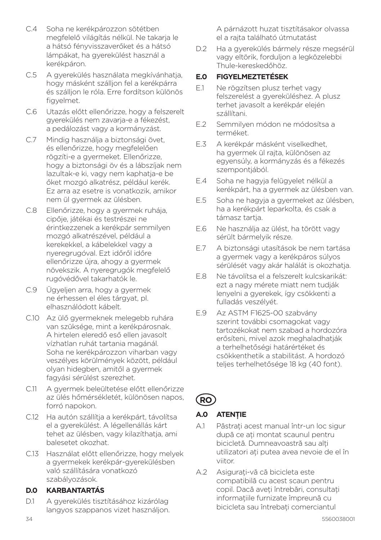- C.4 Soha ne kerékpározzon sötétben megfelelő világítás nélkül. Ne takarja le a hátsó fényvisszaverőket és a hátsó lámpákat, ha gyerekülést használ a kerékpáron.
- C.5 A gyerekülés használata megkívánhatja, hogy másként szálljon fel a kerékpárra és szálljon le róla. Erre fordítson különös figyelmet.
- C.6 Utazás előtt ellenőrizze, hogy a felszerelt gyerekülés nem zavarja-e a fékezést, a pedálozást vagy a kormányzást.
- C.7 Mindig használja a biztonsági övet, és ellenőrizze, hogy megfelelően rögzíti-e a gyermeket. Ellenőrizze, hogy a biztonsági öv és a lábszíjak nem lazultak-e ki, vagy nem kaphatja-e be őket mozgó alkatrész, például kerék. Ez arra az esetre is vonatkozik, amikor nem ül gyermek az ülésben.
- C.8 Ellenőrizze, hogy a gyermek ruhája, cipője, játékai és testrészei ne érintkezzenek a kerékpár semmilyen mozgó alkatrészével, például a kerekekkel, a kábelekkel vagy a nyeregrugóval. Ezt időről időre ellenőrizze újra, ahogy a gyermek növekszik. A nyeregrugók megfelelő rugóvédővel takarhatók le.
- C.9 Ügyeljen arra, hogy a gyermek ne érhessen el éles tárgyat, pl. elhasználódott kábelt.
- C.10 Az ülő gyermeknek melegebb ruhára van szüksége, mint a kerékpárosnak. A hirtelen eleredő eső ellen javasolt vízhatlan ruhát tartania magánál. Soha ne kerékpározzon viharban vagy veszélyes körülmények között, például olyan hidegben, amitől a gyermek fagyási sérülést szerezhet.
- C.11 A gyermek beleültetése előtt ellenőrizze az ülés hőmérsékletét, különösen napos, forró napokon.
- C.12 Ha autón szállítia a kerékpárt, távolítsa el a gyerekülést. A légellenállás kárt tehet az ülésben, vagy kilazíthatja, ami balesetet okozhat.
- C.13 Használat előtt ellenőrizze, hogy melyek a gyermekek kerékpár-gyerekülésben való szállítására vonatkozó szabályozások.

### **D.0 KARBANTARTÁS**

D.1 A gyerekülés tisztításához kizárólag langyos szappanos vizet használjon. A párnázott huzat tisztításakor olvassa el a rajta található útmutatást

D.2 Ha a gyerekülés bármely része megsérül vagy eltörik, forduljon a legközelebbi Thule-kereskedőhöz.

## **E.0 FIGYELMEZTETÉSEK**

- E.1 Ne rögzítsen plusz terhet vagy felszerelést a gyereküléshez. A plusz terhet javasolt a kerékpár elején szállítani.
- E.2 Semmilyen módon ne módosítsa a terméket.
- E.3 A kerékpár másként viselkedhet, ha gyermek ül rajta, különösen az egyensúly, a kormányzás és a fékezés szempontiából.
- E.4 Soha ne hagyja felügyelet nélkül a kerékpárt, ha a gyermek az ülésben van.
- E.5 Soha ne hagyja a gyermeket az ülésben, ha a kerékpárt leparkolta, és csak a támasz tartia.
- E.6 Ne használja az ülést, ha törött vagy sérült bármelyik része.
- E.7 A biztonsági utasítások be nem tartása a gyermek vagy a kerékpáros súlyos sérülését vagy akár halálát is okozhatja.
- E.8 Ne távolítsa el a felszerelt kulcskarikát: ezt a nagy mérete miatt nem tudják lenyelni a gyerekek, így csökkenti a fulladás veszélyét.
- E.9 Az ASTM F1625-00 szabvány szerint további csomagokat vagy tartozékokat nem szabad a hordozóra erősíteni, mivel azok meghaladhatják a terhelhetőségi határértéket és csökkenthetik a stabilitást. A hordozó teljes terhelhetősége 18 kg (40 font).

**RO**

## **A.0 ATENŢIE**

- A.1 Păstrati acest manual într-un loc sigur după ce ati montat scaunul pentru bicicletă. Dumneavoastră sau alti utilizatori aţi putea avea nevoie de el în viitor.
- A.2 Asigurati-vă că bicicleta este compatibilă cu acest scaun pentru copil. Dacă aveti întrebări, consultati informațiile furnizate împreună cu bicicleta sau întrebati comerciantul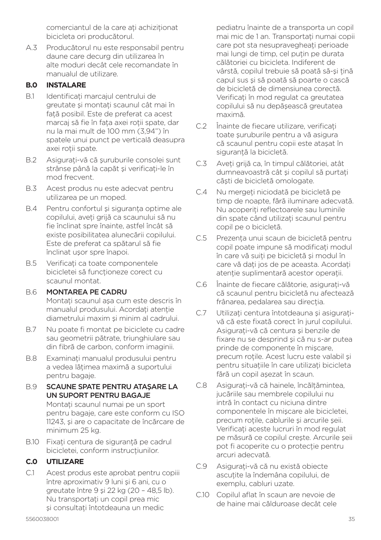comerciantul de la care ati achizitionat bicicleta ori producătorul.

A.3 Producătorul nu este responsabil pentru daune care decurg din utilizarea în alte moduri decât cele recomandate în manualul de utilizare.

#### **B.0 INSTALARE**

- B.1 Identificati marcajul centrului de greutate și montați scaunul cât mai în fată posibil. Este de preferat ca acest marcaj să fie în faţa axei roţii spate, dar nu la mai mult de 100 mm (3,94") în spatele unui punct pe verticală deasupra axei rotii spate.
- B.2 Asigurati-vă că suruburile consolei sunt strânse până la capăt și verificați-le în mod frecvent.
- B.3 Acest produs nu este adecvat pentru utilizarea pe un moped.
- B.4 Pentru confortul și siguranța optime ale copilului, aveti grijă ca scaunului să nu fie înclinat spre înainte, astfel încât să existe posibilitatea alunecării copilului. Este de preferat ca spătarul să fie înclinat uşor spre înapoi.
- B.5 Verificati ca toate componentele bicicletei să funcționeze corect cu scaunul montat.
- B.6 MONTAREA PE CADRU Montati scaunul așa cum este descris în manualul produsului. Acordați atenție diametrului maxim şi minim al cadrului.
- B.7 Nu poate fi montat pe biciclete cu cadre sau geometrii pătrate, triunghiulare sau din fibră de carbon, conform imaginii.
- B.8 Examinati manualul produsului pentru a vedea lătimea maximă a suportului pentru bagaje.

#### B.9 SCAUNE SPATE PENTRU ATAŞARE LA UN SUPORT PENTRU BAGAJE

Montati scaunul numai pe un sport pentru bagaje, care este conform cu ISO 11243, şi are o capacitate de încărcare de minimum 25 kg.

B.10 Fixati centura de sigurantă pe cadrul bicicletei, conform instructiunilor.

## **C.0 UTILIZARE**

C.1 Acest produs este aprobat pentru copiii între aproximativ 9 luni şi 6 ani, cu o greutate între 9 şi 22 kg (20 – 48,5 lb). Nu transportaţi un copil prea mic si consultati întotdeauna un medic

pediatru înainte de a transporta un copil mai mic de 1 an. Transportati numai copii care pot sta nesupravegheati perioade mai lungi de timp, cel putin pe durata călătoriei cu bicicleta. Indiferent de vârstă, copilul trebuie să poată să-și țină capul sus şi să poată să poarte o cască de bicicletă de dimensiunea corectă. Verificati în mod regulat ca greutatea copilului să nu depăşească greutatea maximă.

- C.2 Înainte de fiecare utilizare, verificați toate şuruburile pentru a vă asigura că scaunul pentru copii este ataşat în sigurantă la bicicletă.
- C.3 Aveţi grijă ca, în timpul călătoriei, atât dumneavoastră cât și copilul să purtați căşti de bicicletă omologate.
- C.4 Nu mergeți niciodată pe bicicletă pe timp de noapte, fără iluminare adecvată. Nu acoperiti reflectoarele sau luminile din spate când utilizaţi scaunul pentru copil pe o bicicletă.
- C.5 Prezenta unui scaun de bicicletă pentru copil poate impune să modificati modul în care vă suiţi pe bicicletă şi modul în care vă dati jos de pe aceasta. Acordati atenție suplimentară acestor operații.
- C.6 Înainte de fiecare călătorie, asigurați-vă că scaunul pentru bicicletă nu afectează frânarea, pedalarea sau directia.
- C.7 Utilizati centura întotdeauna și asigurativă că este fixată corect în jurul copilului. Asigurati-vă că centura și benzile de fixare nu se desprind şi că nu s-ar putea prinde de componente în mişcare, precum roţile. Acest lucru este valabil şi pentru situatiile în care utilizati bicicleta fără un copil aşezat în scaun.
- C.8 Asigurați-vă că hainele, încălțămintea, jucăriile sau membrele copilului nu intră în contact cu niciuna dintre componentele în mişcare ale bicicletei, precum rotile, cablurile și arcurile șeii. Verificati aceste lucruri în mod regulat pe măsură ce copilul creşte. Arcurile şeii pot fi acoperite cu o protectie pentru arcuri adecvată.
- C.9 Asigurati-vă că nu există obiecte ascuțite la îndemâna copilului, de exemplu, cabluri uzate.
- C.10 Copilul aflat în scaun are nevoie de de haine mai călduroase decât cele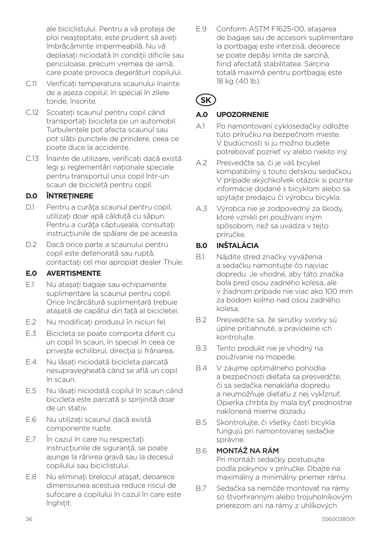ale biciclistului. Pentru a vă proteja de ploi neașteptate, este prudent să aveti îmbrăcăminte impermeabilă. Nu vă deplasati niciodată în conditii dificile sau periculoase, precum vremea de iarnă, care poate provoca degerături copilului.

- C.11 Verificati temperatura scaunului înainte de a aşeza copilul, în special în zilele toride, însorite.
- C.12 Scoateti scaunul pentru copil când transportati bicicleta pe un automobil. Turbulentele pot afecta scaunul sau pot slăbi punctele de prindere, ceea ce poate duce la accidente.
- C.13 Înainte de utilizare, verificati dacă există legi și reglementări nationale speciale pentru transportul unui copil într-un scaun de bicicletă pentru copil.

### **D.0 ÎNTREŢINERE**

- D.1 Pentru a curăța scaunul pentru copil, utilizați doar apă călduță cu săpun. Pentru a curăta căptușeala, consultați instructiunile de spălare de pe aceasta.
- D.2 Dacă orice parte a scaunului pentru copil este deteriorată sau ruptă, contactati cel mai apropiat dealer Thule.

#### **E.0 AVERTISMENTE**

- E1 Nu ataşati bagaje sau echipamente suplimentare la scaunul pentru copil. Orice încărcătură suplimentară trebuie atasată de capătul din față al bicicletei.
- E.2 Nu modificati produsul în niciun fel.
- E.3 Bicicleta se poate comporta diferit cu un copil în scaun, în special în ceea ce priveşte echilibrul, direcţia şi frânarea.
- E.4 Nu lăsati niciodată bicicleta parcată nesupravegheată când se află un copil în scaun.
- E.5 Nu lăsați niciodată copilul în scaun când bicicleta este parcată şi sprijinită doar de un stativ.
- E.6 Nu utilizati scaunul dacă există componente rupte.
- E.7 În cazul în care nu respectati instructiunile de sigurantă, se poate ajunge la rănirea gravă sau la decesul copilului sau biciclistului.
- E.8 Nu eliminati brelocul atasat, deoarece dimensiunea acestuia reduce riscul de sufocare a copilului în cazul în care este înghitit.

E.9 Conform ASTM F1625-00, atașarea de bagaje sau de accesorii suplimentare la portbagaj este interzisă, deoarece se poate depăși limita de sarcină, fiind afectată stabilitatea. Sarcina totală maximă pentru portbagaj este 18 kg (40 lb).

# **SK**

### **A.0 UPOZORNENIE**

- A.1 Po namontovaní cyklosedačky odložte túto príručku na bezpečnom mieste. V budúcnosti si ju možno budete potrebovať pozrieť vy alebo niekto iný.
- A.2 Presvedčte sa, či je váš bicykel kompatibilný s touto detskou sedačkou. V prípade akýchkoľvek otázok si pozrite informácie dodané s bicyklom alebo sa spýtajte predajcu či výrobcu bicykla.
- A.3 Výrobca nie je zodpovedný za škody, ktoré vznikli pri používaní iným spôsobom, než sa uvádza v tejto príručke.

## **B.0 INŠTALÁCIA**

- B.1 Nájdite stred značky vyváženia a sedačku namontujte čo najviac dopredu. Je vhodné, aby táto značka bola pred osou zadného kolesa, ale v žiadnom prípade nie viac ako 100 mm za bodom kolmo nad osou zadného kolesa.
- B.2 Presvedčte sa, že skrutky svorky sú úplne pritiahnuté, a pravidelne ich kontrolujte.
- B.3 Tento produkt nie je vhodný na používanie na mopede.
- B.4 V záujme optimálneho pohodlia a bezpečnosti dieťaťa sa presvedčte, či sa sedačka nenakláňa dopredu a neumožňuje dieťaťu z nej vykĺznuť. Opierka chrbta by mala byť prednostne naklonená mierne dozadu.
- B.5 Skontrolujte, či všetky časti bicykla fungujú pri namontovanej sedačke správne.

#### B.6 MONTÁŽ NA RÁM

Pri montáži sedačky postupujte podľa pokynov v príručke. Dbajte na maximálny a minimálny priemer rámu.

B.7 Sedačka sa nemôže montovať na rámy so štvorhranným alebo trojuholníkovým prierezom ani na rámy z uhlíkových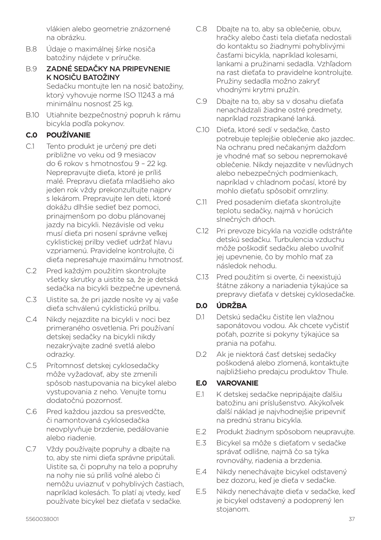vlákien alebo geometrie znázornené na obrázku.

- B.8 Údaje o maximálnej šírke nosiča batožiny nájdete v príručke.
- B.9 ZADNÉ SEDAČKY NA PRIPEVNENIE K NOSIČU BATOŽINY

Sedačku montujte len na nosič batožiny, ktorý vyhovuje norme ISO 11243 a má minimálnu nosnosť 25 kg.

B.10 Utiahnite bezpečnostný popruh k rámu bicykla podľa pokynov.

## **C.0 POUŽÍVANIE**

- C.1 Tento produkt je určený pre deti približne vo veku od 9 mesiacov do 6 rokov s hmotnosťou 9 – 22 kg. Neprepravujte dieťa, ktoré je príliš malé. Prepravu dieťaťa mladšieho ako jeden rok vždy prekonzultujte najprv s lekárom. Prepravujte len deti, ktoré dokážu dlhšie sedieť bez pomoci, prinajmenšom po dobu plánovanej jazdy na bicykli. Nezávisle od veku musí dieťa pri nosení správne veľkej cyklistickej prilby vedieť udržať hlavu vzpriamenú. Pravidelne kontrolujte, či dieťa nepresahuje maximálnu hmotnosť.
- C.2 Pred každým použitím skontrolujte všetky skrutky a uistite sa, že je detská sedačka na bicykli bezpečne upevnená.
- C.3 Uistite sa, že pri jazde nosíte vy aj vaše dieťa schválenú cyklistickú prilbu.
- C.4 Nikdy nejazdite na bicykli v noci bez primeraného osvetlenia. Pri používaní detskej sedačky na bicykli nikdy nezakrývajte zadné svetlá alebo odrazky.
- C.5 Prítomnosť detskej cyklosedačky môže vyžadovať, aby ste zmenili spôsob nastupovania na bicykel alebo vystupovania z neho. Venujte tomu dodatočnú pozornosť.
- C.6 Pred každou jazdou sa presvedčte, či namontovaná cyklosedačka neovplyvňuje brzdenie, pedálovanie alebo riadenie.
- C.7 Vždy používajte popruhy a dbajte na to, aby ste nimi dieťa správne pripútali. Uistite sa, či popruhy na telo a popruhy na nohy nie sú príliš voľné alebo či nemôžu uviaznuť v pohyblivých častiach, napríklad kolesách. To platí aj vtedy, keď používate bicykel bez dieťaťa v sedačke.
- C.8 Dbajte na to, aby sa oblečenie, obuv, hračky alebo časti tela dieťaťa nedostali do kontaktu so žiadnymi pohyblivými časťami bicykla, napríklad kolesami, lankami a pružinami sedadla. Vzhľadom na rast dieťaťa to pravidelne kontrolujte. Pružiny sedadla možno zakryť vhodnými krytmi pružín.
- C.9 Dbajte na to, aby sa v dosahu dieťaťa nenachádzali žiadne ostré predmety, napríklad rozstrapkané lanká.
- C.10 Dieťa, ktoré sedí v sedačke, často potrebuje teplejšie oblečenie ako jazdec. Na ochranu pred nečakaným dažďom je vhodné mať so sebou nepremokavé oblečenie. Nikdy nejazdite v nevľúdnych alebo nebezpečných podmienkach, napríklad v chladnom počasí, ktoré by mohlo dieťaťu spôsobiť omrzliny.
- C.11 Pred posadením dieťaťa skontrolujte teplotu sedačky, najmä v horúcich slnečných dňoch.
- C.12 Pri prevoze bicykla na vozidle odstráňte detskú sedačku. Turbulencia vzduchu môže poškodiť sedačku alebo uvoľniť jej upevnenie, čo by mohlo mať za následok nehodu.
- C.13 Pred použitím si overte, či neexistujú štátne zákony a nariadenia týkajúce sa prepravy dieťaťa v detskej cyklosedačke.

## **D.0 ÚDRŽBA**

- D.1 Detskú sedačku čistite len vlažnou saponátovou vodou. Ak chcete vyčistiť poťah, pozrite si pokyny týkajúce sa prania na poťahu.
- D.2 Ak je niektorá časť detskej sedačky poškodená alebo zlomená, kontaktujte najbližšieho predajcu produktov Thule.

#### **E.0 VAROVANIE**

- E.1 K detskej sedačke nepripájajte ďalšiu batožinu ani príslušenstvo. Akýkoľvek ďalší náklad je najvhodnejšie pripevniť na prednú stranu bicykla.
- E.2 Produkt žiadnym spôsobom neupravujte.
- E.3 Bicykel sa môže s dieťaťom v sedačke správať odlišne, najmä čo sa týka rovnováhy, riadenia a brzdenia.
- E.4 Nikdy nenechávajte bicykel odstavený bez dozoru, keď je dieťa v sedačke.
- E.5 Nikdy nenechávajte dieťa v sedačke, keď je bicykel odstavený a podoprený len stojanom.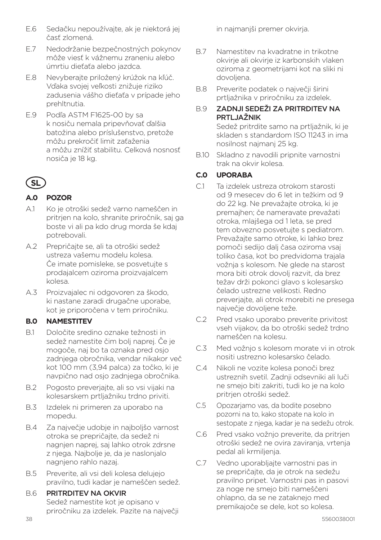- E.6 Sedačku nepoužívajte, ak je niektorá jej časť zlomená.
- E.7 Nedodržanie bezpečnostných pokynov môže viesť k vážnemu zraneniu alebo úmrtiu dieťaťa alebo jazdca.
- E.8 Nevyberajte priložený krúžok na kľúč. Vďaka svojej veľkosti znižuje riziko zadusenia vášho dieťaťa v prípade jeho prehltnutia.
- E.9 Podľa ASTM F1625-00 by sa k nosiču nemala pripevňovať ďalšia batožina alebo príslušenstvo, pretože môžu prekročiť limit zaťaženia a môžu znížiť stabilitu. Celková nosnosť nosiča je 18 kg.

## **SL**

## **A.0 POZOR**

- A.1 Ko je otroški sedež varno nameščen in pritrjen na kolo, shranite priročnik, saj ga boste vi ali pa kdo drug morda še kdaj potrebovali.
- A.2 Prepričajte se, ali ta otroški sedež ustreza vašemu modelu kolesa. Če imate pomisleke, se posvetujte s prodajalcem oziroma proizvajalcem kolesa.
- A.3 Proizvajalec ni odgovoren za škodo, ki nastane zaradi drugačne uporabe, kot je priporočena v tem priročniku.

## **B.0 NAMESTITEV**

- B.1 Določite sredino oznake težnosti in sedež namestite čim bolj naprej. Če je mogoče, naj bo ta oznaka pred osjo zadnjega obročnika, vendar nikakor več kot 100 mm (3,94 palca) za točko, ki je navpično nad osjo zadnjega obročnika.
- B.2 Pogosto preverjajte, ali so vsi vijaki na kolesarskem prtljažniku trdno priviti.
- B.3 Izdelek ni primeren za uporabo na mopedu.
- B.4 Za največje udobje in najboljšo varnost otroka se prepričajte, da sedež ni nagnjen naprej, saj lahko otrok zdrsne z njega. Najbolje je, da je naslonjalo nagnjeno rahlo nazaj.
- B.5 Preverite, ali vsi deli kolesa delujejo pravilno, tudi kadar je nameščen sedež.

## B.6 PRITRDITEV NA OKVIR Sedež namestite kot je opisano v priročniku za izdelek. Pazite na največji

in najmanjši premer okvirja.

- B.7 Namestitev na kvadratne in trikotne okvirje ali okvirje iz karbonskih vlaken oziroma z geometrijami kot na sliki ni dovoljena.
- B.8 Preverite podatek o največji širini prtljažnika v priročniku za izdelek.

## B.9 ZADNJI SEDEŽI ZA PRITRDITEV NA PRTLJAŽNIK

Sedež pritrdite samo na prtljažnik, ki je skladen s standardom ISO 11243 in ima nosilnost najmanj 25 kg.

B.10 Skladno z navodili pripnite varnostni trak na okvir kolesa.

## **C.0 UPORABA**

- C.1 Ta izdelek ustreza otrokom starosti od 9 mesecev do 6 let in težkim od 9 do 22 kg. Ne prevažajte otroka, ki je premajhen; če nameravate prevažati otroka, mlajšega od 1 leta, se pred tem obvezno posvetujte s pediatrom. Prevažajte samo otroke, ki lahko brez pomoči sedijo dalj časa oziroma vsaj toliko časa, kot bo predvidoma trajala vožnja s kolesom. Ne glede na starost mora biti otrok dovolj razvit, da brez težav drži pokonci glavo s kolesarsko čelado ustrezne velikosti. Redno preverjajte, ali otrok morebiti ne presega največje dovoljene teže.
- C.2 Pred vsako uporabo preverite privitost vseh vijakov, da bo otroški sedež trdno nameščen na kolesu.
- C.3 Med vožnjo s kolesom morate vi in otrok nositi ustrezno kolesarsko čelado.
- C.4 Nikoli ne vozite kolesa ponoči brez ustreznih svetil. Zadnji odsevniki ali luči ne smejo biti zakriti, tudi ko je na kolo pritrjen otroški sedež.
- C.5 Opozarjamo vas, da bodite posebno pozorni na to, kako stopate na kolo in sestopate z njega, kadar je na sedežu otrok.
- C.6 Pred vsako vožnjo preverite, da pritrjen otroški sedež ne ovira zaviranja, vrtenja pedal ali krmiljenja.
- C.7 Vedno uporabljajte varnostni pas in se prepričajte, da je otrok na sedežu pravilno pripet. Varnostni pas in pasovi za noge ne smejo biti nameščeni ohlapno, da se ne zataknejo med premikajoče se dele, kot so kolesa.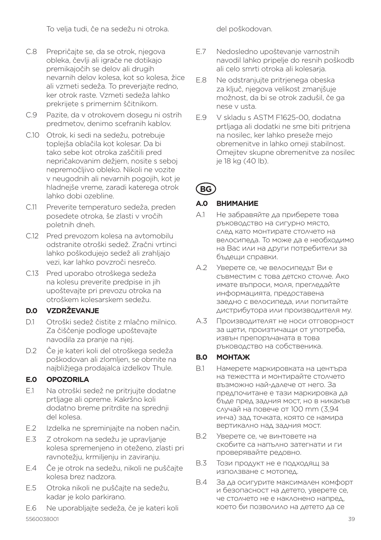To velja tudi, če na sedežu ni otroka.

- C.8 Prepričajte se, da se otrok, njegova obleka, čevlji ali igrače ne dotikajo premikajočih se delov ali drugih nevarnih delov kolesa, kot so kolesa, žice ali vzmeti sedeža. To preverjajte redno, ker otrok raste. Vzmeti sedeža lahko prekrijete s primernim ščitnikom.
- C.9 Pazite, da v otrokovem dosegu ni ostrih predmetov, denimo scefranih kablov.
- C.10 Otrok, ki sedi na sedežu, potrebuje toplejša oblačila kot kolesar. Da bi tako sebe kot otroka zaščitili pred nepričakovanim dežjem, nosite s seboj nepremočljivo obleko. Nikoli ne vozite v neugodnih ali nevarnih pogojih, kot je hladnejše vreme, zaradi katerega otrok lahko dobi ozebline.
- C.11 Preverite temperaturo sedeža, preden posedete otroka, še zlasti v vročih poletnih dneh.
- C.12 Pred prevozom kolesa na avtomobilu odstranite otroški sedež. Zračni vrtinci lahko poškodujejo sedež ali zrahljajo vezi, kar lahko povzroči nesrečo.
- C.13 Pred uporabo otroškega sedeža na kolesu preverite predpise in jih upoštevajte pri prevozu otroka na otroškem kolesarskem sedežu.

### **D.0 VZDRŽEVANJE**

- D.1 Otroški sedež čistite z mlačno milnico. Za čiščenje podloge upoštevajte navodila za pranje na njej.
- D.2 Če je kateri koli del otroškega sedeža poškodovan ali zlomljen, se obrnite na najbližjega prodajalca izdelkov Thule.

#### **E.0 OPOZORILA**

- E.1 Na otroški sedež ne pritrjujte dodatne prtljage ali opreme. Kakršno koli dodatno breme pritrdite na sprednji del kolesa.
- E.2 Izdelka ne spreminjajte na noben način.
- E.3 Z otrokom na sedežu je upravljanje kolesa spremenjeno in oteženo, zlasti pri ravnotežju, krmiljenju in zaviranju.
- E.4 Če je otrok na sedežu, nikoli ne puščajte kolesa brez nadzora.
- E.5 Otroka nikoli ne puščajte na sedežu, kadar je kolo parkirano.
- 5560038001 39 E.6 Ne uporabljajte sedeža, če je kateri koli

del poškodovan.

- E.7 Nedosledno upoštevanje varnostnih navodil lahko pripelje do resnih poškodb ali celo smrti otroka ali kolesarja.
- E.8 Ne odstranjujte pritrjenega obeska za ključ, njegova velikost zmanjšuje možnost, da bi se otrok zadušil, če ga nese v usta.
- E.9 V skladu s ASTM F1625-00, dodatna prtljaga ali dodatki ne sme biti pritrjena na nosilec, ker lahko preseže mejo obremenitve in lahko omeji stabilnost. Omejitev skupne obremenitve za nosilec je 18 kg (40 lb).

# **BG**

### **A.0 ВНИМАНИЕ**

- A.1 Не забравяйте да приберете това ръководство на сигурно място, след като монтирате столчето на велосипеда. То може да е необходимо на Вас или на други потребители за бъдещи справки.
- A.2 Уверете се, че велосипедът Ви е съвместим с това детско столче. Ако имате въпроси, моля, прегледайте информацията, предоставена заедно с велосипеда, или попитайте дистрибутора или производителя му.
- A.3 Производителят не носи отговорност за щети, произтичащи от употреба, извън препоръчаната в това ръководство на собственика.

## **B.0 МОНТАЖ**

- B.1 Намерете маркировката на центъра на тежестта и монтирайте столчето възможно най-далече от него. За предпочитане е тази маркировка да бъде пред задния мост, но в никакъв случай на повече от 100 mm (3,94 инча) зад точката, която се намира вертикално над задния мост.
- B.2 Уверете се, че винтовете на скобите са напълно затегнати и ги проверявайте редовно.
- B.3 Този продукт не е подходящ за използване с мотопед.
- B.4 За да осигурите максимален комфорт и безопасност на детето, уверете се, че столчето не е наклонено напред, което би позволило на детето да се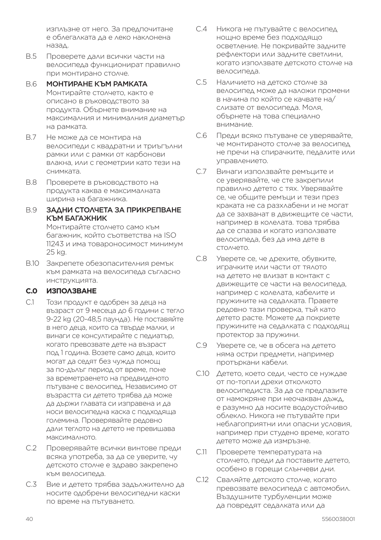изплъзне от него. За предпочитане е облегалката да е леко наклонена назад.

- B.5 Проверете дали всички части на велосипеда функционират правилно при монтирано столче.
- B.6 МОНТИРАНЕ КЪМ РАМКАТА Монтирайте столчето, както е описано в ръководството за продукта. Обърнете внимание на максималния и минималния диаметър на рамката.
- B.7 Не може да се монтира на велосипеди с квадратни и триъгълни рамки или с рамки от карбонови влакна, или с геометрии като тези на снимката.
- B.8 Проверете в ръководството на продукта каква е максималната ширина на багажника.

#### B.9 ЗАДНИ СТОЛЧЕТА ЗА ПРИКРЕПВАНЕ КЪМ БАГАЖНИК Монтирайте столчето само към

багажник, който съответства на ISO 11243 и има товароносимост минимум 25 kg.

B.10 Закрепете обезопасителния ремък към рамката на велосипеда съгласно инструкцията.

#### **C.0 ИЗПОЛЗВАНЕ**

- C.1 Този продукт е одобрен за деца на възраст от 9 месеца до 6 години с тегло 9-22 kg (20-48,5 паунда). Не поставяйте в него деца, които са твърде малки, и винаги се консултирайте с педиатър, когато превозвате дете на възраст под 1 година. Возете само деца, които могат да седят без чужда помощ за по-дълъг период от време, поне за времетраенето на предвиденото пътуване с велосипед. Независимо от възрастта си детето трябва да може да държи главата си изправена и да носи велосипедна каска с подходяща големина. Проверявайте редовно дали теглото на детето не превишава максималното.
- C.2 Проверявайте всички винтове преди всяка употреба, за да се уверите, чу детското столче е здраво закрепено към велосипеда.
- C.3 Вие и детето трябва задължително да носите одобрени велосипедни каски по време на пътуването.
- C.4 Никога не пътувайте с велосипед нощно време без подходящо осветление. Не покривайте задните рефлектори или задните светлини, когато използвате детското столче на велосипеда.
- C.5 Наличието на детско столче за велосипед може да наложи промени в начина по който се качвате на/ слизате от велосипеда. Моля, обърнете на това специално внимание.
- C.6 Преди всяко пътуване се уверявайте, че монтираното столче за велосипед не пречи на спирачките, педалите или управлението.
- C.7 Винаги използвайте ремъците и се уверявайте, че сте закрепили правилно детето с тях. Уверявайте се, че общите ремъци и тези през краката не са разхлабени и не могат да се захванат в движещите се части, например в колелата. това трябва да се спазва и когато използвате велосипеда, без да има дете в столчето.
- C.8 Уверете се, че дрехите, обувките, играчките или части от тялото на детето не влизат в контакт с движещите се части на велосипеда, например с колелата, кабелите и пружините на седалката. Правете редовно тази проверка, тъй като детето расте. Можете да покриете пружините на седалката с подходящ протектор за пружини.
- C.9 Уверете се, че в обсега на детето няма остри предмети, например протъркани кабели.
- C.10 Детето, което седи, често се нуждае от по-топли дрехи отколкото велосипедиста. За да се предпазите от намокряне при неочакван дъжд, е разумно да носите водоустойчиво облекло. Никога не пътувайте при неблагоприятни или опасни условия, например при студено време, когато детето може да измръзне.
- C.11 Проверете температурата на столчето, преди да поставите детето, особено в горещи слънчеви дни.
- C.12 Сваляйте детското столче, когато превозвате велосипеда с автомобил. Въздушните турбуленции може да повредят седалката или да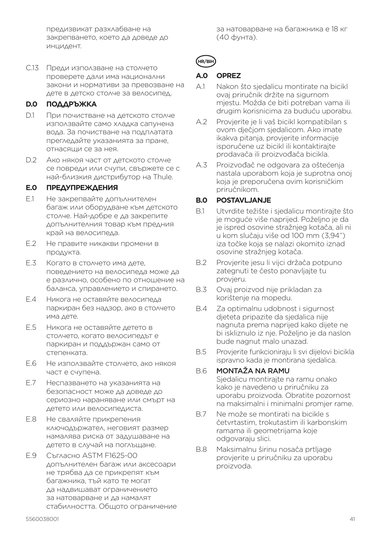предизвикат разхлабване на закрепването, което да доведе до инцидент.

C.13 Преди използване на столчето проверете дали има национални закони и нормативи за превозване на дете в детско столче за велосипед.

#### **D.0 ПОДДРЪЖКА**

- D.1 При почистване на детското столче използвайте само хладка сапунена вода. За почистване на подплатата прегледайте указанията за пране, отнасящи се за нея.
- D.2 Ако някоя част от детското столче се повреди или счупи, свържете се с най-близкия дистрибутор на Thule.

#### **E.0 ПРЕДУПРЕЖДЕНИЯ**

- E.1 Не закрепвайте допълнителен багаж или оборудване към детското столче. Най-добре е да закрепите допълнителния товар към предния край на велосипеда.
- E.2 Не правите никакви промени в продукта.
- E.3 Когато в столчето има дете, поведението на велосипеда може да е различно, особено по отношение на баланса, управлението и спирането.
- E.4 Никога не оставяйте велосипеда паркиран без надзор, ако в столчето има дете.
- E.5 Никога не оставяйте детето в столчето, когато велосипедът е паркиран и поддържан само от степенката.
- E.6 Не използвайте столчето, ако някоя част е счупена.
- E.7 Неспазването на указанията на безопасност може да доведе до сериозно нараняване или смърт на детето или велосипедиста.
- E.8 Не сваляйте прикрепения ключодържател, неговият размер намалява риска от задушаване на детето в случай на поглъщане.
- E.9 Съгласно ASTM F1625-00 допълнителен багаж или аксесоари не трябва да се прикрепят към багажника, тъй като те могат да надвишават ограничението за натоварване и да намалят стабилността. Общото ограничение

за натоварване на багажника е 18 кг (40 фунта).

#### **A.0 OPREZ**

- A.1 Nakon što sjedalicu montirate na bicikl ovaj priručnik držite na sigurnom mjestu. Možda će biti potreban vama ili drugim korisnicima za buduću uporabu.
- A.2 Provjerite je li vaš bicikl kompatibilan s ovom dječjom sjedalicom. Ako imate ikakva pitanja, provjerite informacije isporučene uz bicikl ili kontaktirajte prodavača ili proizvođača bicikla.
- A.3 Proizvođač ne odgovara za oštećenja nastala uporabom koja je suprotna onoj koja je preporučena ovim korisničkim priručnikom.

#### **B.0 POSTAVLJANJE**

- B.1 Utvrdite težište i sjedalicu montirajte što je moguće više naprijed. Poželjno je da je ispred osovine stražnjeg kotača, ali ni u kom slučaju više od 100 mm (3,94") iza točke koja se nalazi okomito iznad osovine stražnjeg kotača.
- B.2 Provjerite jesu li vijci držača potpuno zategnuti te često ponavljajte tu provjeru.
- B.3 Ovaj proizvod nije prikladan za korištenje na mopedu.
- B.4 Za optimalnu udobnost i sigurnost djeteta pripazite da sjedalica nije nagnuta prema naprijed kako dijete ne bi iskliznulo iz nje. Poželjno je da naslon bude nagnut malo unazad.
- B.5 Provjerite funkcioniraju li svi dijelovi bicikla ispravno kada je montirana sjedalica.

#### B.6 MONTAŽA NA RAMU

Sjedalicu montirajte na ramu onako kako je navedeno u priručniku za uporabu proizvoda. Obratite pozornost na maksimalni i minimalni promjer rame.

- B.7 Ne može se montirati na bicikle s četvrtastim, trokutastim ili karbonskim ramama ili geometrijama koje odgovaraju slici.
- B.8 Maksimalnu širinu nosača prtljage provjerite u priručniku za uporabu proizvoda.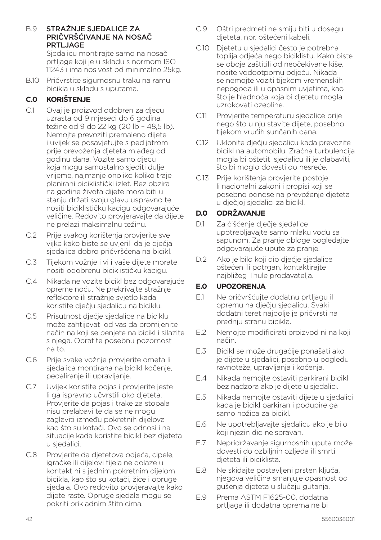B.9 STRAŽNJE SJEDALICE ZA PRIČVRŠĆIVANJE NA NOSAČ PRTLJAGE

Siedalicu montiraite samo na nosač prtljage koji je u skladu s normom ISO 11243 i ima nosivost od minimalno 25kg.

B.10 Pričvrstite sigurnosnu traku na ramu bicikla u skladu s uputama.

## **C.0 KORIŠTENJE**

- C.1 Ovaj je proizvod odobren za djecu uzrasta od 9 mjeseci do 6 godina, težine od 9 do 22 kg (20 lb – 48,5 lb). Nemojte prevoziti premaleno dijete i uvijek se posavjetujte s pedijatrom prije prevoženja djeteta mlađeg od godinu dana. Vozite samo djecu koja mogu samostalno sjediti dulje vrijeme, najmanje onoliko koliko traje planirani biciklistički izlet. Bez obzira na godine života dijete mora biti u stanju držati svoju glavu uspravno te nositi biciklističku kacigu odgovarajuće veličine. Redovito provjeravajte da dijete ne prelazi maksimalnu težinu.
- C.2 Prije svakog korištenja provjerite sve vijke kako biste se uvjerili da je dječja sjedalica dobro pričvršćena na bicikl.
- C.3 Tijekom vožnje i vi i vaše dijete morate nositi odobrenu biciklističku kacigu.
- C.4 Nikada ne vozite bicikl bez odgovarajuće opreme noću. Ne prekrivajte stražnje reflektore ili stražnje svjetlo kada koristite dječju sjedalicu na biciklu.
- C.5 Prisutnost dječje sjedalice na biciklu može zahtijevati od vas da promijenite način na koji se penjete na bicikl i silazite s njega. Obratite posebnu pozornost na to.
- C.6 Prije svake vožnje provjerite ometa li sjedalica montirana na bicikl kočenje, pedaliranje ili upravljanje.
- C.7 Uvijek koristite pojas i provjerite jeste li ga ispravno učvrstili oko djeteta. Provjerite da pojas i trake za stopala nisu prelabavi te da se ne mogu zaglaviti između pokretnih dijelova kao što su kotači. Ovo se odnosi i na situacije kada koristite bicikl bez djeteta u sjedalici.
- C.8 Provjerite da djetetova odjeća, cipele, igračke ili dijelovi tijela ne dolaze u kontakt ni s jednim pokretnim dijelom bicikla, kao što su kotači, žice i opruge sjedala. Ovo redovito provjeravajte kako dijete raste. Opruge sjedala mogu se pokriti prikladnim štitnicima.
- C.9 Oštri predmeti ne smiju biti u dosegu djeteta, npr. oštećeni kabeli.
- C.10 Djetetu u sjedalici često je potrebna toplija odjeća nego biciklistu. Kako biste se oboje zaštitili od neočekivane kiše, nosite vodootpornu odjeću. Nikada se nemojte voziti tijekom vremenskih nepogoda ili u opasnim uvjetima, kao što je hladnoća koja bi djetetu mogla uzrokovati ozebline.
- C.11 Provjerite temperaturu sjedalice prije nego što u nju stavite dijete, posebno tijekom vrućih sunčanih dana.
- C.12 Uklonite dječju sjedalicu kada prevozite bicikl na automobilu. Zračna turbulencija mogla bi oštetiti sjedalicu ili je olabaviti, što bi moglo dovesti do nesreće.
- C.13 Prije korištenja provjerite postoje li nacionalni zakoni i propisi koji se posebno odnose na prevoženje djeteta u dječjoj sjedalici za bicikl.

## **D.0 ODRŽAVANJE**

- D.1 Za čišćenje dječje sjedalice upotrebljavajte samo mlaku vodu sa sapunom. Za pranje obloge pogledajte odgovarajuće upute za pranje.
- D.2 Ako je bilo koji dio dječje sjedalice oštećen ili potrgan, kontaktirajte najbližeg Thule prodavatelja.

#### **E.0 UPOZORENJA**

- E.1 Ne pričvršćujte dodatnu prtljagu ili opremu na dječju sjedalicu. Svaki dodatni teret najbolje je pričvrsti na prednju stranu bicikla.
- E.2 Nemojte modificirati proizvod ni na koji način.
- E.3 Bicikl se može drugačije ponašati ako je dijete u sjedalici, posebno u pogledu ravnoteže, upravljanja i kočenja.
- E.4 Nikada nemojte ostaviti parkirani bicikl bez nadzora ako je dijete u sjedalici.
- E.5 Nikada nemojte ostaviti dijete u sjedalici kada je bicikl parkiran i podupire ga samo nožica za bicikl.
- E.6 Ne upotrebljavajte sjedalicu ako je bilo koji njezin dio neispravan.
- E.7 Nepridržavanje sigurnosnih uputa može dovesti do ozbiljnih ozljeda ili smrti djeteta ili biciklista.
- E.8 Ne skidajte postavljeni prsten ključa, njegova veličina smanjuje opasnost od gušenja djeteta u slučaju gutanja.
- E.9 Prema ASTM F1625-00, dodatna prtljaga ili dodatna oprema ne bi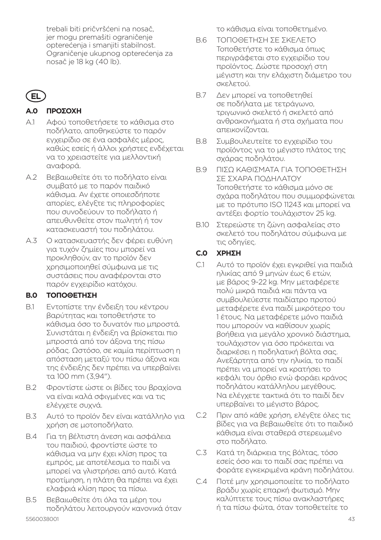trebali biti pričvršćeni na nosač, jer mogu premašiti ograničenje opterećenja i smanjiti stabilnost. Ograničenje ukupnog opterećenja za nosač je 18 kg (40 lb).

# **EL**

## **A.0 ΠΡΟΣΟΧΗ**

- A.1 Αφού τοποθετήσετε το κάθισμα στο ποδήλατο, αποθηκεύστε το παρόν εγχειρίδιο σε ένα ασφαλές μέρος, καθώς εσείς ή άλλοι χρήστες ενδέχεται να το χρειαστείτε για μελλοντική αναφορά.
- A.2 Βεβαιωθείτε ότι το ποδήλατο είναι συμβατό με το παρόν παιδικό κάθισμα. Αν έχετε οποιεσδήποτε απορίες, ελέγξτε τις πληροφορίες που συνοδεύουν το ποδήλατο ή απευθυνθείτε στον πωλητή ή τον κατασκευαστή του ποδηλάτου.
- A.3 Ο κατασκευαστής δεν φέρει ευθύνη για τυχόν ζημίες που μπορεί να προκληθούν, αν το προϊόν δεν χρησιμοποιηθεί σύμφωνα με τις συστάσεις που αναφέρονται στο παρόν εγχειρίδιο κατόχου.

## **B.0 ΤΟΠΟΘΕΤΗΣΗ**

- B.1 Εντοπίστε την ένδειξη του κέντρου βαρύτητας και τοποθετήστε το κάθισμα όσο το δυνατόν πιο μπροστά. Συνιστάται η ένδειξη να βρίσκεται πιο μπροστά από τον άξονα της πίσω ρόδας. Ωστόσο, σε καμία περίπτωση η απόσταση μεταξύ του πίσω άξονα και της ένδειξης δεν πρέπει να υπερβαίνει τα 100 mm (3,94").
- B.2 Φροντίστε ώστε οι βίδες του βραχίονα να είναι καλά σφιγμένες και να τις ελέγχετε συχνά.
- B.3 Αυτό το προϊόν δεν είναι κατάλληλο για χρήση σε μοτοποδήλατο.
- B.4 Για τη βέλτιστη άνεση και ασφάλεια του παιδιού, φροντίστε ώστε το κάθισμα να μην έχει κλίση προς τα εμπρός, με αποτέλεσμα το παιδί να μπορεί να γλιστρήσει από αυτό. Κατά προτίμηση, η πλάτη θα πρέπει να έχει ελαφριά κλίση προς τα πίσω.
- B.5 Βεβαιωθείτε ότι όλα τα μέρη του ποδηλάτου λειτουργούν κανονικά όταν

το κάθισμα είναι τοποθετημένο.

- B.6 ΤΟΠΟΘΕΤΗΣΗ ΣΕ ΣΚΕΛΕΤΟ Τοποθετήστε το κάθισμα όπως περιγράφεται στο εγχειρίδιο του προϊόντος. Δώστε προσοχή στη μέγιστη και την ελάχιστη διάμετρο του σκελετού.
- B.7 Δεν μπορεί να τοποθετηθεί σε ποδήλατα με τετράγωνο, τριγωνικό σκελετό ή σκελετό από ανθρακονήματα ή στα σχήματα που απεικονίζονται.
- B.8 Συμβουλευτείτε το εγχειρίδιο του προϊόντος για το μέγιστο πλάτος της σχάρας ποδηλάτου.
- B.9 ΠΙΣΩ ΚΑΘΙΣΜΑΤΑ ΓΙΑ ΤΟΠΟΘΕΤΗΣΗ ΣΕ ΣΧΑΡΑ ΠΟΔΗΛΑΤΟΥ Τοποθετήστε το κάθισμα μόνο σε σχάρα ποδηλάτου που συμμορφώνεται με το πρότυπο ISO 11243 και μπορεί να αντέξει φορτίο τουλάχιστον 25 kg.
- B.10 Στερεώστε τη ζώνη ασφαλείας στο σκελετό του ποδηλάτου σύμφωνα με τις οδηγίες.

### **C.0 ΧΡΗΣΗ**

- C.1 Αυτό το προϊόν έχει εγκριθεί για παιδιά ηλικίας από 9 μηνών έως 6 ετών, με βάρος 9-22 kg. Μην μεταφέρετε πολύ μικρά παιδιά και πάντα να συμβουλεύεστε παιδίατρο προτού μεταφέρετε ένα παιδί μικρότερο του 1 έτους. Να μεταφέρετε μόνο παιδιά που μπορούν να καθίσουν χωρίς βοήθεια για μεγάλο χρονικό διάστημα, τουλάχιστον για όσο πρόκειται να διαρκέσει η ποδηλατική βόλτα σας. Ανεξάρτητα από την ηλικία, το παιδί πρέπει να μπορεί να κρατήσει το κεφάλι του όρθιο ενώ φοράει κράνος ποδηλάτου κατάλληλου μεγέθους. Να ελέγχετε τακτικά ότι το παιδί δεν υπερβαίνει το μέγιστο βάρος.
- C.2 Πριν από κάθε χρήση, ελέγξτε όλες τις βίδες για να βεβαιωθείτε ότι το παιδικό κάθισμα είναι σταθερά στερεωμένο στο ποδήλατο.
- C.3 Κατά τη διάρκεια της βόλτας, τόσο εσείς όσο και το παιδί σας πρέπει να φοράτε εγκεκριμένα κράνη ποδηλάτου.
- C.4 Ποτέ μην χρησιμοποιείτε το ποδήλατο βράδυ χωρίς επαρκή φωτισμό. Μην καλύπτετε τους πίσω ανακλαστήρες ή τα πίσω φώτα, όταν τοποθετείτε το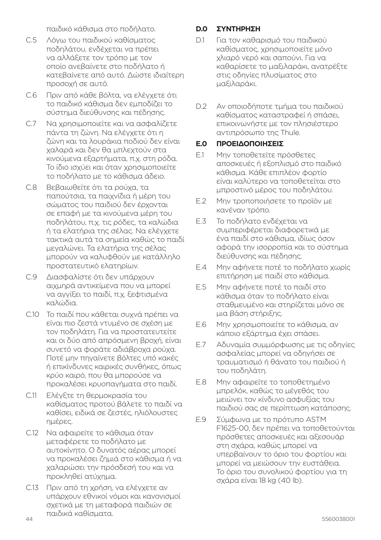παιδικό κάθισμα στο ποδήλατο.

- C.5 Λόγω του παιδικού καθίσματος ποδηλάτου, ενδέχεται να πρέπει να αλλάξετε τον τρόπο με τον οποίο ανεβαίνετε στο ποδήλατο ή κατεβαίνετε από αυτό. Δώστε ιδιαίτερη προσοχή σε αυτό.
- C.6 Πριν από κάθε βόλτα, να ελέγχετε ότι το παιδικό κάθισμα δεν εμποδίζει το σύστημα διεύθυνσης και πέδησης.
- C.7 Να χρησιμοποιείτε και να ασφαλίζετε πάντα τη ζώνη. Να ελέγχετε ότι η ζώνη και τα λουράκια ποδιού δεν είναι χαλαρά και δεν θα μπλεχτούν στα κινούμενα εξαρτήματα, π.χ. στη ρόδα. Το ίδιο ισχύει και όταν χρησιμοποιείτε το ποδήλατο με το κάθισμα άδειο.
- C.8 Βεβαιωθείτε ότι τα ρούχα, τα παπούτσια, τα παιχνίδια ή μέρη του σώματος του παιδιού δεν έρχονται σε επαφή με τα κινούμενα μέρη του ποδηλάτου, π.χ. τις ρόδες, τα καλώδια ή τα ελατήρια της σέλας. Να ελέγχετε τακτικά αυτά τα σημεία καθώς το παιδί μεγαλώνει. Τα ελατήρια της σέλας μπορούν να καλυφθούν με κατάλληλο προστατευτικό ελατηρίων.
- C.9 Διασφαλίστε ότι δεν υπάρχουν αιχμηρά αντικείμενα που να μπορεί να αγγίξει το παιδί, π.χ. ξεφτισμένα καλώδια.
- C.10 Το παιδί που κάθεται συχνά πρέπει να είναι πιο ζεστά ντυμένο σε σχέση με τον ποδηλάτη. Για να προστατευτείτε και οι δύο από απρόσμενη βροχή, είναι συνετό να φοράτε αδιάβροχα ρούχα. Ποτέ μην πηγαίνετε βόλτες υπό κακές ή επικίνδυνες καιρικές συνθήκες, όπως κρύο καιρό, που θα μπορούσε να προκαλέσει κρυοπαγήματα στο παιδί.
- C.11 Ελέγξτε τη θερμοκρασία του καθίσματος προτού βάλετε το παιδί να καθίσει, ειδικά σε ζεστές, ηλιόλουστες ημέρες.
- C.12 Να αφαιρείτε το κάθισμα όταν μεταφέρετε το ποδήλατο με αυτοκίνητο. Ο δυνατός αέρας μπορεί να προκαλέσει ζημιά στο κάθισμα ή να χαλαρώσει την πρόσδεσή του και να προκληθεί ατύχημα.
- 44 5560038001 C.13 Πριν από τη χρήση, να ελέγχετε αν υπάρχουν εθνικοί νόμοι και κανονισμοί σχετικά με τη μεταφορά παιδιών σε παιδικά καθίσματα.

## **D.0 ΣΥΝΤΗΡΗΣΗ**

- D.1 Για τον καθαρισμό του παιδικού καθίσματος, χρησιμοποιείτε μόνο χλιαρό νερό και σαπούνι. Για να καθαρίσετε το μαξιλαράκι, ανατρέξτε στις οδηγίες πλυσίματος στο μαξιλαράκι.
- D.2 Αν οποιοδήποτε τμήμα του παιδικού καθίσματος καταστραφεί ή σπάσει, επικοινωνήστε με τον πλησιέστερο αντιπρόσωπο της Thule.

#### **E.0 ΠΡΟΕΙΔΟΠΟΙΗΣΕΙΣ**

- E.1 Μην τοποθετείτε πρόσθετες αποσκευές ή εξοπλισμό στο παιδικό κάθισμα. Κάθε επιπλέον φορτίο είναι καλύτερο να τοποθετείται στο μπροστινό μέρος του ποδηλάτου.
- E.2 Μην τροποποιήσετε το προϊόν με κανέναν τρόπο.
- E.3 Το ποδήλατο ενδέχεται να συμπεριφέρεται διαφορετικά με ένα παιδί στο κάθισμα, ιδίως όσον αφορά την ισορροπία και το σύστημα διεύθυνσης και πέδησης.
- E.4 Μην αφήνετε ποτέ το ποδήλατο χωρίς επιτήρηση με παιδί στο κάθισμα.
- E.5 Μην αφήνετε ποτέ το παιδί στο κάθισμα όταν το ποδήλατο είναι σταθμευμένο και στηρίζεται μόνο σε μια βάση στήριξης.
- E.6 Μην χρησιμοποιείτε το κάθισμα, αν κάποιο εξάρτημα έχει σπάσει.
- E.7 Αδυναμία συμμόρφωσης με τις οδηγίες ασφαλείας μπορεί να οδηγήσει σε τραυματισμό ή θάνατο του παιδιού ή του ποδηλάτη.
- E.8 Μην αφαιρείτε το τοποθετημένο μπρελόκ, καθώς το μέγεθός του μειώνει τον κίνδυνο ασφυξίας του παιδιού σας σε περίπτωση κατάποσης.
- *E.9* Σύμφωνα με το πρότυπο ASTM F1625-00, δεν πρέπει να τοποθετούνται πρόσθετες αποσκευές και αξεσουάρ στη σχάρα, καθώς μπορεί να υπερβαίνουν το όριο του φορτίου και μπορεί να μειώσουν την ευστάθεια. Το όριο του συνολικού φορτίου για τη σχάρα είναι 18 kg (40 lb).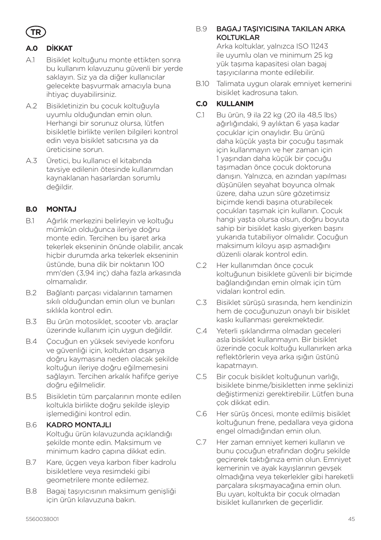

## **A.0 D**İ**KKAT**

- A.1 Bisiklet koltuğunu monte ettikten sonra bu kullanım kılavuzunu güvenli bir yerde saklayın. Siz ya da diğer kullanıcılar gelecekte başvurmak amacıyla buna ihtiyaç duyabilirsiniz.
- A.2 Bisikletinizin bu çocuk koltuğuyla uyumlu olduğundan emin olun. Herhangi bir sorunuz olursa, lütfen bisikletle birlikte verilen bilgileri kontrol edin veya bisiklet satıcısına ya da üreticisine sorun.
- A.3 Üretici, bu kullanıcı el kitabında tavsiye edilenin ötesinde kullanımdan kaynaklanan hasarlardan sorumlu değildir.

### **B.0 MONTAJ**

- B.1 Ağırlık merkezini belirleyin ve koltuğu mümkün olduğunca ileriye doğru monte edin. Tercihen bu işaret arka tekerlek ekseninin önünde olabilir, ancak hiçbir durumda arka tekerlek ekseninin üstünde, buna dik bir noktanın 100 mm'den (3,94 inç) daha fazla arkasında olmamalıdır.
- B.2 Bağlantı parçası vidalarının tamamen sıkılı olduğundan emin olun ve bunları sıklıkla kontrol edin.
- B.3 Bu ürün motosiklet, scooter vb. araçlar üzerinde kullanım için uygun değildir.
- B.4 Çocuğun en yüksek seviyede konforu ve güvenliği için, koltuktan dışarıya doğru kaymasına neden olacak şekilde koltuğun ileriye doğru eğilmemesini sağlayın. Tercihen arkalık hafifçe geriye doğru eğilmelidir.
- B.5 Bisikletin tüm parçalarının monte edilen koltukla birlikte doğru şekilde işleyip işlemediğini kontrol edin.

#### B.6 KADRO MONTAJLI

Koltuğu ürün kılavuzunda açıklandığı şekilde monte edin. Maksimum ve minimum kadro çapına dikkat edin.

- B.7 Kare, üçgen veya karbon fiber kadrolu bisikletlere veya resimdeki gibi geometrilere monte edilemez.
- B.8 Bagaj taşıyıcısının maksimum genişliği için ürün kılavuzuna bakın.

#### B.9 BAGAJ TAŞIYICISINA TAKILAN ARKA KOLTUKLAR

Arka koltuklar, yalnızca ISO 11243 ile uyumlu olan ve minimum 25 kg yük taşıma kapasitesi olan bagaj taşıyıcılarına monte edilebilir.

B.10 Talimata uygun olarak emniyet kemerini bisiklet kadrosuna takın.

## **C.0 KULLANIM**

- C.1 Bu ürün, 9 ila 22 kg (20 ila 48,5 lbs) ağırlığındaki, 9 aylıktan 6 yaşa kadar çocuklar için onaylıdır. Bu ürünü daha küçük yaşta bir çocuğu taşımak için kullanmayın ve her zaman için 1 yaşından daha küçük bir çocuğu taşımadan önce çocuk doktoruna danışın. Yalnızca, en azından yapılması düşünülen seyahat boyunca olmak üzere, daha uzun süre gözetimsiz biçimde kendi başına oturabilecek çocukları taşımak için kullanın. Çocuk hangi yaşta olursa olsun, doğru boyuta sahip bir bisiklet kaskı giyerken başını yukarıda tutabiliyor olmalıdır. Çocuğun maksimum kiloyu aşıp aşmadığını düzenli olarak kontrol edin.
- C.2 Her kullanımdan önce çocuk koltuğunun bisiklete güvenli bir biçimde bağlandığından emin olmak için tüm vidaları kontrol edin.
- C.3 Bisiklet sürüşü sırasında, hem kendinizin hem de çocuğunuzun onaylı bir bisiklet kaskı kullanması gerekmektedir.
- C.4 Yeterli ışıklandırma olmadan geceleri asla bisiklet kullanmayın. Bir bisiklet üzerinde çocuk koltuğu kullanırken arka reflektörlerin veya arka ışığın üstünü kapatmayın.
- C.5 Bir çocuk bisiklet koltuğunun varlığı, bisiklete binme/bisikletten inme şeklinizi değiştirmenizi gerektirebilir. Lütfen buna çok dikkat edin.
- C.6 Her sürüş öncesi, monte edilmiş bisiklet koltuğunun frene, pedallara veya gidona engel olmadığından emin olun.
- C.7 Her zaman emniyet kemeri kullanın ve bunu çocuğun etrafından doğru şekilde geçirerek taktığınıza emin olun. Emniyet kemerinin ve ayak kayışlarının gevşek olmadığına veya tekerlekler gibi hareketli parçalara sıkışmayacağına emin olun. Bu uyarı, koltukta bir çocuk olmadan bisiklet kullanırken de geçerlidir.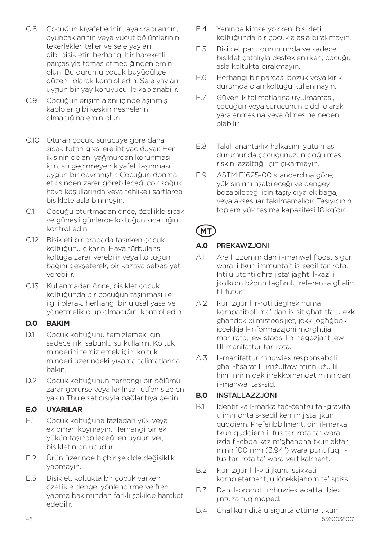- C.8 Çocuğun kıyafetlerinin, ayakkabılarının, oyuncaklarının veya vücut bölümlerinin tekerlekler, teller ve sele yayları gibi bisikletin herhangi bir hareketli parçasıyla temas etmediğinden emin olun. Bu durumu çocuk büyüdükçe düzenli olarak kontrol edin. Sele yayları uygun bir yay koruyucu ile kaplanabilir.
- C.9 Cocuğun erişim alanı içinde aşınmış kablolar gibi keskin nesnelerin olmadığına emin olun.
- C.10 Oturan çocuk, sürücüye göre daha sıcak tutan giysilere ihtiyaç duyar. Her ikisinin de ani yağmurdan korunması için, su geçirmeyen kıyafet taşınması uygun bir davranıştır. Çocuğun donma etkisinden zarar görebileceği çok soğuk hava koşullarında veya tehlikeli şartlarda bisiklete asla binmeyin.
- C.11 Çocuğu oturtmadan önce, özellikle sıcak ve güneşli günlerde koltuğun sıcaklığını kontrol edin.
- C.12 Bisikleti bir arabada taşırken çocuk koltuğunu çıkarın. Hava türbülansı koltuğa zarar verebilir veya koltuğun bağını gevşeterek, bir kazaya sebebiyet verebilir.
- C.13 Kullanmadan önce, bisiklet çocuk koltuğunda bir çocuğun taşınması ile ilgili olarak, herhangi bir ulusal yasa ve yönetmelik olup olmadığını kontrol edin.

#### **D.0 BAKIM**

- D.1 Cocuk koltuğunu temizlemek için sadece ılık, sabunlu su kullanın. Koltuk minderini temizlemek için, koltuk minderi üzerindeki yıkama talimatlarına bakın.
- D.2 Çocuk koltuğunun herhangi bir bölümü zarar görürse veya kırılırsa, lütfen size en yakın Thule satıcısıyla bağlantıya geçin.

## **E.0 UYARILAR**

- E.1 Çocuk koltuğuna fazladan yük veya ekipman koymayın. Herhangi bir ek yükün taşınabileceği en uygun yer, bisikletin ön ucudur.
- E.2 Ürün üzerinde hiçbir şekilde değişiklik yapmayın.
- E.3 Bisiklet, koltukta bir çocuk varken özellikle denge, yönlendirme ve fren yapma bakımından farklı şekilde hareket edebilir.
- E.4 Yanında kimse yokken, bisikleti koltuğunda bir çocukla asla bırakmayın.
- E.5 Bisiklet park durumunda ve sadece bisiklet çatalıyla desteklenirken, çocuğu asla koltukta bırakmayın.
- E.6 Herhangi bir parçası bozuk veya kırık durumda olan koltuğu kullanmayın.
- E.7 Güvenlik talimatlarına uyulmaması, çocuğun veya sürücünün ciddi olarak yaralanmasına veya ölmesine neden olabilir.
- E.8 Takılı anahtarlık halkasını, yutulması durumunda çocuğunuzun boğulması riskini azalttığı için çıkarmayın.
- E.9 ASTM F1625-00 standardına göre, yük sınırını aşabileceği ve dengeyi bozabileceği için taşıyıcıya ek bagaj veya aksesuar takılmamalıdır. Taşıyıcının toplam yük taşıma kapasitesi 18 kg'dır.

## **MT**

## **A.0** PREKAWZJONI

- A.1 Ara li żżomm dan il-manwal f'post sigur wara li tkun immuntajt is-sedil tar-rota. Inti u utenti oħra jista' jagħti l-każ li jkolkom bżonn tagħmlu referenza għalih fil-futur.
- A.2 Kun żgur li r-roti tiegħek huma kompatibbli ma' dan is-sit għat-tfal. Jekk għandek xi mistoqsijiet, jekk jogħġbok iċċekkja l-informazzjoni morgħtija mar-rota, jew staqsi lin-negozjant jew lill-manifattur tar-rota.
- A.3 Il-manifattur mhuwiex responsabbli għall-ħsarat li jirriżultaw minn użu lil hinn minn dak irrakkomandat minn dan il-manwal tas-sid.

## **B.0** INSTALLAZZJONI

- B.1 Identifika l-marka taċ-ċentru tal-gravità u immonta s-sedil kemm jista' jkun quddiem. Preferibbilment, din il-marka tkun quddiem il-fus tar-rota ta' wara, iżda fl-ebda każ m'għandha tkun aktar minn 100 mm (3.94") wara punt fuq ilfus tar-rota ta' wara vertikalment.
- B.2 Kun żgur li l-viti jkunu ssikkati kompletament, u iċċekkjahom ta' spiss.
- B.3 Dan il-prodott mhuwiex adattat biex jintuża fuq moped.
- 46 5560038001 B.4 Għal kumdità u sigurtà ottimali, kun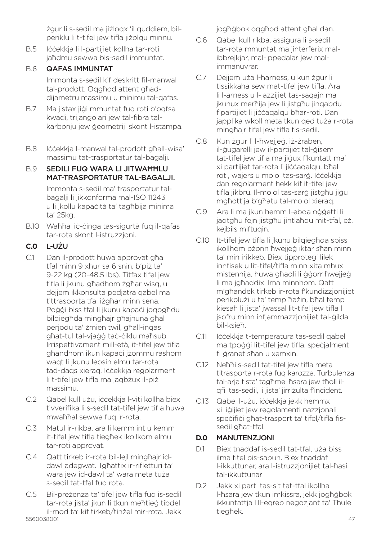żgur li s-sedil ma jiżloqx 'il quddiem, bilperiklu li t-tifel jew tifla jiżolqu minnu.

B.5 Iċċekkja li l-partijiet kollha tar-roti jaħdmu sewwa bis-sedil immuntat.

## B.6 QAFAS IMMUNTAT

Immonta s-sedil kif deskritt fil-manwal tal-prodott. Oqgħod attent għaddijametru massimu u minimu tal-qafas.

- B.7 Ma jistax jiġi mmuntat fuq roti b'oqfsa kwadi, trijangolari jew tal-fibra talkarbonju jew ġeometriji skont l-istampa.
- B.8 Iċċekkja l-manwal tal-prodott għall-wisa' massimu tat-trasportatur tal-bagalji.

### B.9 SEDILI FUQ WARA LI JITWAĦĦLU MAT-TRASPORTATUR TAL-BAGALJI.

Immonta s-sedil ma' trasportatur talbagalji li jikkonforma mal-ISO 11243 u li jkollu kapaċità ta' tagħbija minima ta' 25kg.

B.10 Waħħal iċ-ċinga tas-sigurtà fuq il-qafas tar-rota skont l-istruzzjoni.

### **C.0** L-UŻU

- C.1 Dan il-prodott huwa approvat għal tfal minn 9 xhur sa 6 snin, b'niż ta' 9-22 kg (20-48.5 lbs). Titfax tifel jew tifla li jkunu għadhom żgħar wisq, u dejjem ikkonsulta pedjatra qabel ma tittrasporta tfal iżgħar minn sena. Poġġi biss tfal li jkunu kapaċi joqogħdu bilqiegħda mingħajr għajnuna għal perjodu ta' żmien twil, għall-inqas għat-tul tal-vjaġġ taċ-ċiklu maħsub. Irrispettivament mill-età, it-tifel jew tifla għandhom ikun kapaċi jżommu rashom waqt li jkunu lebsin elmu tar-rota tad-daqs xieraq. Iċċekkja regolarment li t-tifel jew tifla ma jaqbżux il-piż massimu.
- C.2 Qabel kull użu, iċċekkja l-viti kollha biex tivverifika li s-sedil tat-tifel jew tifla huwa mwaħħal sewwa fuq ir-rota.
- C.3 Matul ir-rikba, ara li kemm int u kemm it-tifel jew tifla tiegħek ikollkom elmu tar-roti approvat.
- C.4 Qatt tirkeb ir-rota bil-lejl mingħajr iddawl adegwat. Tgħattix ir-rifletturi ta' wara jew id-dawl ta' wara meta tuża s-sedil tat-tfal fuq rota.
- 5560038001 47 C.5 Bil-preżenza ta' tifel jew tifla fuq is-sedil tar-rota jista' ikun li tkun meħtieġ tibdel il-mod ta' kif tirkeb/tinżel mir-rota. Jekk

jogħġbok oqgħod attent għal dan.

- C.6 Qabel kull rikba, assigura li s-sedil tar-rota mmuntat ma jinterferix malibbreikiar, mal-ippedalar jew malimmanuvrar.
- C.7 Dejjem uża l-harness, u kun żgur li tissikkaha sew mat-tifel jew tifla. Ara li l-arness u l-lazzijiet tas-saqajn ma jkunux merħija jew li jistgħu jinqabdu f'partijiet li jiċċaqalqu bħar-roti. Dan japplika wkoll meta tkun qed tuża r-rota mingħajr tifel jew tifla fis-sedil.
- C.8 Kun żgur li l-ħweijeġ, jż-żraben, il-ġugarelli jew il-partijiet tal-ġisem tat-tifel jew tifla ma jiġux f'kuntatt ma' xi partijiet tar-rota li jiċċaqalqu, bħal roti, wajers u molol tas-sarġ. Iċċekkia dan regolarment hekk kif it-tifel jew tifla jikbru. Il-molol tas-sarġ jistgħu jiġu mgħottija b'għatu tal-molol xieraq.
- C.9 Ara li ma jkun hemm l-ebda oġġetti li jaqtgħu fejn jistgħu jintlaħqu mit-tfal, eż. kejbils miftuqin.
- C.10 It-tifel jew tifla li jkunu bilgiegħda spiss ikollhom bżonn ħwejjeġ iktar sħan minn ta' min irikkeb. Biex tipproteġi lilek innfisek u lit-tifel/tifla minn xita mhux mistennija, huwa għaqli li ġġorr ħwejjeġ li ma jgħaddix ilma minnhom. Qatt m'għandek tirkeb ir-rota f'kundizzjonijiet perikolużi u ta' temp ħażin, bħal temp kiesaħ li jista' jwassal lit-tifel jew tifla li jsofru minn infjammazzjonijiet tal-ġilda bil-ksieħ.
- C.11 Iċċekkja t-temperatura tas-sedil qabel ma tpoġġi lit-tifel jew tifla, speċjalment fi ġranet sħan u xemxin.
- C.12 Neħħi s-sedil tat-tifel jew tifla meta titrasporta r-rota fuq karozza. Turbulenza tal-arja tista' tagħmel ħsara jew tħoll ilqfil tas-sedil, li jista' jirriżulta f'inċident.
- C.13 Qabel l-użu, iċċekkja jekk hemmx xi liğijiet jew regolamenti nazzionali speċifiċi għat-trasport ta' tifel/tifla fissedil għat-tfal.

#### **D.0** MANUTENZJONI

- D.1 Biex tnaddaf is-sedil tat-tfal, uża biss ilma fitel bis-sapun. Biex tnaddaf l-ikkuttunar, ara l-istruzzjonijiet tal-ħasil tal-ikkuttunar
- D.2 Jekk xi parti tas-sit tat-tfal ikollha l-ħsara jew tkun imkissra, jekk jogħġbok ikkuntattja lill-eqreb negozjant ta' Thule tiegħek.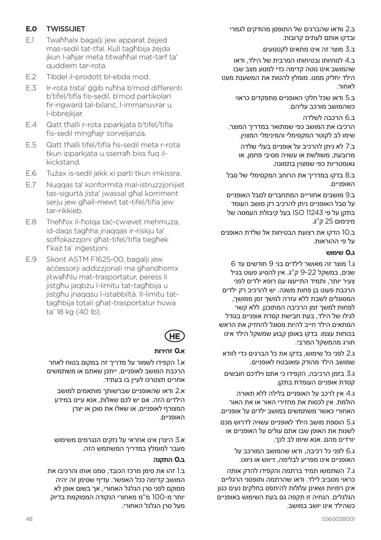#### **E.0** TWISSIJIET

- E.1 Twaħħalx bagalji jew apparat żejjed mas-sedil tat-tfal. Kull tagħbija żejda jkun l-aħjar meta titwaħħal mat-tarf ta' quddiem tar-rota.
- E.2 Tibdel il-prodott bl-ebda mod.
- E.3 Ir-rota tista' ġġib ruħha b'mod differenti b'tifel/tifla fis-sedil, b'mod partikolari fir-rigward tal-bilanċ, l-immanuvrar u l-ibbrejkjar.
- E.4 Qatt tħalli r-rota pparkjata b'tifel/tifla fis-sedil mingħajr sorveljanza.
- E.5 Qatt tħalli tifel/tifla fis-sedil meta r-rota tkun ipparkjata u sserraħ biss fuq ilkickstand.
- E.6 Tużax is-sedil jekk xi parti tkun imkissra.
- E.7 Nuqqas ta' konformità mal-istruzzjonijiet tas-sigurtà jista' jwassal għal korriment serju jew għall-mewt tat-tifel/tifla jew tar-rikkieb.
- E.8 Tneħħix il-ħolqa taċ-ċwievet mehmuża, id-daqs tagħha jnaqqas ir-riskju ta' soffokazzjoni għat-tifel/tifla tiegħek f'każ ta' inġestjoni.
- E.9 Skont ASTM F1625-00, bagalji jew aċċessorii addizzionali ma għandhomx jitwaħħlu mat-trasportatur, peress li jistgħu jagbżu l-limitu tat-tagħbija u jistgħu jnaqqsu l-istabbiltà. Il-limitu tattagħbija totali għat-trasportatur huwa ta' 18 kg (40 lb).

## **HE**

#### **א0. זהירות**

א1. הקפידו לשמור על מדריך זה במקום בטוח לאחר הרכבת המושב לאופניים. ייתכן שאתם או משתמשים אחרים תצטרכו לעיין בו בעתיד.

א2. ודאו שהאופניים שברשותך מותאמים למושב הילדים הזה. אם יש לכם שאלות, אנא עיינו במידע המצורף לאופניים, או שאלו את סוכן או יצרן האופניים.

א3. היצרן אינו אחראי על נזקים הנגרמים משימוש מעבר למומלץ במדריך המשתמש הזה.

#### **ב0. התקנה**

ב1. זהו את סימן מרכז הכובד, סמנו אותו והרכיבו את המושב קדימה ככל האפשר. עדיף שסימן זה יהיה ממוקם לפני סרן הגלגל האחורי, אך בשום אופן לא יותר מ100- מ"מ מאחורי הנקודה הממוקמת בדיוק מעל סרן הגלגל האחורי. ב2. וודאו שהברגים של התופסן מהודקים לגמרי ובדקו אותם לעתים קרובות.

ב3. מוצר זה אינו מתאים לקטנועים.

ב4. לנוחיותו ובטיחותו המרבית של הילד, ודאו שהמושב אינו נוטה קדימה כדי למנוע מצב שבו הילד יחליק ממנו. מומלץ להטות את המשענת מעט לאחור.

> ב5. ודאו שכל חלקי האופניים מתפקדים כראוי כשהמושב מורכב עליהם.

ב6. הרכבה לשלדה הרכיבו את המושב כפי שמתואר במדריך המוצר. שימו לב לקוטר המקסימלי והמינימלי המצוין.

ב7. לא ניתן להרכיב על אופניים בעלי שלדה מרובעת, משולשת או עשויה מסיבי פחמן, או גאומטריות כפי שמצוין בתמונה.

ב8. בדקו במדריך את הרוחב המקסימלי של סבל האופניים.

ב9. מושבים אחוריים המתחברים לסבל האופניים על סבל האופניים ניתן להרכיב רק מושב העומד בתקן על פי 11243 ISO בעל קיבולת העמסה של מינימום 25 ק"ג.

ב10. הדקו את רצועת הבטיחות אל שלדת האופנים על פי ההוראות.

#### **ג0. שימוש**

ג1. מוצר זה מאושר לילדים בני 9 חודשים עד 6 שנים, במשקל 9-22 ק"ג. אין להסיע פעוט בגיל צעיר יותר, ותמיד התייעצו עם רופא ילדים לפני הרכבת פעוט בן פחות משנה. יש להרכיב רק ילדים המסוגלים לשבת ללא עזרה למשך זמן ממושך, לפחות למשך זמן הרכיבה המתוכנן. ללא קשר לגילו של הילד, בעת חבישת קסדת אופניים בגודל המתאים הילד חייב להיות מסוגל להחזיק את הראש בכוחות עצמו. בדקו באופן קבוע שמשקל הילד אינו חורג מהמשקל המרבי.

ג2. לפני כל שימוש, בדקו את כל הברגים כדי לוודא שמושב הילד מהודק ומאובטח לאופניים.

ג3. בזמן הרכיבה, הקפידו כי אתם וילדכם חובשים קסדת אופניים העומדת בתקן.

ג4. אין לרכב על האופניים בלילה ללא תאורה הולמת. אין לכסות את מחזירי האור או את האור האחורי כאשר משתמשים במושב ילדים על אופניים.

ג5. הוספת מושב הילד לאופניים עשויה לדרוש מכם לשנות את האופן שבו אתם עולים על האופניים או יורדים מהם. אנא שימו לב לכך.

ג6. לפני כל רכיבה, ודאו שהמושב המורכב על האופניים אינו מפריע לבלימה, דיווש או ניווט.

ג7. השתמשו תמיד ברתמה והקפידו להדק אותה כראוי מסביב לילד. ודאו שהרתמה ותופסני הרגליים אינן רפויות ושאינן עלולות להיתפס בחלקים נעים כגון הגלגלים. הנחיה זו תקפה גם בעת השימוש באופניים כשהילד אינו יושב במושב.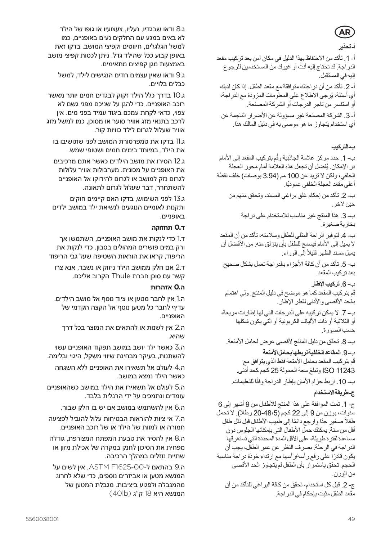# **AR**

#### **أ- تحذير**

أ- .1 تأكد من االحتفاظ بهذا الدليل في مكان آمن بعد تركيب مقعد الدراجة. قد تحتاج إليه أنت أو غيرك من المستخدمين للرجوع إليه في المستقبل. أ- .2 تأكد من أن دراجتك متوافقة مع مقعد الطفل. إذا كان لديك

اي اسئلة، يُرجى الاطلاع على المعلومات المزودة مع الدراجة، أو استفسر من تاجر الدرجات أو الشركة المصنعة. أ- 3. الشركة المصنعة غير مسؤولة عن الأضرار الناجمة عن

أي استخدام يتجاوز ما هو موصى به في دليل المالك هذا.

#### **ب- التركيب**

ب- 1. حدد مركز علامة الجاذبية وقَم بتركيب المقعد إلى الأمام در الإمكان. يُفضل أن تجعل هذه العلامة أمام محور العجلة الخلفي، ولكن لا تزيد عن 100 مم (3.94 بوصات) خلف نقطة اعلى مقعد العجلة الخلفي عموديًا. ب- .2 تأكد من إحكام غلق براغي المسند، وتحقق منهم من حين آلخر. ب- .3 هذا المنتج غير مناسب لالستخدام على دراجة بخارية صغيرة. ب- .4 لتوفير الراحة المثلى للطفل وسالمته، تأكد من أن المقعد ال يميل إلى األمام فيسمح للطفل بأن ينزلق منه. من األفضل أن يميل مسند الظهر قليلاً إلى الوراء. ب- 5. تأكد من أن كافة الأجز اء بالدر اجة تعمل بشكل صحيح بعد تركيب المقعد. ب- .6**تركيب اإلطار** ُم بتركيب المقعد كما هو موضح في دليل المنتج. ولي اهتمام ق بالحد الأقصي والأنني لقطر الإطار. ب- 7. لا يمكن تركيبه على الدرجات التي لها إطارات مربعة،

أو الثلاثية أو ذات الألياف الكربونية أو التي يكون شكلها حسب الصورة.

ب- 8. تحقق من دليل المنتج لأقصىي عرض لحامل الأمتعة.

ب- .9 **المقاعد الخلفية لربطها بحامل األمتعة** قُم بتر كيب المقعد بحامل الأمتعة فقط الذي يتوافق مع 11243 ISO وتبلغ سعة الحمولة 25 كجم كحد أدنى.

ب- 10. اربط حزام الأمان بإطار الدراجة وفقًا للتعليمات

#### **ج- طريقة االستخدام**

ج- 1. تمت الموافقة على هذا المنتج للأطفال من 9 أشهر إلى 6 سنوات، بوزن من 9 إلى 22 كجم (48،5 ـ 20 رطلا). لا تحمل طفلاً صغير جدًا وارجع دائمًا إلى طبيب الأطفال قبل نقل طفل أقل من سنة. يمكنك حمل األطفال التي بإمكانها الجلوس دون مساعدة لفترة طويلة، على األقل المدة المحددة التي تستغرقها الدراجة في الرحلة. بصرف النظر عن عمر الطفل، يجب أن ً يكون قادرا على رفع رأسه/رأسها مع ارتداء خوذة دراجة مناسبة الحجم. تحقق باستمر ار بأن الطفل لم يتجاوز الحد الأقصى من الوزن. ج- 2. قبل كل استخدام، تحقق من كافة البر اغي للتأكد من أن

مقعد الطفل مثبت بإحكام في الدراجة.

ג8. ודאו שבגדיו, נעליו, צעצועיו או גופו של הילד לא באים במגע עם החלקים נעים באופניים, כמו למשל הגלגלים, חיווטים וקפיצי המושב. בדקו זאת באופן קבוע ככל שהילד גדל. ניתן לכסות קפיצי מושב באמצעות מגן קפיצים מתאימים.

ג9. ודאו שאין עצמים חדים הנגישים לילד, למשל כבלים בלויים.

ג10. בדרך כלל הילד זקוק לבגדים חמים יותר מאשר רוכב האופניים. כדי להגן על שניכם מפני גשם לא צפוי, כדאי לקחת עמכם ביגוד עמיד בפני מים. אין לרכב בתנאי מזג אוויר סוער או מסוכן, כמו למשל מזג אוויר שעלול לגרום לילד כוויות קור.

ג11. בדקו את טמפרטורת המושב לפני שתושיבו בו את הילד, במיוחד בימים חמים ושטופי שמש.

ג12. הסירו את מושב הילדים כאשר אתם מרכיבים את האופניים על מכונית. מערבולות אוויר עלולות לגרום נזק למושב או לגרום להידוקו אל האופניים להשתחרר, דבר שעלול לגרום לתאונה.

ג13. לפני השימוש, בדקו האם קיימים חוקים ותקנות לאומיים הנוגעים לנשיאת ילד במושב ילדים באופניים.

#### **ד0. תחזוקה**

ד1. כדי לנקות את מושב האופניים, השתמשו אך ורק במים פושרים המהולים בסבון. כדי לנקות את הריפוד, קראו את הוראות השטיפה שעל גבי הריפוד

ד2. אם חלק ממושב הילד ניזוק או נשבר, אנא צרו קשר עם סוכן חברת Thule הקרוב אליכם.

#### **ה0. אזהרות**

ה1. אין לחבר מטען או ציוד נוסף אל מושב הילדים. עדיף לחבר כל מטען נוסף אל הקצה הקדמי של האופניים.

ה2. אין לשנות או להתאים את המוצר בכל דרך שהיא.

ה3. כאשר ילד יושב במושב תפקוד האופניים עשוי להשתנות, בעיקר מבחינת שיווי משקל, היגוי ובלימה.

ה4. לעולם אל תשאירו את האופניים ללא השגחה כאשר הילד נמצא במושב.

ה5. לעולם אל תשאירו את הילד במושב כשהאופניים עומדים ונתמכים על ידי הרגלית בלבד.

ה6. אין להשתמש במושב אם יש בו חלק שבור.

ה7. אי ציות להוראות הבטיחות עלול להוביל לפציעה חמורה או למוות של הילד או של רוכב האופניים.

ה8. אין להסיר את טבעת המפתח המצורפת, גודלה מפחית את הסיכון לחנק במקרה של אכילת מזון או שתיית נוזלים במהלך הרכיבה.

ה9. בהתאם ל1625-00-F ASTM, אין לשים על המנשא מטען או אביזרים נוספים, כדי שלא לחרוג מהמגבלה ולפגוע ביציבות. מגבלת המטען של המנשא היא 18 ק"ג (40lb)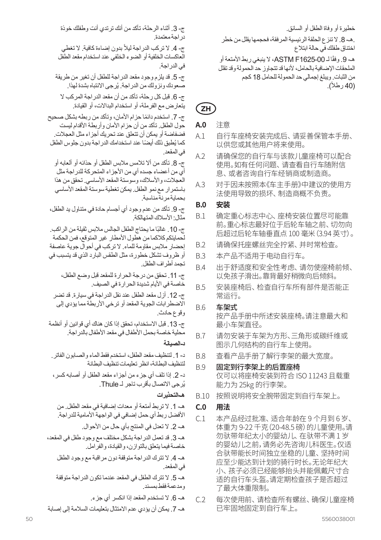ج- .3 أثناء الرحلة، تأكد من أنك ترتدي أنت وطفلك خوذة دراجة معتمدة.

ج- 4. لا تركب الدراجة ليلأ بدون إضـاءة كافية. لا تغطي العاكسات الخلفية أو الضوء الخلفي عند استخدام مقعد الطفل في الدراجة.

ج- 5. قد يلزم وجود مقعد الدراجة للطفل أن تغير من طريقة صعودك ونزولك من الدراجة. يُرجى الانتباه بشدة لهذا.

ج- 6. قبل كل رحلة، تأكد من أن مقعد الدراجة المركب لا يتعارض مع الفرملة، أو استخدام البداالت، أو القيادة.

ج- 7 ً . استخدم دائما حزام األمان، وتأكد من ربطه بشكل صحيح حول الطفل. تأكد من أن حزام الأمان وأربطة الأقدام ليست فضفاضة أو يمكن أن تتعلق عند تحريك أجزاء مثل العجالت. كما يُطبق ذلك أيضًا عند استخدامك الدر اجة بدون جلوس الطفل في المقعد.

ج- .8 تأكد من أال تالمس مالبس الطفل أو حذائه أو ألعابه أو أي من أعضاء جسده أي من األجزاء المتحركة للدراجة مثل العجلات، و الأسلاك، وسوستة المقعد الأساسي. تحقق من هذا باستمرار مع نمو الطفل. يمكن تغطية سوستة المقعد األساسي بحماية مرنة مناسبة.

ج- 9. تأكد من عدم وجود أي أجسام حادة في متناول يد الطفل، –<br>مثال: الأسلاك المتمالكة.

ج- 10 ـ غالبًا ما يحتاج الطفل الجالس ملابس ثقيلة من الر اكب ـ لحمايتكم كالكما من هطول األمطار غير المتوقع، فمن الحكمة إحضار مالبس مقاومة للماء. ال تركب في أحوال جوية عاصفة .<br>أو ظر وف تشكل خطورة، مثل الطقس البارد الذي قد يتسبب في تجمد أطراف الطفل.

ج- .11 تحقق من درجة الحرارة للمقعد قبل وضع الطفل، خاصة في الأيام شديدة الحرارة في الصيف.

ج- 12. أزل مقعد الطفل عند نقل الدر اجة في سيارة. قد تضر االضطرابات الجوية المقعد أو ترخي األربطة مما يؤدي إلى وقوع حادث.

ج- 13. قبل الاستخدام، تحقق إذا كان هناك أي قوانين أو أنظمة محلية خاصة بحمل الأطفال في مقعد الأطفال بالدر اجة.

**د- الصيانة** 

د- 1. لتنظيف مقعد الطفل، استخدم فقط الماء و الصبابون الفاتر . لتنظيف البطانة، انظر تعليمات تنظيف البطانة

د- 2. إذا تلف أي جزء من أجزاء مقعد الطفل أو أصبابه كسر، ُرجى االتصال بأقرب تاجر لـ Thule. ي

**هـ- التحذيرات**

هـ- 1. لا تربط أمتعة أو معدات إضـافية في مقعد الطفل. من الأفضل ر بط أي حمل إضافي في الو اجهة الأمامية للدر اجة.

هـ- 2. لا تعدل في المنتج بأي حال من الأحوال. هـ- 3. قد تعمل الدراجة بشكل مختلف مع وجود طفل في المقعد، خاصة فيما يتعلق بالتوازن، والقيادة، والفرامل. هـ 4. لا تترك الدراجة متوقفة دون مراقبة مع وجود الطفل

في المقعد. هـ- 5. لا تترك الطفل في المقعد عندما تكون الدر اجة متوقفة

ومدعمة فقط بمسند.

هـ- .6 ال تستخدم المقعد إذا انكسر أي جزء.

هـ- 7 يمكن أن يؤدي عدم الإمتثال بتعليمات السلامة إلى إصبابة

خطيرة أو وفاة الطفل أو السائق. .هـ- 8. لا تنزع الحلقة الرئيسية المرفقة، فحجمها يقلل من خطر اختناق طفلك في حالة ابتالع هـ- 9. وفقًا لــ ASTM F1625-00، لا ينبغي ربط الأمتعة أو الملحقات اإلضافية بالحامل، ألنها قد تتجاوز حد الحمولة وقد تقلل من الثبات. ويبلغ إجمالي حد الحمولة للحامل 18 كجم (40 رطلاً).

## **ZH**

- **A.0**  注意
- A.1 自行车座椅安装完成后、请妥善保管本手册、 以供您或其他用户将来使用。
- A.2 请确保您的自行车与该款儿童座椅可以配合 使用。如有任何问题、请查看自行车随附信 息、或者咨询自行车经销商或制造商。
- A.3 对于因未按照本《车主手册》中建议的使用方 法使用导致的损坏、制造商概不负责。

#### **B.0 安装**

- B.1 确定重心标志中心、座椅安装位置尽可能靠 前。重心标志最好位于后轮车轴之前、切勿向 后超过后轮车轴垂直点 100 毫米(3.94 英寸)。
- B.2 请确保托座螺丝完全拧紧、并时常检查。
- B.3 本产品不适用于电动自行车。
- B.4 出于舒适度和安全性考虑、请勿使座椅前倾、 以免孩子滑出。靠背最好稍微向后倾斜。
- B.5 安装座椅后、检查自行车所有部件是否能正 常运行。
- B.6 车架式

按产品手册中所述安装座椅。请注意最大和 最小车架直径。

- B.7 请勿安装于车架为方形、三角形或碳纤维或 图示几何结构的自行车上使用。
- B.8 查看产品手册了解行李架的最大宽度。
- B.9 固定到行李架上的后置座椅 仅可以将座椅安装到符合 ISO 11243 且载重 能力为 25kg 的行李架。
- B.10 按照说明将安全腕带固定到自行车架上。

#### **C.0 用法**

- C.1 本产品经过批准、适合年龄在 9 个月到 6 岁、 体重为 9-22 千克 (20-48.5 磅) 的儿童使用。请 勿驮带年纪太小的婴幼儿、在驮带不满 1 岁 的婴幼儿之前,请务必先咨询儿科医生。仅适 合驮带能长时间独立坐稳的儿童、坚持时间 应至少能达到计划的骑行时长。无论年纪大 小、孩子必须已经能够抬头并能佩戴尺寸合 适的自行车头盔。请定期检查孩子是否超过 了最大体重限制。
- C.2 每次使用前、请检查所有螺丝、确保儿童座椅 已牢固地固定到自行车上。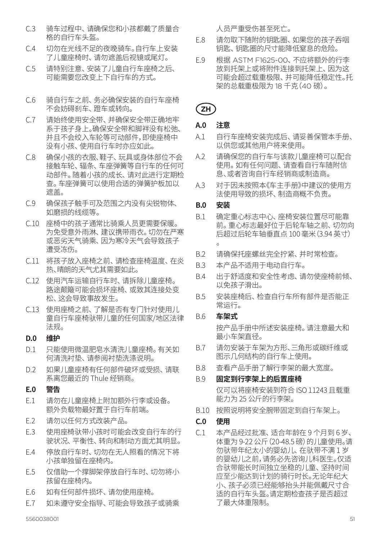- C.3 骑车过程中、请确保您和小孩都戴了质量合 格的自行车头盔。
- C.4 切勿在光线不足的夜晚骑车。自行车上安装 了儿童座椅时、请勿遮盖后视镜或尾灯。
- C.5 请特别注意、安装了儿童自行车座椅之后、 可能需要您改变上下自行车的方式。
- C.6 骑自行车之前、务必确保安装的自行车座椅 不会妨碍刹车、蹬车或转向。
- C.7 请始终使用安全带、并确保安全带正确地牢 系于孩子身上。确保安全带和脚袢没有松弛、 并且不会绞入车轮等可动部件,即使座椅中 没有小孩、使用自行车时亦应如此。
- C.8 确保小孩的衣服、鞋子、玩具或身体部位不会 接触车轮、辐条、车座弹簧等自行车的任何可 动部件。随着小孩的成长、请对此进行定期检 查。车座弹簧可以使用合适的弹簧护板加以 遮盖。
- C.9 确保孩子触手可及范围之内没有尖锐物体、 如磨损的线缆等。
- C.10 座椅中的孩子通常比骑乘人员更需要保暖。 为免受意外雨淋、建议携带雨衣。切勿在严寒 或恶劣天气骑乘、因为寒冷天气会导致孩子 遭受冻伤。
- C.11 将孩子放入座椅之前、请检查座椅温度、在炎 热、晴朗的天气尤其需要如此。
- C.12 使用汽车运输自行车时、请拆除儿童座椅。 路途颠簸可能会损坏座椅、或致其连接处变 松、这会导致事故发生。
- C.13 使用座椅之前、了解是否有专门针对使用儿 童自行车座椅驮带儿童的任何国家/地区法律 法规。

## **D.0 维护**

- D.1 只能使用微温肥皂水清洗儿童座椅。有关如 何清洗衬垫、请参阅衬垫洗涤说明。
- D.2 如果儿童座椅有任何部件破坏或受损、请联 系离您最近的 Thule 经销商。

#### **E.0 警告**

- E.1 请勿在儿童座椅上附加额外行李或设备。 额外负载物最好置于自行车前端。
- E.2 请勿以任何方式改装产品。
- E.3 使用座椅驮带小孩时可能会改变自行车的行 驶状况、平衡性、转向和制动方面尤其明显。
- E.4 停放自行车时、切勿在无人照看的情况下将 小孩单独留在座椅内。
- E.5 仅借助一个撑脚架停放自行车时、切勿将小 孩留在座椅内。
- E.6 如有任何部件损坏、请勿使用座椅。
- E.7 如未遵守安全指导、可能会导致孩子或骑乘

人员严重受伤甚至死亡。

- E.8 请勿取下随附的钥匙圈、如果您的孩子吞咽 钥匙、钥匙圈的尺寸能降低窒息的危险。
- E.9 根据 ASTM F1625-00、不应将额外的行李 放到托架上或将附件连接到托架上、因为这 可能会超过载重极限、并可能降低稳定性。托 架的总载重极限为 18 千克(40 磅)。

## **ZH**

#### **A.0 注意**

- A.1 自行车座椅安装完成后、请妥善保管本手册、 以供您或其他用户将来使用。
- A.2 请确保您的自行车与该款儿童座椅可以配合 使用。如有任何问题、请查看自行车随附信 息、或者咨询自行车经销商或制造商。
- A.3 对于因未按照本《车主手册》中建议的使用方 法使用导致的损坏、制造商概不负责。
- **B.0 安装**
- B.1 确定重心标志中心、座椅安装位置尽可能靠 前。重心标志最好位于后轮车轴之前、切勿向 后超过后轮车轴垂直点 100 毫米(3.94 英寸) 。
- B.2 请确保托座螺丝完全拧紧、并时常检查。
- B.3 本产品不适用于电动自行车。
- B.4 出于舒适度和安全性考虑、请勿使座椅前倾、 以免孩子滑出。
- B.5 安装座椅后、检查自行车所有部件是否能正 常运行。

#### B.6 **车架式**

 按产品手册中所述安装座椅。请注意最大和 最小车架直径。

- B.7 请勿安装于车架为方形、三角形或碳纤维或 图示几何结构的自行车上使用。
- B.8 查看产品手册了解行李架的最大宽度。

#### B.9 **固定到行李架上的后置座椅**

 仅可以将座椅安装到符合 ISO 11243 且载重 能力为 25 公斤的行李架。

- B.10 按照说明将安全腕带固定到自行车架上。
- **C.0 使用**
- C.1 本产品经过批准、适合年龄在 9 个月到 6 岁、 体重为 9-22 公斤 (20-48.5 磅) 的儿童使用。请 勿驮带年纪太小的婴幼儿、在驮带不满 1 岁 的婴幼儿之前,请务必先咨询儿科医生。仅适 合驮带能长时间独立坐稳的儿童、坚持时间 应至少能达到计划的骑行时长。无论年纪大 小、孩子必须已经能够抬头并能佩戴尺寸合 适的自行车头盔。请定期检查孩子是否超过 了最大体重限制。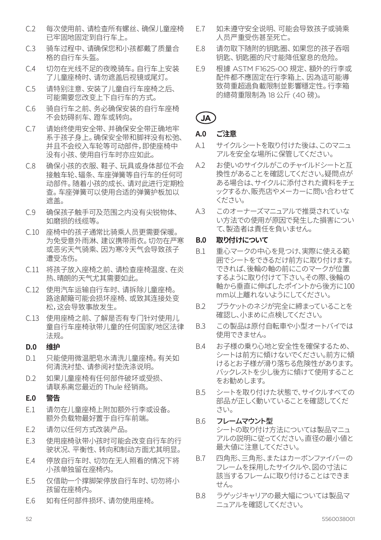- C.2 每次使用前、请检查所有螺丝、确保儿童座椅 已牢固地固定到自行车上。
- C.3 骑车过程中、请确保您和小孩都戴了质量合 格的自行车头盔。
- C.4 切勿在光线不足的夜晚骑车。自行车上安装 了儿童座椅时、请勿遮盖后视镜或尾灯。
- C.5 请特别注意、安装了儿童自行车座椅之后、 可能需要您改变上下自行车的方式。
- C.6 骑自行车之前、务必确保安装的自行车座椅 不会妨碍刹车、蹬车或转向。
- C.7 请始终使用安全带、并确保安全带正确地牢 系于孩子身上。确保安全带和脚袢没有松弛、 并且不会绞入车轮等可动部件,即使座椅中 没有小孩、使用自行车时亦应如此。
- C.8 确保小孩的衣服、鞋子、玩具或身体部位不会 接触车轮、辐条、车座弹簧等自行车的任何可 动部件。随着小孩的成长、请对此进行定期检 查。车座弹簧可以使用合适的弹簧护板加以 遮盖。
- C.9 确保孩子触手可及范围之内没有尖锐物体、 如磨损的线缆等。
- C.10 座椅中的孩子通常比骑乘人员更需要保暖。 为免受意外雨淋、建议携带雨衣。切勿在严寒 或恶劣天气骑乘、因为寒冷天气会导致孩子 遭受冻伤。
- C.11 将孩子放入座椅之前、请检查座椅温度、在炎 热、晴朗的天气尤其需要如此。
- C.12 使用汽车运输自行车时、请拆除儿童座椅。 路途颠簸可能会损坏座椅、或致其连接处变 松,这会导致事故发生。
- C.13 使用座椅之前、了解是否有专门针对使用儿 童自行车座椅驮带儿童的任何国家/地区法律 法规。

#### **D.0 维护**

- D.1 只能使用微温肥皂水清洗儿童座椅。有关如 何清洗衬垫、请参阅衬垫洗涤说明。
- D.2 如果儿童座椅有任何部件破坏或受损, 请联系离您最近的 Thule 经销商。

#### **E.0 警告**

- E.1 请勿在儿童座椅上附加额外行李或设备。 额外负载物最好置于自行车前端。
- E.2 请勿以任何方式改装产品。
- E.3 使用座椅驮带小孩时可能会改变自行车的行 驶状况、平衡性、转向和制动方面尤其明显。
- E.4 停放自行车时、切勿在无人照看的情况下将 小孩单独留在座椅内。
- E.5 仅借助一个撑脚架停放自行车时、切勿将小 孩留在座椅内。
- E.6 如有任何部件损坏、请勿使用座椅。
- E.7 如未遵守安全说明、可能会导致孩子或骑乘 人员严重受伤甚至死亡。
- E.8 请勿取下随附的钥匙圈、如果您的孩子吞咽 钥匙、钥匙圈的尺寸能降低窒息的危险。
- E.9 根據 ASTM F1625-00 規定、額外的行李或 配件都不應固定在行李箱上、因為這可能導 致荷重超過負載限制並影響穩定性。行李箱 的總荷重限制為 18 公斤 (40 磅)。

## **JA**

## **A.0 ご注意**

- A.1 サイクルシートを取り付けた後は、このマニュ アルを安全な場所に保管してください。
- A.2 お使いのサイクルがこのチャイルドシートと互 換性があることを確認してください。疑問点が ある場合は、サイクルに添付された資料をチェ ックするか、販売店やメーカーに問い合わせて ください。
- A.3 このオーナーズマニュアルで推奨されていな い方法での使用が原因で発生した損害につい て、製造者は責任を負いません。

#### **B.0 取り付けについて**

- B.1 重心マークの中心を見つけ、実際に使える範 囲でシートをできるだけ前方に取り付けます。 できれば、後輪の軸の前にこのマークが位置 するように取り付けて下さい。その際、後輪の 軸から垂直に伸ばしたポイントから後方に100 mm以上離れないようにしてください。
- B.2 ブラケットのネジが完全に締まっていることを 確認し、小まめに点検してください。
- B.3 この製品は原付自転車や小型オートバイでは 使用できません。
- B.4 お子様の乗り心地と安全性を確保するため、 シートは前方に傾けないでください。前方に傾 けるとお子様が滑り落ちる危険性があります。 バックレストを少し後方に傾けて使用すること をお勧めします。
- B.5 シートを取り付けた状態で、サイクルすべての 部品が正しく動いていることを確認してくだ さい。

## B.6 フレームマウント型

シートの取り付け方法については製品マニュ アルの説明に従ってください。直径の最小値と 最大値に注意してください。

- B.7 四角形、三角形、またはカーボンファイバーの フレームを採用したサイクルや、図の寸法に 該当するフレームに取り付けることはできま せん。
- B.8 ラゲッジキャリアの最大幅については製品マ ニュアルを確認してください。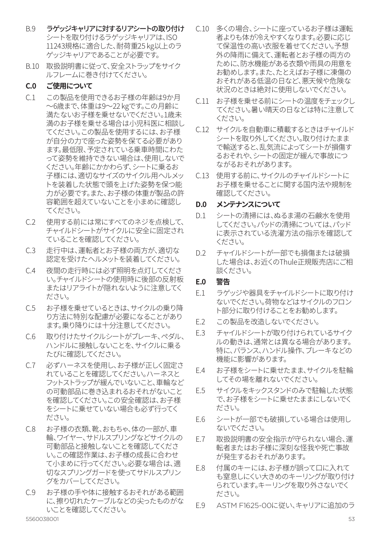- B.9 ラゲッジキャリアに対するリアシートの取り付け シートを取り付けるラゲッジキャリアは、ISO 11243規格に適合した、耐荷重25 kg以上のラ ゲッジキャリアであることが必要です。
- B.10 取扱説明書に従って、安全ストラップをサイク ルフレームに巻き付けてください。

#### **C.0 ご使用について**

- C.1 この製品を使用できるお子様の年齢は9か月 ~6歳まで、体重は9~22 kgです。この月齢に 満たないお子様を乗せないでください。1歳未 満のお子様を乗せる場合は小児科医に相談し てください。この製品を使用するには、お子様 が自分の力で座った姿勢を保てる必要があり ます。最低限、予定されている乗車時間にわた って姿勢を維持できない場合は、使用しないで ください。年齢にかかわらず、シートに乗るお 子様には、適切なサイズのサイクル用ヘルメッ トを装着した状態で頭を上げた姿勢を保つ能 力が必要です。また、お子様の体重が製品の許 容範囲を超えていないことを小まめに確認し てください。
- C.2 使用する前には常にすべてのネジを点検して、 チャイルドシートがサイクルに安全に固定され ていることを確認してください。
- C.3 走行中は、運転者とお子様の両方が、適切な 認定を受けたヘルメットを装着してください。
- C.4 夜間の走行時には必ず照明を点灯してくださ い。チャイルドシートの使用時に後部の反射板 またはリアライトが隠れないように注意してく ださい。
- C.5 お子様を乗せているときは、サイクルの乗り降 り方法に特別な配慮が必要になることがあり ます。乗り降りには十分注意してください。
- C.6 取り付けたサイクルシートがブレーキ、ペダル、 ハンドルに接触しないことを、サイクルに乗る たびに確認してください。
- C.7 必ずハーネスを使用し、お子様が正しく固定さ れていることを確認してください。ハーネスと フットストラップが緩んでいないこと、車輪など の可動部品に巻き込まれるおそれがないこと を確認してください。この安全確認は、お子様 をシートに乗せていない場合も必ず行ってく ださい。
- C.8 お子様の衣類、靴、おもちゃ、体の一部が、車 輪、ワイヤー、サドルスプリングなどサイクルの 可動部品と接触しないことを確認してくださ い。この確認作業は、お子様の成長に合わせ て小まめに行ってください。必要な場合は、適 切なスプリングガードを使ってサドルスプリン グをカバーしてください。
- C.9 お子様の手や体に接触するおそれがある範囲 に、擦り切れたケーブルなどの尖ったものがな いことを確認してください。<br>5560038001
- C.10 多くの場合、シートに座っているお子様は運転 者よりも体が冷えやすくなります。必要に応じ て保温性の高い衣服を着せてください。予想 外の降雨に備えて、運転者とお子様の両方の ために、防水機能がある衣類や雨具の用意を お勧めします。また、たとえばお子様に凍傷の おそれがある低温の日など、悪天候や危険な 状況のときは絶対に使用しないでください。
- C.11 お子様を乗せる前にシートの温度をチェックし てください。暑い晴天の日などは特に注意して ください。
- C.12 サイクルを自動車に積載するときはチャイルド シートを取り外してください。取り付けたまま で輸送すると、乱気流によってシートが損傷す るおそれや、シートの固定が緩んで事故につ ながるおそれがあります。
- C.13 使用する前に、サイクルのチャイルドシートに お子様を乗せることに関する国内法や規制を 確認してください。

#### **D.0 メンテナンスについて**

- D.1 シートの清掃には、ぬるま湯の石鹸水を使用 してください。パッドの清掃については、パッド に表示されている洗濯方法の指示を確認して ください。
- D.2 チャイルドシートが一部でも損傷または破損 した場合は、お近くのThule正規販売店にご相 談ください。

#### **E.0 警告**

- E.1 ラゲッジや器具をチャイルドシートに取り付け ないでください。荷物などはサイクルのフロン ト部分に取り付けることをお勧めします。
- F.2 この製品を改造しないでください。
- F3 チャイルドシートが取り付けられているサイク ルの動きは、通常とは異なる場合があります。 特に、バランス、ハンドル操作、ブレーキなどの 機能に影響があります。
- E.4 お子様をシートに乗せたまま、サイクルを駐輪 してその場を離れないでください。
- E.5 サイクルをキックスタンドのみで駐輪した状態 で、お子様をシートに乗せたままにしないでく ださい。
- E.6 シートが一部でも破損している場合は使用し ないでください。
- E.7 取扱説明書の安全指示が守られない場合、運 転者またはお子様に深刻な怪我や死亡事故 が発生するおそれがあります。
- E.8 付属のキーには、お子様が誤って口に入れて も窒息しにくい大きめのキーリングが取り付け られています。キーリングを取り外さないでく ださい。
- E.9 ASTM F1625-00に従い、キャリアに追加のラ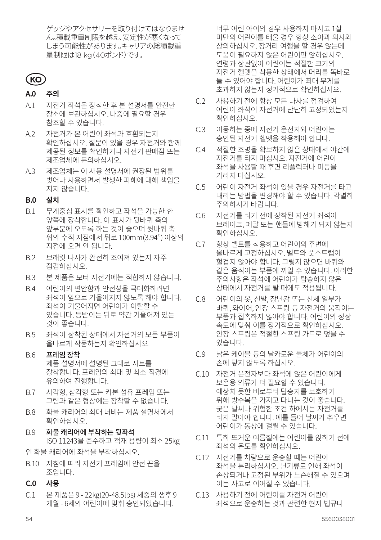ゲッジやアクセサリーを取り付けてはなりませ ん。積載重量制限を越え、安定性が悪くなって しまう可能性があります。キャリアの総積載重 量制限は18 kg(40ポンド)です。

## **KO**

### **A.0 주의**

- A.1 자전거 좌석을 장착한 후 본 설명서를 안전한 장소에 보관하십시오. 나중에 필요할 경우 참조할 수 있습니다.
- A.2 자전거가 본 어린이 좌석과 호환되는지 확인하십시오. 질문이 있을 경우 자전거와 함께 제공된 정보를 확인하거나 자전거 판매점 또는 제조업체에 문의하십시오.
- A.3 제조업체는 이 사용 설명서에 권장된 범위를 벗어나 사용하면서 발생한 피해에 대해 책임을 지지 않습니다.

#### **B.0 설치**

- B.1 무게중심 표시를 확인하고 좌석을 가능한 한 앞쪽에 장착합니다. 이 표시가 뒷바퀴 축의 앞부분에 오도록 하는 것이 좋으며 뒷바퀴 축 위의 수직 지점에서 뒤로 100mm(3.94") 이상의 지점에 오면 안 됩니다.
- B.2 브래킷 나사가 완전히 조여져 있는지 자주 점검하십시오.
- B.3 본 제품은 모터 자전거에는 적합하지 않습니다.
- B.4 어린이의 편안함과 안전성을 극대화하려면 좌석이 앞으로 기울어지지 않도록 해야 합니다. 좌석이 기울어지면 어린이가 이탈할 수 있습니다. 등받이는 뒤로 약간 기울어져 있는 것이 좋습니다.
- B.5 좌석이 장착된 상태에서 자전거의 모든 부품이 올바르게 작동하는지 확인하십시오.
- B.6 프레임 장착 제품 설명서에 설명된 그대로 시트를 장착합니다. 프레임의 최대 및 최소 직경에 유의하여 진행합니다.
- B.7 사각형, 삼각형 또는 카본 섬유 프레임 또는 그림과 같은 형상에는 장착할 수 없습니다.
- B.8 화물 캐리어의 최대 너비는 제품 설명서에서 확인하십시오.
- B.9 화물 캐리어에 부착하는 뒷좌석 ISO 11243을 준수하고 적재 용량이 최소 25kg

인 화물 캐리어에 좌석을 부착하십시오.

- B.10 지침에 따라 자전거 프레임에 안전 끈을 조입니다.
- **C.0 사용**
- C.1 본 제품은 9 22kg(20-48.5lbs) 체중의 생후 9 개월 - 6세의 어린이에 맞춰 승인되었습니다.

너무 어린 아이의 경우 사용하지 마시고 1살 미만의 어린이를 태울 경우 항상 소아과 의사와 상의하십시오. 장거리 여행을 할 경우 앉는데 도움이 필요하지 않은 어린이만 앉히십시오. 연령과 상관없이 어린이는 적절한 크기의 자전거 헬멧을 착용한 상태에서 머리를 똑바로 들 수 있어야 합니다. 어린이가 최대 무게를 초과하지 않는지 정기적으로 확인하십시오.

- C.2 사용하기 전에 항상 모든 나사를 점검하여 어린이 좌석이 자전거에 단단히 고정되었는지 확인하십시오.
- C.3 이동하는 중에 자전거 운전자와 어린이는 승인된 자전거 헬멧을 착용해야 합니다.
- C.4 적절한 조명을 확보하지 않은 상태에서 야간에 자전거를 타지 마십시오. 자전거에 어린이 좌석을 사용할 때 후면 리플렉터나 미등을 가리지 마십시오.
- C.5 어린이 자전거 좌석이 있을 경우 자전거를 타고 내리는 방법을 변경해야 할 수 있습니다. 각별히 주의하시기 바랍니다.
- C.6 자전거를 타기 전에 장착된 자전거 좌석이 브레이크, 페달 또는 핸들에 방해가 되지 않는지 확인하십시오.
- C.7 항상 벨트를 착용하고 어린이의 주변에 올바르게 고정하십시오. 벨트와 풋스트랩이 헐겁지 않아야 합니다. 그렇지 않으면 바퀴와 같은 움직이는 부품에 끼일 수 있습니다. 이러한 주의사항은 좌석에 어린이가 탑승하지 않은 상태에서 자전거를 탈 때에도 적용됩니다.
- C.8 어린이의 옷, 신발, 장난감 또는 신체 일부가 바퀴, 와이어, 안장 스프링 등 자전거의 움직이는 부품과 접촉하지 않아야 합니다. 어린이의 성장 속도에 맞춰 이를 정기적으로 확인하십시오. 안장 스프링은 적절한 스프링 가드로 덮을 수 있습니다.
- C.9 낡은 케이블 등의 날카로운 물체가 어린이의 손에 닿지 않도록 하십시오.
- C.10 자전거 운전자보다 좌석에 앉은 어린이에게 보온용 의류가 더 필요할 수 있습니다. 예상치 못한 비로부터 탑승자를 보호하기 위해 방수복을 가지고 다니는 것이 좋습니다. 궂은 날씨나 위험한 조건 하에서는 자전거를 타지 말아야 합니다. 예를 들어 날씨가 추우면 어린이가 동상에 걸릴 수 있습니다.
- C.11 특히 뜨거운 여름철에는 어린이를 앉히기 전에 좌석의 온도를 확인하십시오.
- C.12 자전거를 차량으로 운송할 때는 어린이 좌석을 분리하십시오. 난기류로 인해 좌석이 손상되거나 고정된 부위가 느슨해질 수 있으며 이는 사고로 이어질 수 있습니다.
- C.13 사용하기 전에 어린이를 자전거 어린이 좌석으로 운송하는 것과 관련한 현지 법규나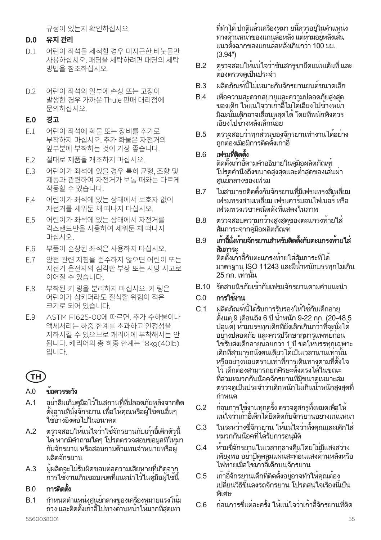규정이 있는지 확인하십시오.

#### **D.0 유지 관리**

- D.1 어린이 좌석을 세척할 경우 미지근한 비눗물만 사용하십시오. 패딩을 세탁하려면 패딩의 세탁 방법을 참조하십시오.
- D.2 어린이 좌석의 일부에 손상 또는 고장이 발생한 경우 가까운 Thule 판매 대리점에 문의하십시오.

#### **E.0 경고**

- E.1 어린이 좌석에 화물 또는 장비를 추가로 부착하지 마십시오. 추가 화물은 자전거의 앞부분에 부착하는 것이 가장 좋습니다.
- E.2 절대로 제품을 개조하지 마십시오.
- E.3 어린이가 좌석에 있을 경우 특히 균형, 조향 및 제동과 관련하여 자전거가 보통 때와는 다르게 작동할 수 있습니다.
- E.4 어린이가 좌석에 있는 상태에서 보호자 없이 자전거를 세워둔 채 떠나지 마십시오.
- E.5 어린이가 좌석에 있는 상태에서 자전거를 킥스탠드만을 사용하여 세워둔 채 떠나지 마십시오.
- E.6 부품이 손상된 좌석은 사용하지 마십시오.
- E.7 안전 관련 지침을 준수하지 않으면 어린이 또는 자전거 운전자의 심각한 부상 또는 사망 사고로 이어질 수 있습니다.
- E.8 부착된 키 링을 분리하지 마십시오. 키 링은 어린이가 삼키더라도 질식할 위험이 적은 크기로 되어 있습니다.
- E.9 ASTM F1625-00에 따르면, 추가 수하물이나 액세서리는 하중 한계를 초과하고 안정성을 저하시킬 수 있으므로 캐리어에 부착해서는 안 됩니다. 캐리어의 총 하중 한계는 18kg(40lb) 입니다.

## **TH**

## $AD = \frac{1}{2}$ ข้อควรระวัง

- A.1 อย่าลืมเก็บคู่มือไว้ในสถานที่ที่ปลอดภัยหลังจากติด ตั้งอานที่นั่งจักรยาน เพื่อให้คุณหรือผู้ใช้คนอื่นๆ ใช้อ้างอิงต่อไปในอนาคต
- A.2 ตรวจสอบให้แน่ใจว่าใช้จักรยานกับเก้าอี้เด็กตัวนี้ ได้หากมีคำ ถามใดๆ โปรดตรวจสอบข้อมูลที่ให้มา กับจักรยาน หรือสอบถามตัวแทนจำ หน่ายหรือผู้ ผลิตจักรยาน
- A.3 ผู้ผลิตจะไม่รับผิดชอบต่อความเสียหายที่เกิดจาก การใช้งานเกินขอบเขตที่แนะนำ ไว้ในคู่มือผู้ใช้นี้

## $B.0$  การติดตั้ง

B.1 กำ หนดตำ แหน่งศูนย์กลางของเครื่องหมายแรงโน้ม ถ่วง และติดตั้งเก้าอี้ไปทางด้านหน้าให้มากที่สุดเท่า

ที่ทำ ได้ปกติแล้วเครื่องหมา ยนี้ควรอยู่ในตำ แหน่ง ทางด้านหน้าของแกนล้อหลัง แต่ห้ามอยู่หลังเส้น แนวตั้งฉากของแกนล้อหลังเกินกว่า 100 มม. (3.94")

- B.2 ตรวจสอบให้แน่ใจว่าขันสกรูขายึดแน่นเต็มที่ และ ต้องตรวจดูเป็นประจำ
- B.3 ผลิตภัณฑ์นี้ไม่เหมาะกับจักรยานยนต์ขนาดเล็ก
- B.4 เพื่อความสะดวกสบายและความปลอดภัยสูงสุด ของเด็ก ให้แน่ใจว่าเก้าอี้ไม่ได้เอียงไปข้างหน้า มิฉะนั้นเด็กอาจเลื่อนหลุดได้โดยที่พนักพิงควร เอียงไปข้างหลังเล็กน้อย
- B.5 ตรวจสอบว่าทุกส่วนของจักรยานทำ งานได้อย่าง ถูกต้องเมื่อมีการติดตั้งเก้าอี้

### B.6 เฟรมที่ติดตั้ง

ติดตั้งเก้าอี้ตามคำ อธิบายในคู่มือผลิตภัณฑ์ โปรดคำ นึงถึงขนาดสูงสุดและต่ำ สุดของเส้นผ่า ศูนย์กลางของเฟรม

- B.7 ไม่สามารถติดตั้งกับจักรยานที่มีเฟรมทรงสี่เหลี่ยม เฟรมทรงสามเหลี่ยม เฟรมคาร์บอนไฟเบอร์หรือ เฟรมทรงเรขาคณิตดังที่แสดงในภาพ
- B.8 ตรวจสอบความกว้างสูงสุดของตะแกรงท้ายใส่ สัมภาระจากคู่มือผลิตภัณฑ์

## B.9 เก้าอี้นั่งท้ายจักรยานสำ หรับติดตั้งกับตะแกรงท้ายใส่ สัมภาระ

ติดตั้งเก้าอี้กับตะแกรงท้ายใส่สัมภาระที่ได้ มาตรฐาน ISO 11243 และมีน้ำ หนักบรรทุกไม่เกิน 25 กก. เท่านั้น

B.10 รัดสายนิรภัยเข้ากับเฟรมจักรยานตามคำ แนะนำ

## C.0 การใช้งาน

- C.1 ผลิตภัณฑ์นี้ได้รับการรับรองให้ใช้กับเด็กอายุ ตั้งแต่ 9 เดือนถึง 6 ปีน้ำ หนัก 9-22 กก. (20-48.5 ปอนด์) ห้ามบรรทุกเด็กที่ยังเล็กเกินกว่าที่จะนั่งได้ อย่างปลอดภัย และควรปรึกษากุมารแพทย์ก่อน ใช้รับส่งเด็กอายุน้อยกว่า 1 ปีขอให้บรรทุกเฉพาะ เด็กที่สามารถนั่งคนเดียวได้เป็นเวลานานเท่านั้น หรืออย่างน้อยตราบเท่าที่การเดินทางตามที่ตั้งใจ ไว้เด็กต้องสามารถยกศีรษะตั้งตรงได้ในขณะ ที่สวมหมวกกันน็อคจักรยานที่มีขนาดเหมาะสม ตรวจดูเป็นประจำ ว่าเด็กหนักไม่เกินน้ำ หนักสูงสุดที่ ี่กำหนด
- C.2 ก่อนการใช้งานทุกครั้ง ตรวจดูสกรูทั้งหมดเพื่อให้ แน่ใจว่าเก้าอี้เด็กได้ยึดติดกับจักรยานอย่างแน่นหนา
- C.3 ในระหว่างขี่จักรยาน ให้แน่ใจว่าทั้งคุณและเด็กใส่ หมวกกันน็อคที่ได้รับการอนุมัติ
- C.4 ห้ามขี่จักรยานในเวลากลางคืนโดยไม่มีแสงสว่าง เพียงพอ อย่าปิดคลุมแผ่นสะท้อนแสงด้านหลังหรือ ไฟท้ายเมื่อใช้เก้าอี้เด็กบนจักรยาน
- C.5 เก้าอี้จักรยานเด็กที่ติดตั้งอยู่อาจทำ ให้คุณต้อง เปลี่ยนวิธีขึ้นลงรถจักรยาน โปรดสนใจเรื่องนี้เป็น พิเศษ
- C.6 ก่อนการขี่แต่ละครั้ง ให้แน่ใจว่าเก้าอี้จักรยานที่ติด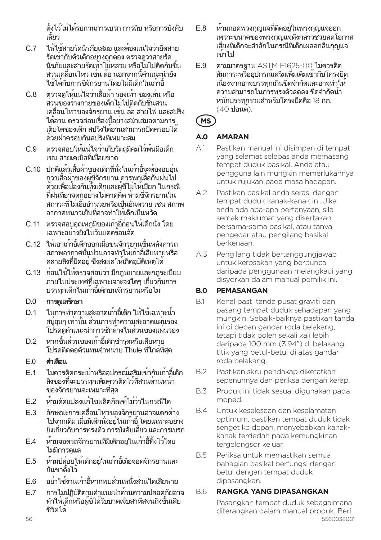ตั้งไว้ไม่ได้รบกวนการเบรก การถีบ หรือการบังคับ เลี้ยว

- C.7 ให้ใช้สายรัดนิรภัยเสมอ และต้องแน่ใจว่ายึดสาย รัดเข้ากับตัวเด็กอย่างถูกต้อง ตรวจดูว่าสายรัด นิรภัยและสายรัดเท้าไม่หลวม หรือไม่ไปติดกับชิ้น ้ส่วนเคลื่อนไหว เช่น ล้อ นอกจากนี้คำแนะนำยัง ใช้ได้กับการขี่จักรยานโดยไม่มีเด็กในเก้าอี้
- C.8 ตรวจดูให้แน่ใจว่าเสื้อผ้า รองเท้า ของเล่น หรือ ส่วนของร่างกายของเด็กไม่ไปติดกับชิ้นส่วน เคลื่อนไหวของจักรยาน เช่น ล้อ สายไฟ และสปริง ใต้อาน ตรวจสอบเรื่องนี้อย่างสม่ำ เสมอตามการ เติบโตของเด็ก สปริงใต้อานสามารถปิดครอบได้ ด้วยฝาครอบกันสปริงที่เหมาะสม
- C.9 ตรวจสอบให้แน่ใจว่าเก็บวัตถุมีคมไว้พ้นมือเด็ก เช่น สายเคเบิลที่เปื่อยขาด
- C.10 ปกติแล้วเสื้อผ้าของเด็กที่นั่งในเก้าอี้จะต้องอบอุ่น กว่าเสื้อผ้าของผู้ขี่จักรยาน ควรพกเสื้อกันฝนไป ด้วยเพื่อป้องกันทั้งเด็กและผู้ขี่ไม่ให้เปียก ในกรณี ที่ฝนที่อาจตกอย่างไม่คาดคิด ห้ามขี่จักรยานใน ี่ สภาวะที่ไม่เอื้ออำนวยหรือเป็นอันตราย เช่น สภาพ อากาศหนาวเย็นที่อาจทำ ให้เด็กเป็นหวัด
- C.11 ตรวจสอบอุณหภูมิของเก้าอี้ก่อนให้เด็กนั่ง โดย เฉพาะอย่างยิ่งในวันแดดร้อนจัด
- C.12 ให้เอาเก้าอี้เด็กออกเมื่อขนจักรยานขึ้นหลังคารถ สภาพอากาศปั่นป่วนอาจทำ ให้เก้าอี้เสียหายหรือ คลายสิ่งที่ยึดอยู่ ซึ่งส่งผลให้เกิดอุบัติเหตุได้
- C.13 ก่อนใช้ให้ตรวจสอบว่า มีกฎหมายและกฎระเบียบ ภายในประเทศที่เฉพาะเจาะจงใดๆ เกี่ยวกับการ บรรทุกเด็กในเก้าอี้เด็กบนจักรยานหรือไม่

## D.0 การดูแลรักษา

- D.1 ในการทำ ความสะอาดเก้าอี้เด็ก ให้ใช้เฉพาะน้ำ ้สบอนๆ เท่านั้น ส่วนการทำความสะอาดแผ่นรอง โปรดดูคำ แนะนำ การซักล้างในส่วนของแผ่นรอง
- D.2 หากชิ้นส่วนของเก้าอี้เด็กชำ รุดหรือเสียหาย โปรดติดต่อตัวแทนจำ หน่าย Thule ที่ใกล้ที่สุด

#### $E.0$  คำเตือน

- E.1 ไม่ควรติดกระเป๋าหรืออุปกรณ์เสริมเข้ากับเก้าอี้เด็ก สิ่งของที่จะบรรทุกเพิ่มควรติดไว้ที่ส่วนด้านหน้า ของจักรยานจะเหมาะที่สุด
- E.2 ห้ามดัดแปลงแก้ไขผลิตภัณฑ์ไม่ว่าในกรณีใด
- E.3 ลักษณะการเคลื่อนไหวของจักรยานอาจแตกต่าง ไปจากเดิม เมื่อมีเด็กนั่งอยู่ในเก้าอี้โดยเฉพาะอย่าง ยิ่งเกี่ยวกับการทรงตัว การบังคับเลี้ยว และการเบรก
- E.4 ห้ามจอดรถจักรยานที่มีเด็กอยู่ในเก้าอี้ทิ้งไว้โดย ไม่มีการดูแล
- E.5 ห้ามปล่อยให้เด็กอยู่ในเก้าอี้เมื่อจอดจักรยานและ ยันขาตั้งไว้
- E.6 อย่าใช้งานเก้าอี้หากพบส่วนหนึ่งส่วนใดเสียหาย
- E.7 การไม่ปฏิบัติตามคำ แนะนำ ด้านความปลอดภัยอาจ ทำ ให้เด็กหรือผู้ขี่ได้รับบาดเจ็บสาหัสจนถึงขั้นเสีย ชีวิตได้
- E.8 ห้ามถอดพวงกุญแจที่ติดอยู่ในพวงกุญแจออก เพราะขนาดของพวงกุญแจดังกล่าวช่วยลดโอกาส เสี่ยงที่เด็กจะสำ ลักในกรณีที่เด็กเผลอกลืนกุญแจ เข้าไป
- E.9 ตามมาตรฐาน ASTM F1625-00 ไม่ควรติด สัมภาระหรืออุปกรณ์เสริมเพิ่มเติมเข้ากับโครงยึด เนื่องจากอาจบรรทุกเกินขีดจำ กัดและอาจทำ ให้ ความสามารถในการทรงตัวลดลง ขีดจำ กัดน้ำ หนักบรรทุกรวมสำ หรับโครงยึดคือ 18 กก. (40 ปอนด์).

## **MS**

## **A.0 AMARAN**

- A.1 Pastikan manual ini disimpan di tempat yang selamat selepas anda memasang tempat duduk basikal. Anda atau pengguna lain mungkin memerlukannya untuk rujukan pada masa hadapan.
- A.2 Pastikan basikal anda serasi dengan tempat duduk kanak-kanak ini. Jika anda ada apa-apa pertanyaan, sila semak maklumat yang disertakan bersama-sama basikal, atau tanya pengedar atau pengilang basikal berkenaan.
- A.3 Pengilang tidak bertanggungjawab untuk kerosakan yang berpunca daripada penggunaan melangkaui yang disyorkan dalam manual pemilik ini.

## **B.0 PEMASANGAN**

- B.1 Kenal pasti tanda pusat graviti dan pasang tempat duduk sehadapan yang mungkin. Sebaik-baiknya pastikan tanda ini di depan gandar roda belakang, tetapi tidak boleh sekali kali lebih daripada 100 mm (3.94") di belakang titik yang betul-betul di atas gandar roda belakang.
- B.2 Pastikan skru pendakap diketatkan sepenuhnya dan periksa dengan kerap.
- B.3 Produk ini tidak sesuai digunakan pada moped.
- B.4 Untuk keselesaan dan keselamatan optimum, pastikan tempat duduk tidak senget ke depan, menyebabkan kanakkanak terdedah pada kemungkinan tergelongsor keluar.
- B.5 Periksa untuk memastikan semua bahagian basikal berfungsi dengan betul dengan tempat duduk dipasangkan.

## B.6 **RANGKA YANG DIPASANGKAN**

56 5560038001 Pasangkan tempat duduk sebagaimana diterangkan dalam manual produk. Beri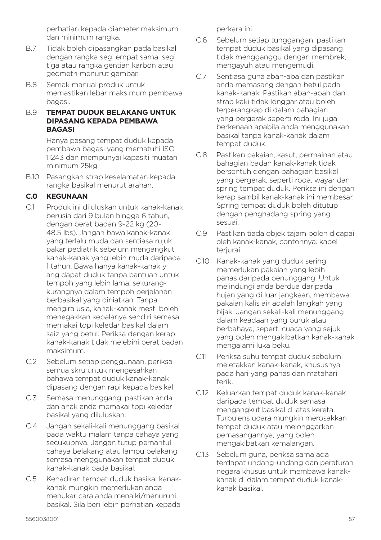perhatian kepada diameter maksimum dan minimum rangka.

- B.7 Tidak boleh dipasangkan pada basikal dengan rangka segi empat sama, segi tiga atau rangka gentian karbon atau geometri menurut gambar.
- B.8 Semak manual produk untuk memastikan lebar maksimum pembawa bagasi.
- B.9 **TEMPAT DUDUK BELAKANG UNTUK DIPASANG KEPADA PEMBAWA BAGASI**

Hanya pasang tempat duduk kepada pembawa bagasi yang mematuhi ISO 11243 dan mempunyai kapasiti muatan minimum 25kg.

B.10 Pasangkan strap keselamatan kepada rangka basikal menurut arahan.

#### **C.0 KEGUNAAN**

- C.1 Produk ini diluluskan untuk kanak-kanak berusia dari 9 bulan hingga 6 tahun, dengan berat badan 9-22 kg (20- 48.5 lbs). Jangan bawa kanak-kanak yang terlalu muda dan sentiasa rujuk pakar pediatrik sebelum mengangkut kanak-kanak yang lebih muda daripada 1 tahun. Bawa hanya kanak-kanak y ang dapat duduk tanpa bantuan untuk tempoh yang lebih lama, sekurangkurangnya dalam tempoh perjalanan berbasikal yang diniatkan. Tanpa mengira usia, kanak-kanak mesti boleh menegakkan kepalanya sendiri semasa memakai topi keledar basikal dalam saiz yang betul. Periksa dengan kerap kanak-kanak tidak melebihi berat badan maksimum.
- C.2 Sebelum setiap penggunaan, periksa semua skru untuk mengesahkan bahawa tempat duduk kanak-kanak dipasang dengan rapi kepada basikal.
- C.3 Semasa menunggang, pastikan anda dan anak anda memakai topi keledar basikal yang diluluskan.
- C.4 Jangan sekali-kali menunggang basikal pada waktu malam tanpa cahaya yang secukupnya. Jangan tutup pemantul cahaya belakang atau lampu belakang semasa menggunakan tempat duduk kanak-kanak pada basikal.
- C.5 Kehadiran tempat duduk basikal kanakkanak mungkin memerlukan anda menukar cara anda menaiki/menuruni basikal. Sila beri lebih perhatian kepada

perkara ini.

- C.6 Sebelum setiap tunggangan, pastikan tempat duduk basikal yang dipasang tidak mengganggu dengan membrek, mengayuh atau mengemudi.
- C.7 Sentiasa guna abah-aba dan pastikan anda memasang dengan betul pada kanak-kanak. Pastikan abah-abah dan strap kaki tidak longgar atau boleh terperangkap di dalam bahagian yang bergerak seperti roda. Ini juga berkenaan apabila anda menggunakan basikal tanpa kanak-kanak dalam tempat duduk.
- C.8 Pastikan pakaian, kasut, permainan atau bahagian badan kanak-kanak tidak bersentuh dengan bahagian basikal yang bergerak, seperti roda, wayar dan spring tempat duduk. Periksa ini dengan kerap sambil kanak-kanak ini membesar. Spring tempat duduk boleh ditutup dengan penghadang spring yang sesuai.
- C.9 Pastikan tiada objek tajam boleh dicapai oleh kanak-kanak, contohnya. kabel teriurai.
- C.10 Kanak-kanak yang duduk sering memerlukan pakaian yang lebih panas daripada penunggang. Untuk melindungi anda berdua daripada hujan yang di luar jangkaan, membawa pakaian kalis air adalah langkah yang bijak. Jangan sekali-kali menunggang dalam keadaan yang buruk atau berbahaya, seperti cuaca yang sejuk yang boleh mengakibatkan kanak-kanak mengalami luka beku.
- C.11 Periksa suhu tempat duduk sebelum meletakkan kanak-kanak, khususnya pada hari yang panas dan matahari terik.
- C.12 Keluarkan tempat duduk kanak-kanak daripada tempat duduk semasa mengangkut basikal di atas kereta. Turbulens udara mungkin merosakkan tempat duduk atau melonggarkan pemasangannya, yang boleh mengakibatkan kemalangan.
- C.13 Sebelum guna, periksa sama ada terdapat undang-undang dan peraturan negara khusus untuk membawa kanakkanak di dalam tempat duduk kanakkanak basikal.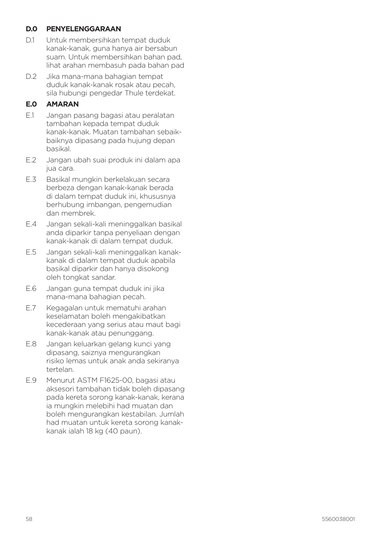#### **D.0 PENYELENGGARAAN**

- D.1 Untuk membersihkan tempat duduk kanak-kanak, guna hanya air bersabun suam. Untuk membersihkan bahan pad, lihat arahan membasuh pada bahan pad
- D.2 Jika mana-mana bahagian tempat duduk kanak-kanak rosak atau pecah, sila hubungi pengedar Thule terdekat.

## **E.0 AMARAN**

- E.1 Jangan pasang bagasi atau peralatan tambahan kepada tempat duduk kanak-kanak. Muatan tambahan sebaikbaiknya dipasang pada hujung depan basikal.
- E.2 Jangan ubah suai produk ini dalam apa jua cara.
- E.3 Basikal mungkin berkelakuan secara berbeza dengan kanak-kanak berada di dalam tempat duduk ini, khususnya berhubung imbangan, pengemudian dan membrek.
- E.4 Jangan sekali-kali meninggalkan basikal anda diparkir tanpa penyeliaan dengan kanak-kanak di dalam tempat duduk.
- E.5 Jangan sekali-kali meninggalkan kanakkanak di dalam tempat duduk apabila basikal diparkir dan hanya disokong oleh tongkat sandar.
- E.6 Jangan guna tempat duduk ini jika mana-mana bahagian pecah.
- E.7 Kegagalan untuk mematuhi arahan keselamatan boleh mengakibatkan kecederaan yang serius atau maut bagi kanak-kanak atau penunggang.
- E.8 Jangan keluarkan gelang kunci yang dipasang, saiznya mengurangkan risiko lemas untuk anak anda sekiranya tertelan.
- E.9 Menurut ASTM F1625-00, bagasi atau aksesori tambahan tidak boleh dipasang pada kereta sorong kanak-kanak, kerana ia mungkin melebihi had muatan dan boleh mengurangkan kestabilan. Jumlah had muatan untuk kereta sorong kanakkanak ialah 18 kg (40 paun).